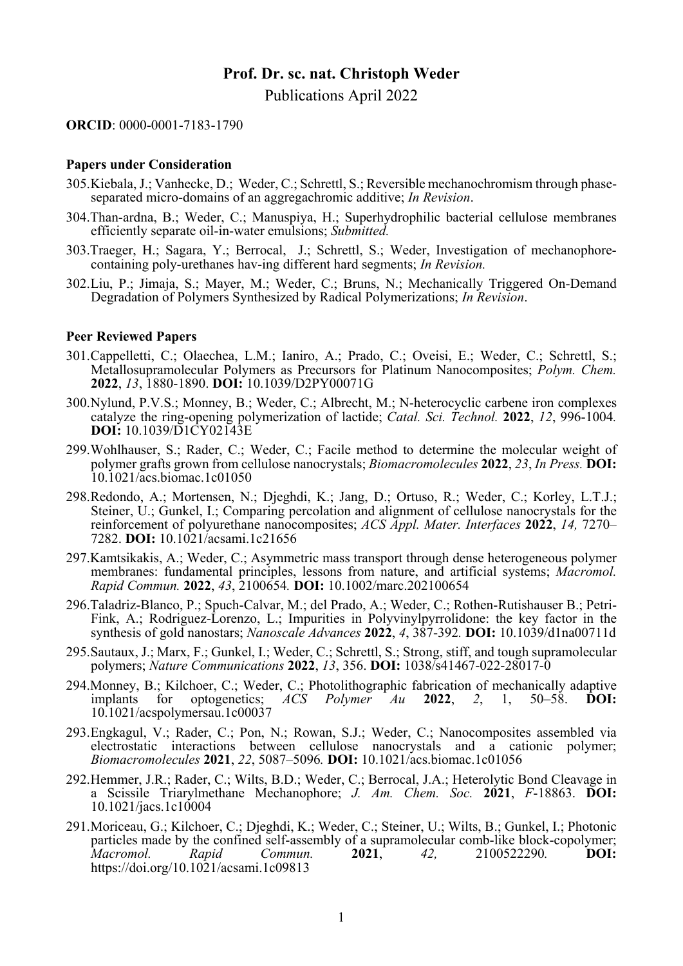# **Prof. Dr. sc. nat. Christoph Weder**  Publications April 2022

**ORCID**: 0000-0001-7183-1790

#### **Papers under Consideration**

- 305. Kiebala, J.; Vanhecke, D.; Weder, C.; Schrettl, S.; Reversible mechanochromism through phaseseparated micro-domains of an aggregachromic additive; *In Revision*.
- 304.Than-ardna, B.; Weder, C.; Manuspiya, H.; Superhydrophilic bacterial cellulose membranes efficiently separate oil-in-water emulsions; *Submitted.*
- 303.Traeger, H.; Sagara, Y.; Berrocal, J.; Schrettl, S.; Weder, Investigation of mechanophorecontaining poly-urethanes hav-ing different hard segments; *In Revision.*
- 302. Liu, P.; Jimaja, S.; Mayer, M.; Weder, C.; Bruns, N.; Mechanically Triggered On-Demand Degradation of Polymers Synthesized by Radical Polymerizations; *In Revision*.

### **Peer Reviewed Papers**

- 301. Cappelletti, C.; Olaechea, L.M.; Ianiro, A.; Prado, C.; Oveisi, E.; Weder, C.; Schrettl, S.; Metallosupramolecular Polymers as Precursors for Platinum Nanocomposites; *Polym. Chem.*  **2022**, *13*, 1880-1890. **DOI:** 10.1039/D2PY00071G
- 300. Nylund, P.V.S.; Monney, B.; Weder, C.; Albrecht, M.; N-heterocyclic carbene iron complexes catalyze the ring-opening polymerization of lactide; *Catal. Sci. Technol.* **2022**, *12*, 996-1004*.*  **DOI:** 10.1039/D1CY02143E
- 299. Wohlhauser, S.; Rader, C.; Weder, C.; Facile method to determine the molecular weight of polymer grafts grown from cellulose nanocrystals; *Biomacromolecules* **2022**, *<sup>23</sup>*, *In Press.* **DOI:** 10.1021/acs.biomac.1c01050
- 298. Redondo, A.; Mortensen, N.; Djeghdi, K.; Jang, D.; Ortuso, R.; Weder, C.; Korley, L.T.J.; Steiner, U.; Gunkel, I.; Comparing percolation and alignment of cellulose nanocrystals for the reinforcement of polyurethane nanocomposites; *ACS Appl. Mater. Interfaces* **2022**, *14,* 7270– 7282. **DOI:** 10.1021/acsami.1c21656
- 297.Kamtsikakis, A.; Weder, C.; Asymmetric mass transport through dense heterogeneous polymer membranes: fundamental principles, lessons from nature, and artificial systems; *Macromol. Rapid Commun.* **2022**, *43*, 2100654*.* **DOI:** 10.1002/marc.202100654
- 296.Taladriz-Blanco, P.; Spuch-Calvar, M.; del Prado, A.; Weder, C.; Rothen-Rutishauser B.; Petri-Fink, A.; Rodriguez-Lorenzo, L.; Impurities in Polyvinylpyrrolidone: the key factor in the synthesis of gold nanostars; *Nanoscale Advances* **2022**, *4*, 387-392*.* **DOI:** 10.1039/d1na00711d
- 295. Sautaux, J.; Marx, F.; Gunkel, I.; Weder, C.; Schrettl, S.; Strong, stiff, and tough supramolecular polymers; *Nature Communications* **2022**, *13*, 356. **DOI:** 1038/s41467-022-28017-0
- 294.Monney, B.; Kilchoer, C.; Weder, C.; Photolithographic fabrication of mechanically adaptive implants for optogenetics; *ACS Polymer Au* **2022**, *2*, 1, 50–58. **DOI:** 10.1021/acspolymersau.1c00037
- 293. Engkagul, V.; Rader, C.; Pon, N.; Rowan, S.J.; Weder, C.; Nanocomposites assembled via electrostatic interactions between cellulose nanocrystals and a cationic polymer; *Biomacromolecules* **2021**, *22*, 5087–5096*.* **DOI:** 10.1021/acs.biomac.1c01056
- 292. Hemmer, J.R.; Rader, C.; Wilts, B.D.; Weder, C.; Berrocal, J.A.; Heterolytic Bond Cleavage in a Scissile Triarylmethane Mechanophore; *J. Am. Chem. Soc.* **2021**, *F*-18863. **DOI:**  10.1021/jacs.1c10004
- 291. Moriceau, G.; Kilchoer, C.; Djeghdi, K.; Weder, C.; Steiner, U.; Wilts, B.; Gunkel, I.; Photonic particles made by the confined self-assembly of a supramolecular comb-like block-copolymer; *Macromol. Rapid Commun.* **2021**, *42,* 2100522290*.* **DOI:**  https://doi.org/10.1021/acsami.1c09813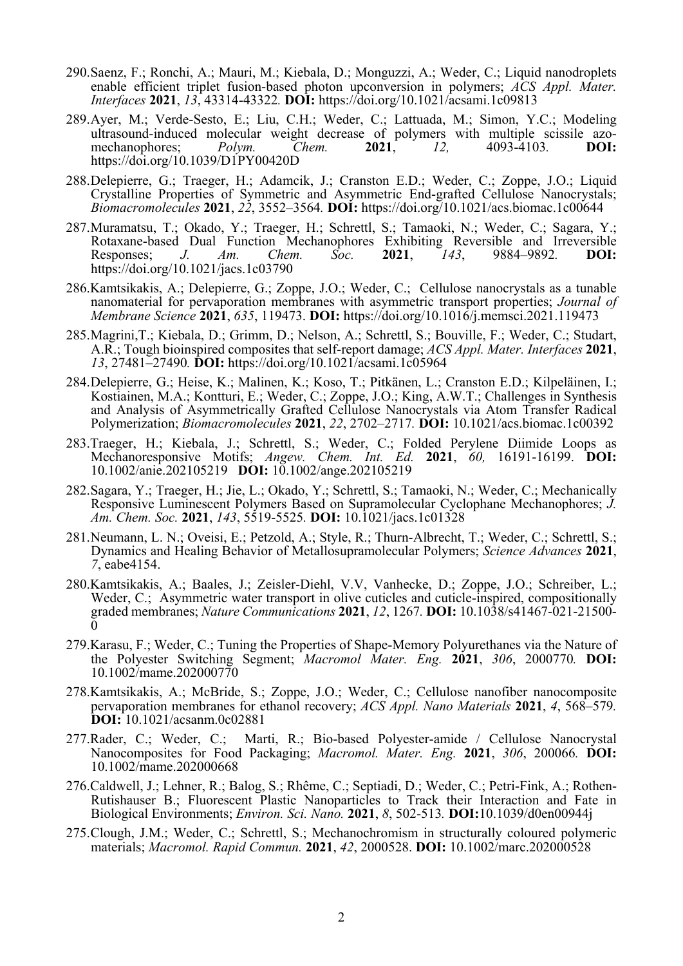- 290. Saenz, F.; Ronchi, A.; Mauri, M.; Kiebala, D.; Monguzzi, A.; Weder, C.; Liquid nanodroplets enable efficient triplet fusion-based photon upconversion in polymers; *ACS Appl. Mater. Interfaces* **2021**, *13*, 43314-43322*.* **DOI:** https://doi.org/10.1021/acsami.1c09813
- 289. Ayer, M.; Verde-Sesto, E.; Liu, C.H.; Weder, C.; Lattuada, M.; Simon, Y.C.; Modeling ultrasound-induced molecular weight decrease of polymers with multiple scissile azo-<br>mechanophores:  $Polvm$ . Chem. 2021. 12. 4093-4103. DOI: mechanophores; *Polym. Chem.* **2021**, *12,* 4093-4103*.* **DOI:**  https://doi.org/10.1039/D1PY00420D
- 288. Delepierre, G.; Traeger, H.; Adamcik, J.; Cranston E.D.; Weder, C.; Zoppe, J.O.; Liquid Crystalline Properties of Symmetric and Asymmetric End-grafted Cellulose Nanocrystals; *Biomacromolecules* **2021**, *22*, 3552–3564*.* **DOI:** https://doi.org/10.1021/acs.biomac.1c00644
- 287. Muramatsu, T.; Okado, Y.; Traeger, H.; Schrettl, S.; Tamaoki, N.; Weder, C.; Sagara, Y.; Rotaxane-based Dual Function Mechanophores Exhibiting Reversible and Irreversible Responses; *J. Am. Chem. Soc.* **2021**, *143*, 9884–9892*.* **DOI:**  https://doi.org/10.1021/jacs.1c03790
- 286.Kamtsikakis, A.; Delepierre, G.; Zoppe, J.O.; Weder, C.; Cellulose nanocrystals as a tunable nanomaterial for pervaporation membranes with asymmetric transport properties; *Journal of Membrane Science* **2021**, *635*, 119473. **DOI:** https://doi.org/10.1016/j.memsci.2021.119473
- 285. Magrini,T.; Kiebala, D.; Grimm, D.; Nelson, A.; Schrettl, S.; Bouville, F.; Weder, C.; Studart, A.R.; Tough bioinspired composites that self-report damage; *ACS Appl. Mater. Interfaces* **2021**, *13*, 27481–27490*.* **DOI:** https://doi.org/10.1021/acsami.1c05964
- 284. Delepierre, G.; Heise, K.; Malinen, K.; Koso, T.; Pitkänen, L.; Cranston E.D.; Kilpeläinen, I.; Kostiainen, M.A.; Kontturi, E.; Weder, C.; Zoppe, J.O.; King, A.W.T.; Challenges in Synthesis and Analysis of Asymmetrically Grafted Cellulose Nanocrystals via Atom Transfer Radical Polymerization; *Biomacromolecules* **2021**, *22*, 2702–2717*.* **DOI:** 10.1021/acs.biomac.1c00392
- 283.Traeger, H.; Kiebala, J.; Schrettl, S.; Weder, C.; Folded Perylene Diimide Loops as Mechanoresponsive Motifs; *Angew. Chem. Int. Ed.* **2021**, *60,* 16191-16199. **DOI:**  10.1002/anie.202105219 **DOI:** 10.1002/ange.202105219
- 282. Sagara, Y.; Traeger, H.; Jie, L.; Okado, Y.; Schrettl, S.; Tamaoki, N.; Weder, C.; Mechanically Responsive Luminescent Polymers Based on Supramolecular Cyclophane Mechanophores; *J. Am. Chem. Soc.* **2021**, *143*, 5519-5525*.* **DOI:** 10.1021/jacs.1c01328
- 281. Neumann, L. N.; Oveisi, E.; Petzold, A.; Style, R.; Thurn-Albrecht, T.; Weder, C.; Schrettl, S.; Dynamics and Healing Behavior of Metallosupramolecular Polymers; *Science Advances* **<sup>2021</sup>**, *7*, eabe4154.
- 280.Kamtsikakis, A.; Baales, J.; Zeisler-Diehl, V.V, Vanhecke, D.; Zoppe, J.O.; Schreiber, L.; Weder, C.; Asymmetric water transport in olive cuticles and cuticle-inspired, compositionally graded membranes; *Nature Communications* **2021**, *12*, 1267*.* **DOI:** 10.1038/s41467-021-21500-  $\bar{0}$
- 279.Karasu, F.; Weder, C.; Tuning the Properties of Shape-Memory Polyurethanes via the Nature of the Polyester Switching Segment; *Macromol Mater. Eng.* **2021**, *306*, 2000770*.* **DOI:** 10.1002/mame.202000770
- 278.Kamtsikakis, A.; McBride, S.; Zoppe, J.O.; Weder, C.; Cellulose nanofiber nanocomposite pervaporation membranes for ethanol recovery; *ACS Appl. Nano Materials* **2021**, *4*, 568–579*.* **DOI:** 10.1021/acsanm.0c02881
- 277.Rader, C.; Weder, C.; Marti, R.; Bio-based Polyester-amide / Cellulose Nanocrystal Nanocomposites for Food Packaging; *Macromol. Mater. Eng.* **2021**, *306*, 200066*.* **DOI:**  10.1002/mame.202000668
- 276.Caldwell, J.; Lehner, R.; Balog, S.; Rhême, C.; Septiadi, D.; Weder, C.; Petri-Fink, A.; Rothen-Rutishauser B.; Fluorescent Plastic Nanoparticles to Track their Interaction and Fate in Biological Environments; *Environ. Sci. Nano.* **2021**, *8*, 502-513*.* **DOI:**10.1039/d0en00944j
- 275. Clough, J.M.; Weder, C.; Schrettl, S.; Mechanochromism in structurally coloured polymeric materials; *Macromol. Rapid Commun.* **2021**, *42*, 2000528. **DOI:** 10.1002/marc.202000528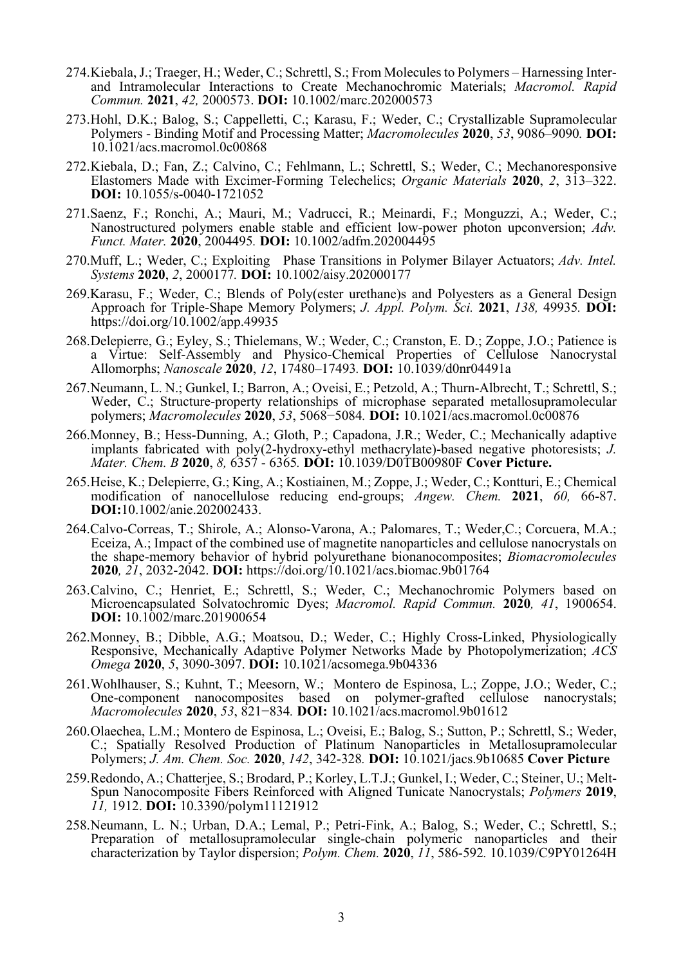- 274. Kiebala, J.; Traeger, H.; Weder, C.; Schrettl, S.; From Molecules to Polymers Harnessing Interand Intramolecular Interactions to Create Mechanochromic Materials; *Macromol. Rapid Commun.* **2021**, *42,* 2000573. **DOI:** 10.1002/marc.202000573
- 273. Hohl, D.K.; Balog, S.; Cappelletti, C.; Karasu, F.; Weder, C.; Crystallizable Supramolecular Polymers - Binding Motif and Processing Matter; *Macromolecules* **2020**, *53*, 9086–9090*.* **DOI:** 10.1021/acs.macromol.0c00868
- 272. Kiebala, D.; Fan, Z.; Calvino, C.; Fehlmann, L.; Schrettl, S.; Weder, C.; Mechanoresponsive Elastomers Made with Excimer-Forming Telechelics; *Organic Materials* **2020**, *2*, 313–322. **DOI:** 10.1055/s-0040-1721052
- 271.Saenz, F.; Ronchi, A.; Mauri, M.; Vadrucci, R.; Meinardi, F.; Monguzzi, A.; Weder, C.; Nanostructured polymers enable stable and efficient low-power photon upconversion; *Adv. Funct. Mater.* **2020**, 2004495*.* **DOI:** 10.1002/adfm.202004495
- 270.Muff, L.; Weder, C.; Exploiting Phase Transitions in Polymer Bilayer Actuators; *Adv. Intel. Systems* **2020**, *2*, 2000177*.* **DOI:** 10.1002/aisy.202000177
- 269.Karasu, F.; Weder, C.; Blends of Poly(ester urethane)s and Polyesters as a General Design Approach for Triple-Shape Memory Polymers; *J. Appl. Polym. Sci.* **2021**, *138,* 49935*.* **DOI:** https://doi.org/10.1002/app.49935
- 268. Delepierre, G.; Eyley, S.; Thielemans, W.; Weder, C.; Cranston, E. D.; Zoppe, J.O.; Patience is a Virtue: Self-Assembly and Physico-Chemical Properties of Cellulose Nanocrystal Allomorphs; *Nanoscale* **2020**, *12*, 17480–17493*.* **DOI:** 10.1039/d0nr04491a
- 267. Neumann, L. N.; Gunkel, I.; Barron, A.; Oveisi, E.; Petzold, A.; Thurn-Albrecht, T.; Schrettl, S.; Weder, C.; Structure-property relationships of microphase separated metallosupramolecular polymers; *Macromolecules* **2020**, *53*, 5068−5084*.* **DOI:** 10.1021/acs.macromol.0c00876
- 266.Monney, B.; Hess-Dunning, A.; Gloth, P.; Capadona, J.R.; Weder, C.; Mechanically adaptive implants fabricated with poly(2-hydroxy-ethyl methacrylate)-based negative photoresists; *J. Mater. Chem. B* **2020**, *8,* 6357 - 6365*.* **DOI:** 10.1039/D0TB00980F **Cover Picture.**
- 265. Heise, K.; Delepierre, G.; King, A.; Kostiainen, M.; Zoppe, J.; Weder, C.; Kontturi, E.; Chemical modification of nanocellulose reducing end-groups; *Angew. Chem.* **2021**, *60,* 66-87. **DOI:**10.1002/anie.202002433.
- 264.Calvo-Correas, T.; Shirole, A.; Alonso-Varona, A.; Palomares, T.; Weder,C.; Corcuera, M.A.; Eceiza, A.; Impact of the combined use of magnetite nanoparticles and cellulose nanocrystals on the shape-memory behavior of hybrid polyurethane bionanocomposites; *Biomacromolecules*  **2020***, 21*, 2032-2042. **DOI:** https://doi.org/10.1021/acs.biomac.9b01764
- 263. Calvino, C.; Henriet, E.; Schrettl, S.; Weder, C.; Mechanochromic Polymers based on Microencapsulated Solvatochromic Dyes; *Macromol. Rapid Commun.* **2020***, 41*, 1900654. **DOI:** 10.1002/marc.201900654
- 262.Monney, B.; Dibble, A.G.; Moatsou, D.; Weder, C.; Highly Cross-Linked, Physiologically Responsive, Mechanically Adaptive Polymer Networks Made by Photopolymerization; *ACS Omega* **2020**, *5*, 3090-3097. **DOI:** 10.1021/acsomega.9b04336
- 261. Wohlhauser, S.; Kuhnt, T.; Meesorn, W.; Montero de Espinosa, L.; Zoppe, J.O.; Weder, C.; One-component nanocomposites based on polymer-grafted cellulose nanocrystals; *Macromolecules* **2020**, *53*, 821−834*.* **DOI:** 10.1021/acs.macromol.9b01612
- 260. Olaechea, L.M.; Montero de Espinosa, L.; Oveisi, E.; Balog, S.; Sutton, P.; Schrettl, S.; Weder, C.; Spatially Resolved Production of Platinum Nanoparticles in Metallosupramolecular Polymers; *J. Am. Chem. Soc.* **2020**, *142*, 342-328*.* **DOI:** 10.1021/jacs.9b10685 **Cover Picture**
- 259. Redondo, A.; Chatterjee, S.; Brodard, P.; Korley, L.T.J.; Gunkel, I.; Weder, C.; Steiner, U.; Melt-Spun Nanocomposite Fibers Reinforced with Aligned Tunicate Nanocrystals; *Polymers* **2019**, *11,* 1912. **DOI:** 10.3390/polym11121912
- 258. Neumann, L. N.; Urban, D.A.; Lemal, P.; Petri-Fink, A.; Balog, S.; Weder, C.; Schrettl, S.; Preparation of metallosupramolecular single-chain polymeric nanoparticles and their characterization by Taylor dispersion; *Polym. Chem.* **2020**, *11*, 586-592*.* 10.1039/C9PY01264H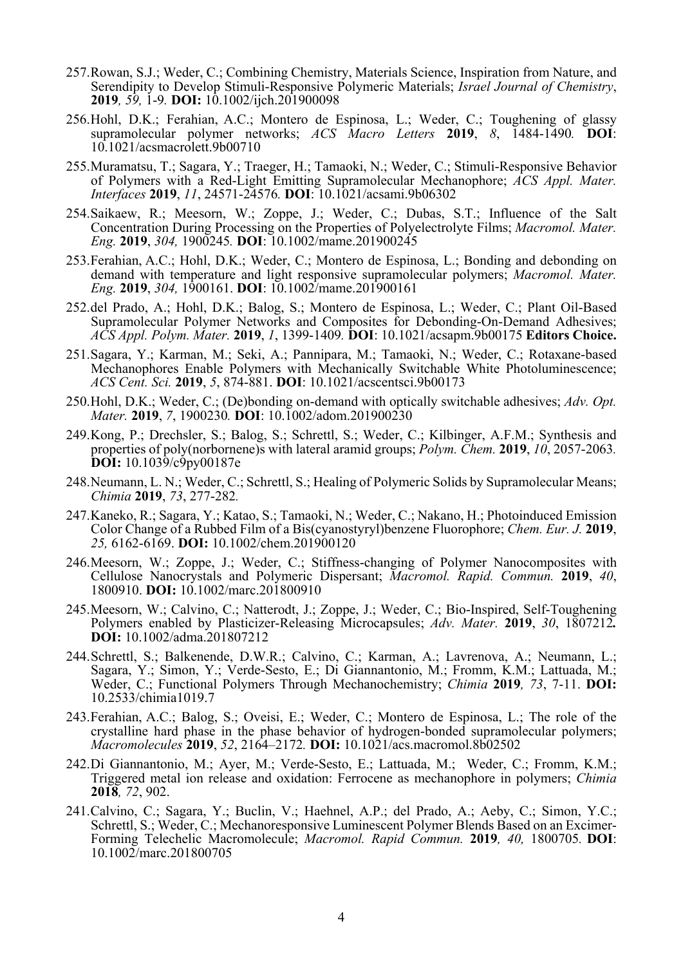- 257. Rowan, S.J.; Weder, C.; Combining Chemistry, Materials Science, Inspiration from Nature, and Serendipity to Develop Stimuli-Responsive Polymeric Materials; *Israel Journal of Chemistry*, **<sup>2019</sup>***, 59,* 1-9*.* **DOI:** 10.1002/ijch.201900098
- 256. Hohl, D.K.; Ferahian, A.C.; Montero de Espinosa, L.; Weder, C.; Toughening of glassy supramolecular polymer networks; *ACS Macro Letters* **2019**, *8*, 1484-1490*.* **DOI**: 10.1021/acsmacrolett.9b00710
- 255. Muramatsu, T.; Sagara, Y.; Traeger, H.; Tamaoki, N.; Weder, C.; Stimuli-Responsive Behavior of Polymers with a Red-Light Emitting Supramolecular Mechanophore; *ACS Appl. Mater. Interfaces* **2019**, *11*, 24571-24576*.* **DOI**: 10.1021/acsami.9b06302
- 254. Saikaew, R.; Meesorn, W.; Zoppe, J.; Weder, C.; Dubas, S.T.; Influence of the Salt Concentration During Processing on the Properties of Polyelectrolyte Films; *Macromol. Mater. Eng.* **2019**, *304,* 1900245*.* **DOI**: 10.1002/mame.201900245
- 253. Ferahian, A.C.; Hohl, D.K.; Weder, C.; Montero de Espinosa, L.; Bonding and debonding on demand with temperature and light responsive supramolecular polymers; *Macromol. Mater. Eng.* **2019**, *304,* 1900161. **DOI**: 10.1002/mame.201900161
- 252. del Prado, A.; Hohl, D.K.; Balog, S.; Montero de Espinosa, L.; Weder, C.; Plant Oil-Based Supramolecular Polymer Networks and Composites for Debonding-On-Demand Adhesives; *ACS Appl. Polym. Mater.* **2019**, *1*, 1399-1409*.* **DOI**: 10.1021/acsapm.9b00175 **Editors Choice.**
- 251. Sagara, Y.; Karman, M.; Seki, A.; Pannipara, M.; Tamaoki, N.; Weder, C.; Rotaxane-based Mechanophores Enable Polymers with Mechanically Switchable White Photoluminescence; *ACS Cent. Sci.* **2019**, *5*, 874-881. **DOI**: 10.1021/acscentsci.9b00173
- 250. Hohl, D.K.; Weder, C.; (De)bonding on-demand with optically switchable adhesives; *Adv. Opt. Mater.* **2019**, *7*, 1900230*.* **DOI**: 10.1002/adom.201900230
- 249. Kong, P.; Drechsler, S.; Balog, S.; Schrettl, S.; Weder, C.; Kilbinger, A.F.M.; Synthesis and properties of poly(norbornene)s with lateral aramid groups; *Polym. Chem.* **2019**, *10*, 2057-2063*.* **DOI:** 10.1039/c9py00187e
- 248. Neumann, L. N.; Weder, C.; Schrettl, S.; Healing of Polymeric Solids by Supramolecular Means; *Chimia* **2019**, *73*, 277-282*.*
- 247. Kaneko, R.; Sagara, Y.; Katao, S.; Tamaoki, N.; Weder, C.; Nakano, H.; Photoinduced Emission Color Change of a Rubbed Film of a Bis(cyanostyryl)benzene Fluorophore; *Chem. Eur. J.* **2019**, *25,* 6162-6169. **DOI:** 10.1002/chem.201900120
- 246. Meesorn, W.; Zoppe, J.; Weder, C.; Stiffness-changing of Polymer Nanocomposites with Cellulose Nanocrystals and Polymeric Dispersant; *Macromol. Rapid. Commun.* **2019**, *40*, 1800910. **DOI:** 10.1002/marc.201800910
- 245. Meesorn, W.; Calvino, C.; Natterodt, J.; Zoppe, J.; Weder, C.; Bio-Inspired, Self-Toughening Polymers enabled by Plasticizer-Releasing Microcapsules; *Adv. Mater.* **2019**, *30*, 1807212*.* **DOI:** 10.1002/adma.201807212
- 244. Schrettl, S.; Balkenende, D.W.R.; Calvino, C.; Karman, A.; Lavrenova, A.; Neumann, L.; Sagara, Y.; Simon, Y.; Verde-Sesto, E.; Di Giannantonio, M.; Fromm, K.M.; Lattuada, M.; Weder, C.; Functional Polymers Through Mechanochemistry; *Chimia* **2019***, 73*, 7-11. **DOI:** 10.2533/chimia1019.7
- 243. Ferahian, A.C.; Balog, S.; Oveisi, E.; Weder, C.; Montero de Espinosa, L.; The role of the crystalline hard phase in the phase behavior of hydrogen-bonded supramolecular polymers; *Macromolecules* **2019**, *52*, 2164–2172*.* **DOI:** 10.1021/acs.macromol.8b02502
- 242. Di Giannantonio, M.; Ayer, M.; Verde-Sesto, E.; Lattuada, M.; Weder, C.; Fromm, K.M.; Triggered metal ion release and oxidation: Ferrocene as mechanophore in polymers; *Chimia*  **2018***, 72*, 902.
- 241. Calvino, C.; Sagara, Y.; Buclin, V.; Haehnel, A.P.; del Prado, A.; Aeby, C.; Simon, Y.C.; Schrettl, S.; Weder, C.; Mechanoresponsive Luminescent Polymer Blends Based on an Excimer-Forming Telechelic Macromolecule; *Macromol. Rapid Commun.* **2019***, 40,* 1800705*.* **DOI**: 10.1002/marc.201800705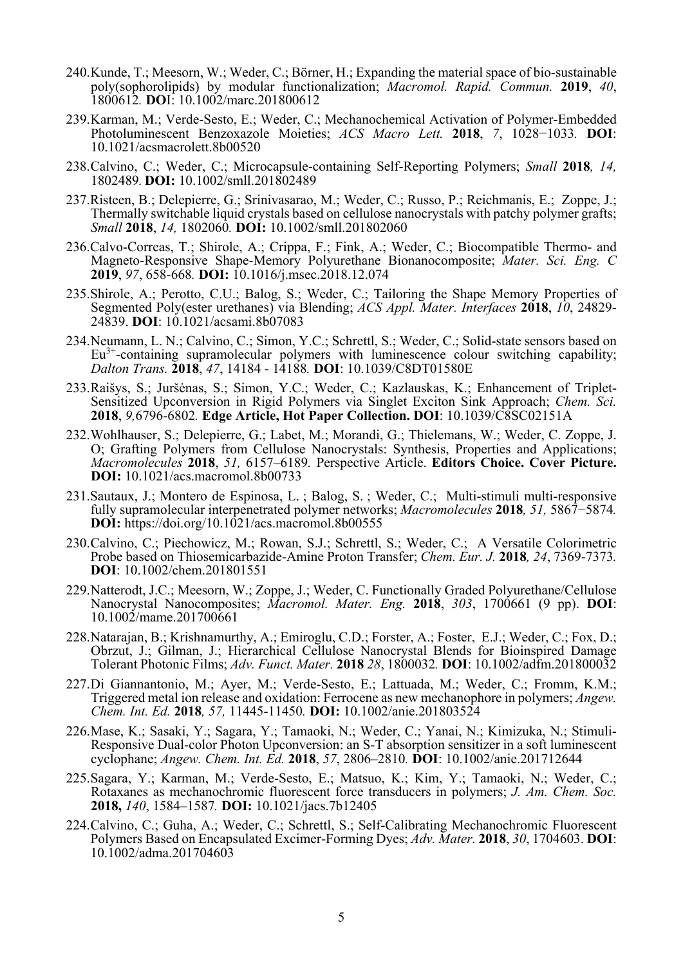- 240. Kunde, T.; Meesorn, W.; Weder, C.; Börner, H.; Expanding the material space of bio-sustainable poly(sophorolipids) by modular functionalization; *Macromol. Rapid. Commun.* **2019**, *40*, 1800612*.* **DO**I: 10.1002/marc.201800612
- 239. Karman, M.; Verde-Sesto, E.; Weder, C.; Mechanochemical Activation of Polymer-Embedded Photoluminescent Benzoxazole Moieties; *ACS Macro Lett.* **2018**, *7*, 1028−1033*.* **DOI**: 10.1021/acsmacrolett.8b00520
- 238. Calvino, C.; Weder, C.; Microcapsule-containing Self-Reporting Polymers; *Small* **2018***, 14,*  1802489*.* **DOI:** 10.1002/smll.201802489
- 237.Risteen, B.; Delepierre, G.; Srinivasarao, M.; Weder, C.; Russo, P.; Reichmanis, E.; Zoppe, J.; Thermally switchable liquid crystals based on cellulose nanocrystals with patchy polymer grafts; *Small* **2018**, *14,* 1802060*.* **DOI:** 10.1002/smll.201802060
- 236.Calvo-Correas, T.; Shirole, A.; Crippa, F.; Fink, A.; Weder, C.; Biocompatible Thermo- and Magneto-Responsive Shape-Memory Polyurethane Bionanocomposite; *Mater. Sci. Eng. C* **2019**, *97*, 658-668*.* **DOI:** 10.1016/j.msec.2018.12.074
- 235.Shirole, A.; Perotto, C.U.; Balog, S.; Weder, C.; Tailoring the Shape Memory Properties of Segmented Poly(ester urethanes) via Blending; *ACS Appl. Mater. Interfaces* **2018**, *10*, 24829- 24839. **DOI**: 10.1021/acsami.8b07083
- 234. Neumann, L. N.; Calvino, C.; Simon, Y.C.; Schrettl, S.; Weder, C.; Solid-state sensors based on  $Eu<sup>3+</sup>$ -containing supramolecular polymers with luminescence colour switching capability; *Dalton Trans.* **2018**, *47*, 14184 - 14188*.* **DOI**: 10.1039/C8DT01580E
- 233. Raišys, S.; Juršėnas, S.; Simon, Y.C.; Weder, C.; Kazlauskas, K.; Enhancement of Triplet-Sensitized Upconversion in Rigid Polymers via Singlet Exciton Sink Approach; *Chem. Sci.* **2018**, *9,*6796-6802*.* **Edge Article, Hot Paper Collection. DOI**: 10.1039/C8SC02151A
- 232. Wohlhauser, S.; Delepierre, G.; Labet, M.; Morandi, G.; Thielemans, W.; Weder, C. Zoppe, J. O; Grafting Polymers from Cellulose Nanocrystals: Synthesis, Properties and Applications; *Macromolecules* **2018**, *51,* 6157–6189*.* Perspective Article. **Editors Choice. Cover Picture. DOI:** 10.1021/acs.macromol.8b00733
- 231.Sautaux, J.; Montero de Espinosa, L. ; Balog, S. ; Weder, C.; Multi-stimuli multi-responsive fully supramolecular interpenetrated polymer networks; *Macromolecules* **2018***, 51,* 5867−5874*.* **DOI:** https://doi.org/10.1021/acs.macromol.8b00555
- 230. Calvino, C.; Piechowicz, M.; Rowan, S.J.; Schrettl, S.; Weder, C.; A Versatile Colorimetric Probe based on Thiosemicarbazide-Amine Proton Transfer; *Chem. Eur. J.* **2018***, 24*, 7369-7373*.* **DOI**: 10.1002/chem.201801551
- 229. Natterodt, J.C.; Meesorn, W.; Zoppe, J.; Weder, C. Functionally Graded Polyurethane/Cellulose Nanocrystal Nanocomposites; *Macromol. Mater. Eng.* **2018**, *303*, 1700661 (9 pp). **DOI**: 10.1002/mame.201700661
- 228. Natarajan, B.; Krishnamurthy, A.; Emiroglu, C.D.; Forster, A.; Foster, E.J.; Weder, C.; Fox, D.; Obrzut, J.; Gilman, J.; Hierarchical Cellulose Nanocrystal Blends for Bioinspired Damage Tolerant Photonic Films; *Adv. Funct. Mater.* **2018** *28*, 1800032*.* **DOI**: 10.1002/adfm.201800032
- 227. Di Giannantonio, M.; Ayer, M.; Verde-Sesto, E.; Lattuada, M.; Weder, C.; Fromm, K.M.; Triggered metal ion release and oxidation: Ferrocene as new mechanophore in polymers; *Angew. Chem. Int. Ed.* **2018***, 57,* 11445-11450*.* **DOI:** 10.1002/anie.201803524
- 226. Mase, K.; Sasaki, Y.; Sagara, Y.; Tamaoki, N.; Weder, C.; Yanai, N.; Kimizuka, N.; Stimuli-Responsive Dual-color Photon Upconversion: an S-T absorption sensitizer in a soft luminescent cyclophane; *Angew. Chem. Int. Ed.* **2018**, *57*, 2806–2810*.* **DOI**: 10.1002/anie.201712644
- 225. Sagara, Y.; Karman, M.; Verde-Sesto, E.; Matsuo, K.; Kim, Y.; Tamaoki, N.; Weder, C.; Rotaxanes as mechanochromic fluorescent force transducers in polymers; *J. Am. Chem. Soc.* **2018,** *140*, 1584–1587*.* **DOI:** 10.1021/jacs.7b12405
- 224. Calvino, C.; Guha, A.; Weder, C.; Schrettl, S.; Self-Calibrating Mechanochromic Fluorescent Polymers Based on Encapsulated Excimer-Forming Dyes; *Adv. Mater.* **2018**, *30*, 1704603. **DOI**: 10.1002/adma.201704603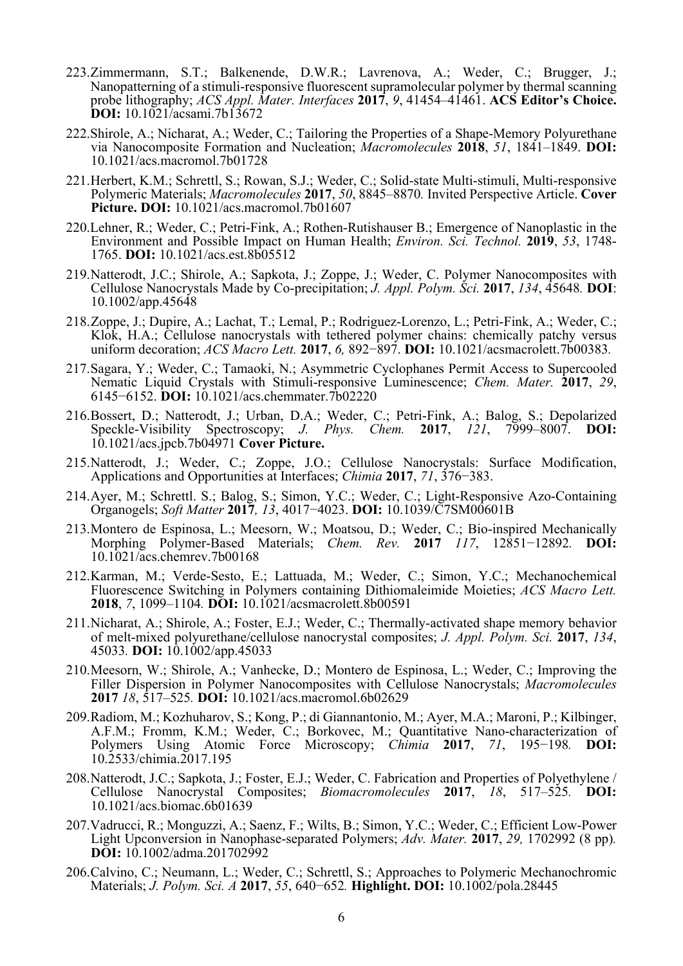- 223. Zimmermann, S.T.; Balkenende, D.W.R.; Lavrenova, A.; Weder, C.; Brugger, J.; Nanopatterning of a stimuli-responsive fluorescent supramolecular polymer by thermal scanning probe lithography; *ACS Appl. Mater. Interfaces* **2017**, *9*, 41454–41461. **ACS Editor's Choice. DOI:** 10.1021/acsami.7b13672
- 222.Shirole, A.; Nicharat, A.; Weder, C.; Tailoring the Properties of a Shape-Memory Polyurethane via Nanocomposite Formation and Nucleation; *Macromolecules* **2018**, *51*, 1841–1849. **DOI:**  10.1021/acs.macromol.7b01728
- 221. Herbert, K.M.; Schrettl, S.; Rowan, S.J.; Weder, C.; Solid-state Multi-stimuli, Multi-responsive Polymeric Materials; *Macromolecules* **2017**, *50*, 8845–8870*.* Invited Perspective Article. **Cover Picture. DOI:** 10.1021/acs.macromol.7b01607
- 220.Lehner, R.; Weder, C.; Petri-Fink, A.; Rothen-Rutishauser B.; Emergence of Nanoplastic in the Environment and Possible Impact on Human Health; *Environ. Sci. Technol.* **2019**, *53*, 1748- 1765. **DOI:** 10.1021/acs.est.8b05512
- 219. Natterodt, J.C.; Shirole, A.; Sapkota, J.; Zoppe, J.; Weder, C. Polymer Nanocomposites with Cellulose Nanocrystals Made by Co-precipitation; *J. Appl. Polym. Sci.* **2017**, *134*, 45648*.* **DOI**: 10.1002/app.45648
- 218. Zoppe, J.; Dupire, A.; Lachat, T.; Lemal, P.; Rodriguez-Lorenzo, L.; Petri-Fink, A.; Weder, C.; Klok, H.A.; Cellulose nanocrystals with tethered polymer chains: chemically patchy versus uniform decoration; *ACS Macro Lett.* **2017**, *6,* 892−897. **DOI:** 10.1021/acsmacrolett.7b00383*.*
- 217. Sagara, Y.; Weder, C.; Tamaoki, N.; Asymmetric Cyclophanes Permit Access to Supercooled Nematic Liquid Crystals with Stimuli-responsive Luminescence; *Chem. Mater.* **2017**, *29*, 6145−6152. **DOI:** 10.1021/acs.chemmater.7b02220
- 216. Bossert, D.; Natterodt, J.; Urban, D.A.; Weder, C.; Petri-Fink, A.; Balog, S.; Depolarized Speckle-Visibility Spectroscopy; *J. Phys. Chem.* **2017**, *121*, 7999–8007. **DOI:** 10.1021/acs.jpcb.7b04971 **Cover Picture.**
- 215. Natterodt, J.; Weder, C.; Zoppe, J.O.; Cellulose Nanocrystals: Surface Modification, Applications and Opportunities at Interfaces; *Chimia* **2017**, *71*, 376−383.
- 214. Ayer, M.; Schrettl. S.; Balog, S.; Simon, Y.C.; Weder, C.; Light-Responsive Azo-Containing Organogels; *Soft Matter* **2017***, 13*, 4017−4023. **DOI:** 10.1039/C7SM00601B
- 213. Montero de Espinosa, L.; Meesorn, W.; Moatsou, D.; Weder, C.; Bio-inspired Mechanically Morphing Polymer-Based Materials; *Chem. Rev.* **2017** *117*, 12851−12892*.* **DOI:** 10.1021/acs.chemrev.7b00168
- 212. Karman, M.; Verde-Sesto, E.; Lattuada, M.; Weder, C.; Simon, Y.C.; Mechanochemical Fluorescence Switching in Polymers containing Dithiomaleimide Moieties; *ACS Macro Lett.*  **2018**, *7*, 1099–1104*.* **DOI:** 10.1021/acsmacrolett.8b00591
- 211. Nicharat, A.; Shirole, A.; Foster, E.J.; Weder, C.; Thermally-activated shape memory behavior of melt-mixed polyurethane/cellulose nanocrystal composites; *J. Appl. Polym. Sci.* **2017**, *134*, 45033*.* **DOI:** 10.1002/app.45033
- 210. Meesorn, W.; Shirole, A.; Vanhecke, D.; Montero de Espinosa, L.; Weder, C.; Improving the Filler Dispersion in Polymer Nanocomposites with Cellulose Nanocrystals; *Macromolecules*  **2017** *18*, 517–525*.* **DOI:** 10.1021/acs.macromol.6b02629
- 209. Radiom, M.; Kozhuharov, S.; Kong, P.; di Giannantonio, M.; Ayer, M.A.; Maroni, P.; Kilbinger, A.F.M.; Fromm, K.M.; Weder, C.; Borkovec, M.; Quantitative Nano-characterization of Polymers Using Atomic Force Microscopy; *Chimia* **2017**, *71*, 195−198*.* **DOI:** 10.2533/chimia.2017.195
- 208. Natterodt, J.C.; Sapkota, J.; Foster, E.J.; Weder, C. Fabrication and Properties of Polyethylene / Cellulose Nanocrystal Composites; *Biomacromolecules* **2017**, *18*, 517–525*.* **DOI:** 10.1021/acs.biomac.6b01639
- 207.Vadrucci, R.; Monguzzi, A.; Saenz, F.; Wilts, B.; Simon, Y.C.; Weder, C.; Efficient Low-Power Light Upconversion in Nanophase-separated Polymers; *Adv. Mater.* **2017**, *29,* 1702992 (8 pp)*.* **DOI:** 10.1002/adma.201702992
- 206. Calvino, C.; Neumann, L.; Weder, C.; Schrettl, S.; Approaches to Polymeric Mechanochromic Materials; *J. Polym. Sci. A* **2017**, *55*, 640−652*.* **Highlight. DOI:** 10.1002/pola.28445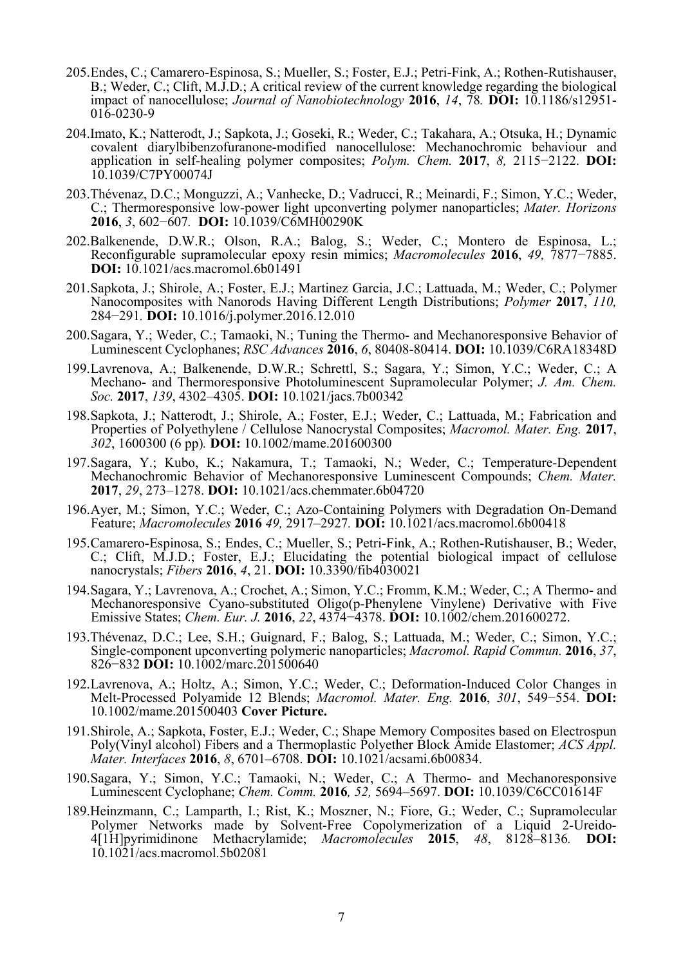- 205. Endes, C.; Camarero-Espinosa, S.; Mueller, S.; Foster, E.J.; Petri-Fink, A.; Rothen-Rutishauser, B.; Weder, C.; Clift, M.J.D.; A critical review of the current knowledge regarding the biological impact of nanocellulose; *Journal of Nanobiotechnology* **2016**, *14*, 78*.* **DOI:** 10.1186/s12951- 016-0230-9
- 204.Imato, K.; Natterodt, J.; Sapkota, J.; Goseki, R.; Weder, C.; Takahara, A.; Otsuka, H.; Dynamic covalent diarylbibenzofuranone-modified nanocellulose: Mechanochromic behaviour and application in self-healing polymer composites; *Polym. Chem.* **2017**, *8,* 2115−2122. **DOI:**  10.1039/C7PY00074J
- 203.Thévenaz, D.C.; Monguzzi, A.; Vanhecke, D.; Vadrucci, R.; Meinardi, F.; Simon, Y.C.; Weder, C.; Thermoresponsive low-power light upconverting polymer nanoparticles; *Mater. Horizons*  **2016**, *3*, 602−607*.* **DOI:** 10.1039/C6MH00290K
- 202.Balkenende, D.W.R.; Olson, R.A.; Balog, S.; Weder, C.; Montero de Espinosa, L.; Reconfigurable supramolecular epoxy resin mimics; *Macromolecules* **2016**, *49,* 7877−7885. **DOI:** 10.1021/acs.macromol.6b01491
- 201. Sapkota, J.; Shirole, A.; Foster, E.J.; Martinez Garcia, J.C.; Lattuada, M.; Weder, C.; Polymer Nanocomposites with Nanorods Having Different Length Distributions; *Polymer* **2017**, *110,*  284−291*.* **DOI:** 10.1016/j.polymer.2016.12.010
- 200. Sagara, Y.; Weder, C.; Tamaoki, N.; Tuning the Thermo- and Mechanoresponsive Behavior of Luminescent Cyclophanes; *RSC Advances* **2016**, *6*, 80408-80414. **DOI:** 10.1039/C6RA18348D
- 199. Lavrenova, A.; Balkenende, D.W.R.; Schrettl, S.; Sagara, Y.; Simon, Y.C.; Weder, C.; A Mechano- and Thermoresponsive Photoluminescent Supramolecular Polymer; *J. Am. Chem. Soc.* **2017**, *139*, 4302–4305. **DOI:** 10.1021/jacs.7b00342
- 198. Sapkota, J.; Natterodt, J.; Shirole, A.; Foster, E.J.; Weder, C.; Lattuada, M.; Fabrication and Properties of Polyethylene / Cellulose Nanocrystal Composites; *Macromol. Mater. Eng.* **2017**, *302*, 1600300 (6 pp)*.* **DOI:** 10.1002/mame.201600300
- 197. Sagara, Y.; Kubo, K.; Nakamura, T.; Tamaoki, N.; Weder, C.; Temperature-Dependent Mechanochromic Behavior of Mechanoresponsive Luminescent Compounds; *Chem. Mater.*  **2017**, *29*, 273–1278. **DOI:** 10.1021/acs.chemmater.6b04720
- 196. Ayer, M.; Simon, Y.C.; Weder, C.; Azo-Containing Polymers with Degradation On-Demand Feature; *Macromolecules* **2016** *49,* 2917–2927*.* **DOI:** 10.1021/acs.macromol.6b00418
- 195. Camarero-Espinosa, S.; Endes, C.; Mueller, S.; Petri-Fink, A.; Rothen-Rutishauser, B.; Weder, C.; Clift, M.J.D.; Foster, E.J.; Elucidating the potential biological impact of cellulose nanocrystals; *Fibers* **2016**, *4*, 21. **DOI:** 10.3390/fib4030021
- 194. Sagara, Y.; Lavrenova, A.; Crochet, A.; Simon, Y.C.; Fromm, K.M.; Weder, C.; A Thermo- and Mechanoresponsive Cyano-substituted Oligo(p-Phenylene Vinylene) Derivative with Five Emissive States; *Chem. Eur. J.* **2016**, *22*, 4374−4378. **DOI:** 10.1002/chem.201600272.
- 193.Thévenaz, D.C.; Lee, S.H.; Guignard, F.; Balog, S.; Lattuada, M.; Weder, C.; Simon, Y.C.; Single-component upconverting polymeric nanoparticles; *Macromol. Rapid Commun.* **2016**, *<sup>37</sup>*, 826−832 **DOI:** 10.1002/marc.201500640
- 192. Lavrenova, A.; Holtz, A.; Simon, Y.C.; Weder, C.; Deformation-Induced Color Changes in Melt-Processed Polyamide 12 Blends; *Macromol. Mater. Eng.* **2016**, *301*, 549−554. **DOI:** 10.1002/mame.201500403 **Cover Picture.**
- 191. Shirole, A.; Sapkota, Foster, E.J.; Weder, C.; Shape Memory Composites based on Electrospun Poly(Vinyl alcohol) Fibers and a Thermoplastic Polyether Block Amide Elastomer; *ACS Appl. Mater. Interfaces* **2016**, *8*, 6701–6708. **DOI:** 10.1021/acsami.6b00834.
- 190. Sagara, Y.; Simon, Y.C.; Tamaoki, N.; Weder, C.; A Thermo- and Mechanoresponsive Luminescent Cyclophane; *Chem. Comm.* **2016***, 52,* 5694–5697. **DOI:** 10.1039/C6CC01614F
- 189.Heinzmann, C.; Lamparth, I.; Rist, K.; Moszner, N.; Fiore, G.; Weder, C.; Supramolecular Polymer Networks made by Solvent-Free Copolymerization of a Liquid 2-Ureido-4[1H]pyrimidinone Methacrylamide; *Macromolecules* **2015**, *48*, 8128–8136*.* **DOI:** 10.1021/acs.macromol.5b02081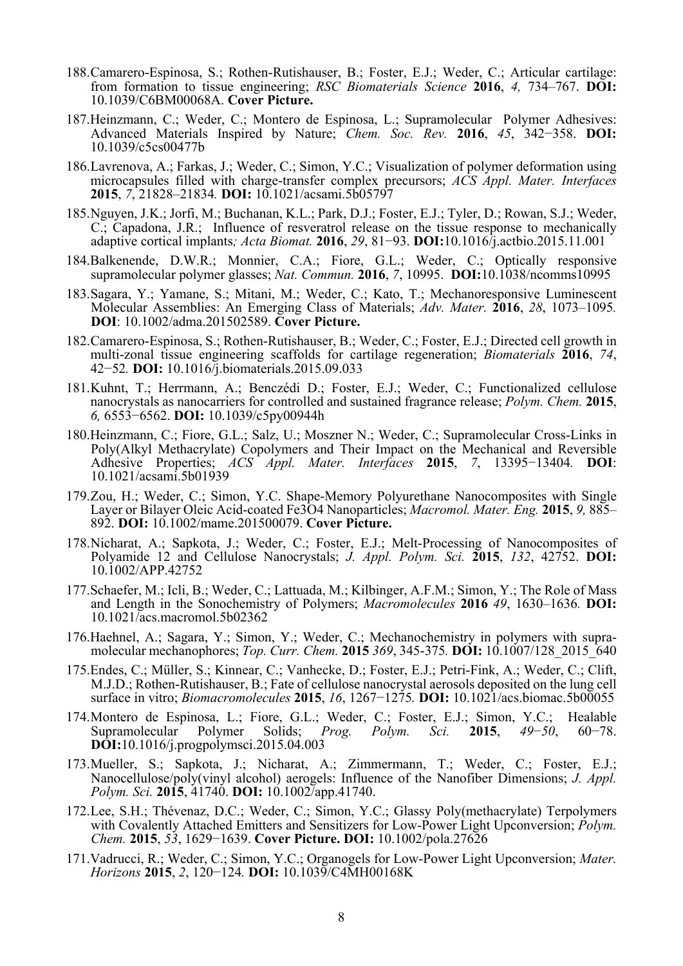- 188. Camarero-Espinosa, S.; Rothen-Rutishauser, B.; Foster, E.J.; Weder, C.; Articular cartilage: from formation to tissue engineering; *RSC Biomaterials Science* **2016**, *4,* 734–767. **DOI:** 10.1039/C6BM00068A. **Cover Picture.**
- 187.Heinzmann, C.; Weder, C.; Montero de Espinosa, L.; Supramolecular Polymer Adhesives: Advanced Materials Inspired by Nature; *Chem. Soc. Rev.* **2016**, *45*, 342−358. **DOI:** 10.1039/c5cs00477b
- 186. Lavrenova, A.; Farkas, J.; Weder, C.; Simon, Y.C.; Visualization of polymer deformation using microcapsules filled with charge-transfer complex precursors; *ACS Appl. Mater. Interfaces*  **2015**, *7*, 21828–21834*.* **DOI:** 10.1021/acsami.5b05797
- 185. Nguyen, J.K.; Jorfi, M.; Buchanan, K.L.; Park, D.J.; Foster, E.J.; Tyler, D.; Rowan, S.J.; Weder, C.; Capadona, J.R.; Influence of resveratrol release on the tissue response to mechanically adaptive cortical implants*; Acta Biomat.* **2016**, *29*, 81−93. **DOI:**10.1016/j.actbio.2015.11.001
- 184.Balkenende, D.W.R.; Monnier, C.A.; Fiore, G.L.; Weder, C.; Optically responsive supramolecular polymer glasses; *Nat. Commun.* **2016**, *7*, 10995. **DOI:**10.1038/ncomms10995
- 183. Sagara, Y.; Yamane, S.; Mitani, M.; Weder, C.; Kato, T.; Mechanoresponsive Luminescent Molecular Assemblies: An Emerging Class of Materials; *Adv. Mater.* **2016**, *28*, 1073–1095*.* **DOI**: 10.1002/adma.201502589. **Cover Picture.**
- 182. Camarero-Espinosa, S.; Rothen-Rutishauser, B.; Weder, C.; Foster, E.J.; Directed cell growth in multi-zonal tissue engineering scaffolds for cartilage regeneration; *Biomaterials* **<sup>2016</sup>**, *74*, 42−52*.* **DOI:** 10.1016/j.biomaterials.2015.09.033
- 181. Kuhnt, T.; Herrmann, A.; Benczédi D.; Foster, E.J.; Weder, C.; Functionalized cellulose nanocrystals as nanocarriers for controlled and sustained fragrance release; *Polym. Chem.* **2015**, *6,* 6553−6562. **DOI:** 10.1039/c5py00944h
- 180.Heinzmann, C.; Fiore, G.L.; Salz, U.; Moszner N.; Weder, C.; Supramolecular Cross-Links in Poly(Alkyl Methacrylate) Copolymers and Their Impact on the Mechanical and Reversible Adhesive Properties; *ACS Appl. Mater. Interfaces* **2015**, *7*, 13395−13404*.* **DOI**: 10.1021/acsami.5b01939
- 179. Zou, H.; Weder, C.; Simon, Y.C. Shape-Memory Polyurethane Nanocomposites with Single Layer or Bilayer Oleic Acid-coated Fe3O4 Nanoparticles; *Macromol. Mater. Eng.* **2015**, *9,* 885– 892. **DOI:** 10.1002/mame.201500079. **Cover Picture.**
- 178. Nicharat, A.; Sapkota, J.; Weder, C.; Foster, E.J.; Melt-Processing of Nanocomposites of Polyamide 12 and Cellulose Nanocrystals; *J. Appl. Polym. Sci.* **2015**, *132*, 42752. **DOI:** 10.1002/APP.42752
- 177.Schaefer, M.; Icli, B.; Weder, C.; Lattuada, M.; Kilbinger, A.F.M.; Simon, Y.; The Role of Mass and Length in the Sonochemistry of Polymers; *Macromolecules* **2016** *49*, 1630–1636*.* **DOI:**  10.1021/acs.macromol.5b02362
- 176.Haehnel, A.; Sagara, Y.; Simon, Y.; Weder, C.; Mechanochemistry in polymers with supramolecular mechanophores; *Top. Curr. Chem.* **2015** *369*, 345-375*.* **DOI:** 10.1007/128\_2015\_640
- 175.Endes, C.; Müller, S.; Kinnear, C.; Vanhecke, D.; Foster, E.J.; Petri-Fink, A.; Weder, C.; Clift, M.J.D.; Rothen-Rutishauser, B.; Fate of cellulose nanocrystal aerosols deposited on the lung cell surface in vitro; *Biomacromolecules* **2015**, *16*, 1267−1275*.* **DOI:** 10.1021/acs.biomac.5b00055
- 174. Montero de Espinosa, L.; Fiore, G.L.; Weder, C.; Foster, E.J.; Simon, Y.C.; Healable Supramolecular Polymer Solids; *Prog. Polym. Sci.* **2015**, *49*−*50*, 60−78. **DOI:**10.1016/j.progpolymsci.2015.04.003
- 173. Mueller, S.; Sapkota, J.; Nicharat, A.; Zimmermann, T.; Weder, C.; Foster, E.J.; Nanocellulose/poly(vinyl alcohol) aerogels: Influence of the Nanofiber Dimensions; *J. Appl. Polym. Sci.* **2015**, 41740. **DOI:** 10.1002/app.41740.
- 172. Lee, S.H.; Thévenaz, D.C.; Weder, C.; Simon, Y.C.; Glassy Poly(methacrylate) Terpolymers with Covalently Attached Emitters and Sensitizers for Low-Power Light Upconversion; *Polym. Chem.* **2015**, *53*, 1629−1639. **Cover Picture. DOI:** 10.1002/pola.27626
- 171.Vadrucci, R.; Weder, C.; Simon, Y.C.; Organogels for Low-Power Light Upconversion; *Mater. Horizons* **2015**, *2*, 120−124*.* **DOI:** 10.1039/C4MH00168K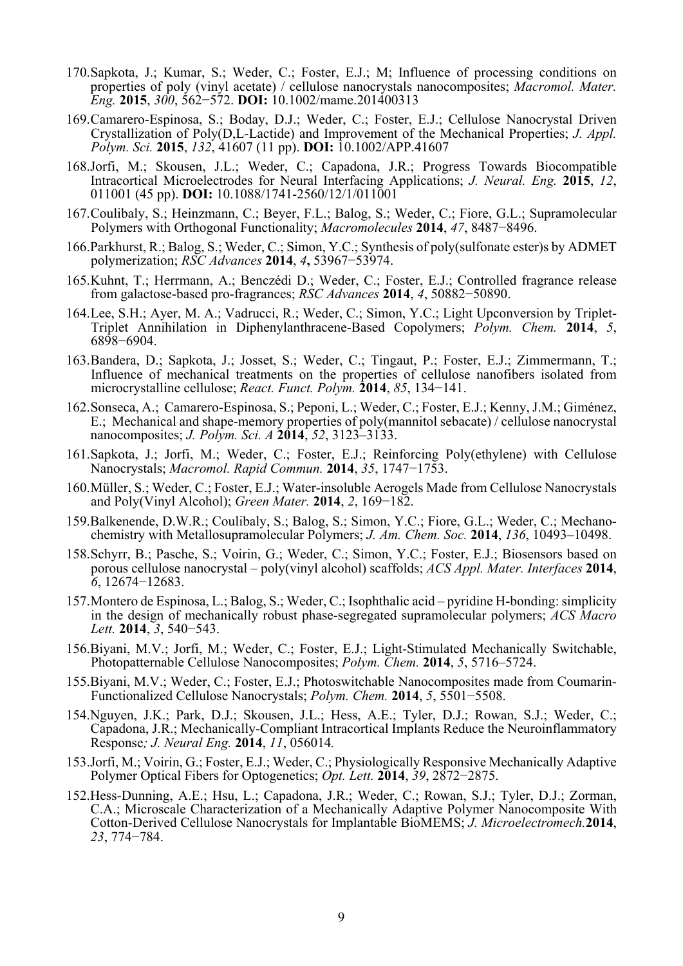- 170. Sapkota, J.; Kumar, S.; Weder, C.; Foster, E.J.; M; Influence of processing conditions on properties of poly (vinyl acetate) / cellulose nanocrystals nanocomposites; *Macromol. Mater. Eng.* **2015**, *300*, 562−572. **DOI:** 10.1002/mame.201400313
- 169. Camarero-Espinosa, S.; Boday, D.J.; Weder, C.; Foster, E.J.; Cellulose Nanocrystal Driven Crystallization of Poly(D,L-Lactide) and Improvement of the Mechanical Properties; *J. Appl. Polym. Sci.* **2015**, *132*, 41607 (11 pp). **DOI:** 10.1002/APP.41607
- 168.Jorfi, M.; Skousen, J.L.; Weder, C.; Capadona, J.R.; Progress Towards Biocompatible Intracortical Microelectrodes for Neural Interfacing Applications; *J. Neural. Eng.* **2015**, *12*, 011001 (45 pp). **DOI:** 10.1088/1741-2560/12/1/011001
- 167. Coulibaly, S.; Heinzmann, C.; Beyer, F.L.; Balog, S.; Weder, C.; Fiore, G.L.; Supramolecular Polymers with Orthogonal Functionality; *Macromolecules* **2014**, *47*, 8487−8496.
- 166.Parkhurst, R.; Balog, S.; Weder, C.; Simon, Y.C.; Synthesis of poly(sulfonate ester)s by ADMET polymerization; *RSC Advances* **2014**, *4***,** 53967−53974.
- 165. Kuhnt, T.; Herrmann, A.; Benczédi D.; Weder, C.; Foster, E.J.; Controlled fragrance release from galactose-based pro-fragrances; *RSC Advances* **2014**, *4*, 50882−50890.
- 164. Lee, S.H.; Ayer, M. A.; Vadrucci, R.; Weder, C.; Simon, Y.C.; Light Upconversion by Triplet-Triplet Annihilation in Diphenylanthracene-Based Copolymers; *Polym. Chem.* **2014**, *5*, 6898−6904.
- 163. Bandera, D.; Sapkota, J.; Josset, S.; Weder, C.; Tingaut, P.; Foster, E.J.; Zimmermann, T.; Influence of mechanical treatments on the properties of cellulose nanofibers isolated from microcrystalline cellulose; *React. Funct. Polym.* **2014**, *85*, 134−141.
- 162. Sonseca, A.; Camarero-Espinosa, S.; Peponi, L.; Weder, C.; Foster, E.J.; Kenny, J.M.; Giménez, E.; Mechanical and shape-memory properties of poly(mannitol sebacate) / cellulose nanocrystal nanocomposites; *J. Polym. Sci. A* **2014**, *52*, 3123–3133.
- 161. Sapkota, J.; Jorfi, M.; Weder, C.; Foster, E.J.; Reinforcing Poly(ethylene) with Cellulose Nanocrystals; *Macromol. Rapid Commun.* **2014**, *35*, 1747−1753.
- 160. Müller, S.; Weder, C.; Foster, E.J.; Water-insoluble Aerogels Made from Cellulose Nanocrystals and Poly(Vinyl Alcohol); *Green Mater.* **2014**, *2*, 169−182.
- 159.Balkenende, D.W.R.; Coulibaly, S.; Balog, S.; Simon, Y.C.; Fiore, G.L.; Weder, C.; Mechanochemistry with Metallosupramolecular Polymers; *J. Am. Chem. Soc.* **2014**, *136*, 10493–10498.
- 158. Schyrr, B.; Pasche, S.; Voirin, G.; Weder, C.; Simon, Y.C.; Foster, E.J.; Biosensors based on porous cellulose nanocrystal – poly(vinyl alcohol) scaffolds; *ACS Appl. Mater. Interfaces* **2014**, *6*, 12674−12683.
- 157. Montero de Espinosa, L.; Balog, S.; Weder, C.; Isophthalic acid pyridine H-bonding: simplicity in the design of mechanically robust phase-segregated supramolecular polymers; *ACS Macro Lett.* **2014**, *3*, 540−543.
- 156.Biyani, M.V.; Jorfi, M.; Weder, C.; Foster, E.J.; Light-Stimulated Mechanically Switchable, Photopatternable Cellulose Nanocomposites; *Polym. Chem.* **2014**, *5*, 5716–5724.
- 155.Biyani, M.V.; Weder, C.; Foster, E.J.; Photoswitchable Nanocomposites made from Coumarin-Functionalized Cellulose Nanocrystals; *Polym. Chem.* **2014**, *5*, 5501−5508.
- 154.Nguyen, J.K.; Park, D.J.; Skousen, J.L.; Hess, A.E.; Tyler, D.J.; Rowan, S.J.; Weder, C.; Capadona, J.R.; Mechanically-Compliant Intracortical Implants Reduce the Neuroinflammatory Response*; J. Neural Eng.* **2014**, *11*, 056014*.*
- 153.Jorfi, M.; Voirin, G.; Foster, E.J.; Weder, C.; Physiologically Responsive Mechanically Adaptive Polymer Optical Fibers for Optogenetics; *Opt. Lett.* **2014**, *39*, 2872−2875.
- 152.Hess-Dunning, A.E.; Hsu, L.; Capadona, J.R.; Weder, C.; Rowan, S.J.; Tyler, D.J.; Zorman, C.A.; Microscale Characterization of a Mechanically Adaptive Polymer Nanocomposite With Cotton-Derived Cellulose Nanocrystals for Implantable BioMEMS; *J. Microelectromech.***2014**, *23*, 774−784.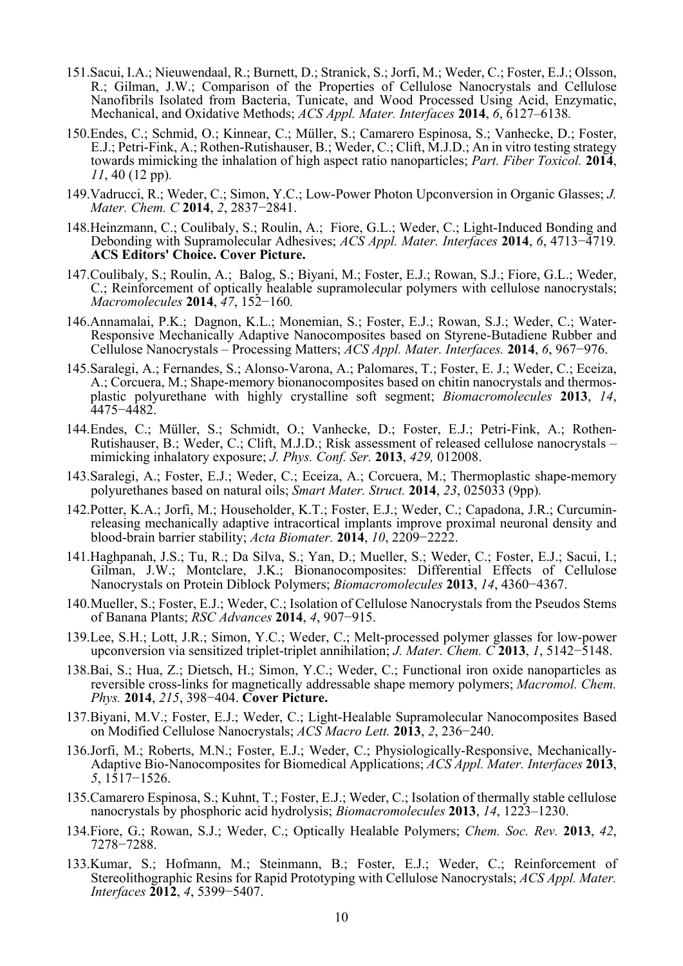- 151.Sacui, I.A.; Nieuwendaal, R.; Burnett, D.; Stranick, S.; Jorfi, M.; Weder, C.; Foster, E.J.; Olsson, R.; Gilman, J.W.; Comparison of the Properties of Cellulose Nanocrystals and Cellulose Nanofibrils Isolated from Bacteria, Tunicate, and Wood Processed Using Acid, Enzymatic, Mechanical, and Oxidative Methods; *ACS Appl. Mater. Interfaces* **2014**, *6*, 6127–6138*.*
- 150.Endes, C.; Schmid, O.; Kinnear, C.; Müller, S.; Camarero Espinosa, S.; Vanhecke, D.; Foster, E.J.; Petri-Fink, A.; Rothen-Rutishauser, B.; Weder, C.; Clift, M.J.D.; An in vitro testing strategy towards mimicking the inhalation of high aspect ratio nanoparticles; *Part. Fiber Toxicol.* **2014**, *11*, 40 (12 pp)*.*
- 149.Vadrucci, R.; Weder, C.; Simon, Y.C.; Low-Power Photon Upconversion in Organic Glasses; *J. Mater. Chem. C* **2014**, *2*, 2837−2841.
- 148.Heinzmann, C.; Coulibaly, S.; Roulin, A.; Fiore, G.L.; Weder, C.; Light-Induced Bonding and Debonding with Supramolecular Adhesives; *ACS Appl. Mater. Interfaces* **2014**, *6*, 4713−4719*.* **ACS Editors' Choice. Cover Picture.**
- 147.Coulibaly, S.; Roulin, A.; Balog, S.; Biyani, M.; Foster, E.J.; Rowan, S.J.; Fiore, G.L.; Weder, C.; Reinforcement of optically healable supramolecular polymers with cellulose nanocrystals; *Macromolecules* **2014**, *47*, 152−160*.*
- 146.Annamalai, P.K.; Dagnon, K.L.; Monemian, S.; Foster, E.J.; Rowan, S.J.; Weder, C.; Water-Responsive Mechanically Adaptive Nanocomposites based on Styrene-Butadiene Rubber and Cellulose Nanocrystals – Processing Matters; *ACS Appl. Mater. Interfaces.* **2014**, *6*, 967−976.
- 145.Saralegi, A.; Fernandes, S.; Alonso-Varona, A.; Palomares, T.; Foster, E. J.; Weder, C.; Eceiza, A.; Corcuera, M.; Shape-memory bionanocomposites based on chitin nanocrystals and thermosplastic polyurethane with highly crystalline soft segment; *Biomacromolecules* **2013**, *14*, 4475−4482.
- 144.Endes, C.; Müller, S.; Schmidt, O.; Vanhecke, D.; Foster, E.J.; Petri-Fink, A.; Rothen-Rutishauser, B.; Weder, C.; Clift, M.J.D.; Risk assessment of released cellulose nanocrystals – mimicking inhalatory exposure; *J. Phys. Conf. Ser.* **2013**, *429,* 012008.
- 143.Saralegi, A.; Foster, E.J.; Weder, C.; Eceiza, A.; Corcuera, M.; Thermoplastic shape-memory polyurethanes based on natural oils; *Smart Mater. Struct.* **2014**, *23*, 025033 (9pp)*.*
- 142.Potter, K.A.; Jorfi, M.; Householder, K.T.; Foster, E.J.; Weder, C.; Capadona, J.R.; Curcuminreleasing mechanically adaptive intracortical implants improve proximal neuronal density and blood-brain barrier stability; *Acta Biomater.* **2014**, *10*, 2209−2222.
- 141.Haghpanah, J.S.; Tu, R.; Da Silva, S.; Yan, D.; Mueller, S.; Weder, C.; Foster, E.J.; Sacui, I.; Gilman, J.W.; Montclare, J.K.; Bionanocomposites: Differential Effects of Cellulose Nanocrystals on Protein Diblock Polymers; *Biomacromolecules* **2013**, *14*, 4360−4367.
- 140. Mueller, S.; Foster, E.J.; Weder, C.; Isolation of Cellulose Nanocrystals from the Pseudos Stems of Banana Plants; *RSC Advances* **2014**, *4*, 907−915.
- 139.Lee, S.H.; Lott, J.R.; Simon, Y.C.; Weder, C.; Melt-processed polymer glasses for low-power upconversion via sensitized triplet-triplet annihilation; *J. Mater. Chem. C* **2013**, *1*, 5142−5148.
- 138.Bai, S.; Hua, Z.; Dietsch, H.; Simon, Y.C.; Weder, C.; Functional iron oxide nanoparticles as reversible cross-links for magnetically addressable shape memory polymers; *Macromol. Chem. Phys.* **2014**, *215*, 398−404. **Cover Picture.**
- 137.Biyani, M.V.; Foster, E.J.; Weder, C.; Light-Healable Supramolecular Nanocomposites Based on Modified Cellulose Nanocrystals; *ACS Macro Lett.* **2013**, *2*, 236−240.
- 136.Jorfi, M.; Roberts, M.N.; Foster, E.J.; Weder, C.; Physiologically-Responsive, Mechanically-Adaptive Bio-Nanocomposites for Biomedical Applications; *ACS Appl. Mater. Interfaces* **2013**, *5*, 1517−1526.
- 135.Camarero Espinosa, S.; Kuhnt, T.; Foster, E.J.; Weder, C.; Isolation of thermally stable cellulose nanocrystals by phosphoric acid hydrolysis; *Biomacromolecules* **2013**, *14*, 1223–1230.
- 134.Fiore, G.; Rowan, S.J.; Weder, C.; Optically Healable Polymers; *Chem. Soc. Rev.* **2013**, *42*, 7278−7288.
- 133.Kumar, S.; Hofmann, M.; Steinmann, B.; Foster, E.J.; Weder, C.; Reinforcement of Stereolithographic Resins for Rapid Prototyping with Cellulose Nanocrystals; *ACS Appl. Mater. Interfaces* **2012**, *4*, 5399−5407.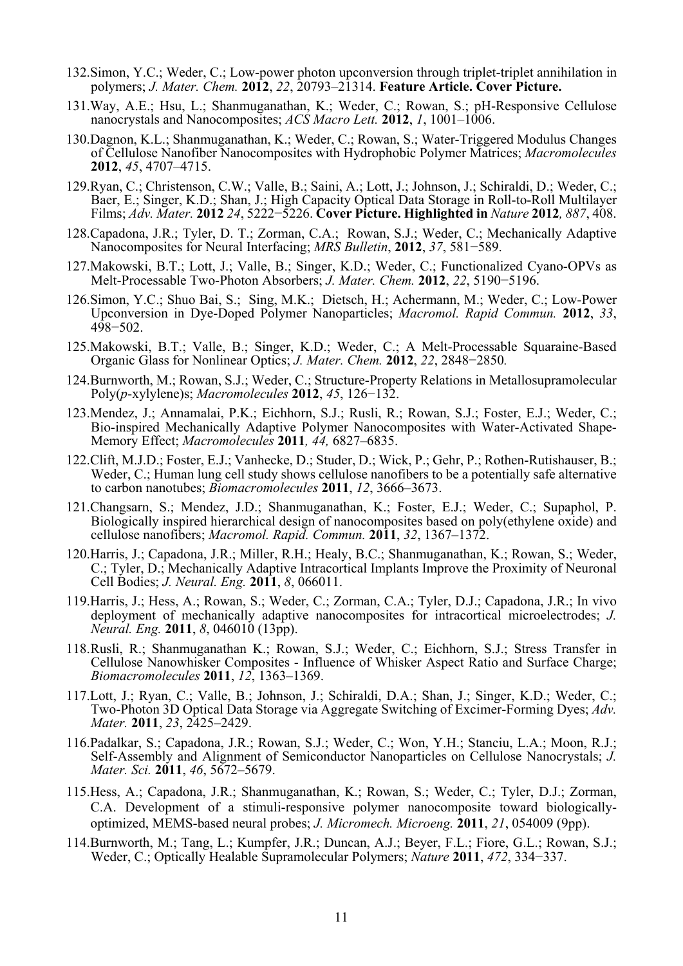- 132.Simon, Y.C.; Weder, C.; Low-power photon upconversion through triplet-triplet annihilation in polymers; *J. Mater. Chem.* **2012**, *22*, 20793–21314. **Feature Article. Cover Picture.**
- 131.Way, A.E.; Hsu, L.; Shanmuganathan, K.; Weder, C.; Rowan, S.; pH-Responsive Cellulose nanocrystals and Nanocomposites; *ACS Macro Lett.* **2012**, *1*, 1001–1006.
- 130.Dagnon, K.L.; Shanmuganathan, K.; Weder, C.; Rowan, S.; Water-Triggered Modulus Changes of Cellulose Nanofiber Nanocomposites with Hydrophobic Polymer Matrices; *Macromolecules*  **2012**, *45*, 4707–4715.
- 129.Ryan, C.; Christenson, C.W.; Valle, B.; Saini, A.; Lott, J.; Johnson, J.; Schiraldi, D.; Weder, C.; Baer, E.; Singer, K.D.; Shan, J.; High Capacity Optical Data Storage in Roll-to-Roll Multilayer Films; *Adv. Mater.* **2012** *24*, 5222−5226. **Cover Picture. Highlighted in** *Nature* **2012***, 887*, 408.
- 128.Capadona, J.R.; Tyler, D. T.; Zorman, C.A.; Rowan, S.J.; Weder, C.; Mechanically Adaptive Nanocomposites for Neural Interfacing; *MRS Bulletin*, **2012**, *37*, 581−589.
- 127.Makowski, B.T.; Lott, J.; Valle, B.; Singer, K.D.; Weder, C.; Functionalized Cyano-OPVs as Melt-Processable Two-Photon Absorbers; *J. Mater. Chem.* **2012**, *22*, 5190−5196.
- 126.Simon, Y.C.; Shuo Bai, S.; Sing, M.K.; Dietsch, H.; Achermann, M.; Weder, C.; Low-Power Upconversion in Dye-Doped Polymer Nanoparticles; *Macromol. Rapid Commun.* **2012**, *<sup>33</sup>*, 498−502.
- 125.Makowski, B.T.; Valle, B.; Singer, K.D.; Weder, C.; A Melt-Processable Squaraine-Based Organic Glass for Nonlinear Optics; *J. Mater. Chem.* **2012**, *22*, 2848−2850*.*
- 124.Burnworth, M.; Rowan, S.J.; Weder, C.; Structure-Property Relations in Metallosupramolecular Poly(*p*-xylylene)s; *Macromolecules* **2012**, *45*, 126−132.
- 123.Mendez, J.; Annamalai, P.K.; Eichhorn, S.J.; Rusli, R.; Rowan, S.J.; Foster, E.J.; Weder, C.; Bio-inspired Mechanically Adaptive Polymer Nanocomposites with Water-Activated Shape-Memory Effect; *Macromolecules* **2011***, 44,* 6827–6835.
- 122.Clift, M.J.D.; Foster, E.J.; Vanhecke, D.; Studer, D.; Wick, P.; Gehr, P.; Rothen-Rutishauser, B.; Weder, C.; Human lung cell study shows cellulose nanofibers to be a potentially safe alternative to carbon nanotubes; *Biomacromolecules* **2011**, *12*, 3666–3673.
- 121.Changsarn, S.; Mendez, J.D.; Shanmuganathan, K.; Foster, E.J.; Weder, C.; Supaphol, P. Biologically inspired hierarchical design of nanocomposites based on poly(ethylene oxide) and cellulose nanofibers; *Macromol. Rapid. Commun.* **2011**, *32*, 1367–1372.
- 120.Harris, J.; Capadona, J.R.; Miller, R.H.; Healy, B.C.; Shanmuganathan, K.; Rowan, S.; Weder, C.; Tyler, D.; Mechanically Adaptive Intracortical Implants Improve the Proximity of Neuronal Cell Bodies; *J. Neural. Eng.* **2011**, *8*, 066011.
- 119.Harris, J.; Hess, A.; Rowan, S.; Weder, C.; Zorman, C.A.; Tyler, D.J.; Capadona, J.R.; In vivo deployment of mechanically adaptive nanocomposites for intracortical microelectrodes; *J. Neural. Eng.* **2011**, *8*, 046010 (13pp).
- 118. Rusli, R.; Shanmuganathan K.; Rowan, S.J.; Weder, C.; Eichhorn, S.J.; Stress Transfer in Cellulose Nanowhisker Composites - Influence of Whisker Aspect Ratio and Surface Charge; *Biomacromolecules* **2011**, *12*, 1363–1369.
- 117.Lott, J.; Ryan, C.; Valle, B.; Johnson, J.; Schiraldi, D.A.; Shan, J.; Singer, K.D.; Weder, C.; Two-Photon 3D Optical Data Storage via Aggregate Switching of Excimer-Forming Dyes; *Adv. Mater.* **2011**, *23*, 2425–2429.
- 116.Padalkar, S.; Capadona, J.R.; Rowan, S.J.; Weder, C.; Won, Y.H.; Stanciu, L.A.; Moon, R.J.; Self-Assembly and Alignment of Semiconductor Nanoparticles on Cellulose Nanocrystals; *J. Mater. Sci.* **2011**, *46*, 5672–5679.
- 115.Hess, A.; Capadona, J.R.; Shanmuganathan, K.; Rowan, S.; Weder, C.; Tyler, D.J.; Zorman, C.A. Development of a stimuli-responsive polymer nanocomposite toward biologicallyoptimized, MEMS-based neural probes; *J. Micromech. Microeng.* **2011**, *21*, 054009 (9pp).
- 114.Burnworth, M.; Tang, L.; Kumpfer, J.R.; Duncan, A.J.; Beyer, F.L.; Fiore, G.L.; Rowan, S.J.; Weder, C.; Optically Healable Supramolecular Polymers; *Nature* **2011**, *472*, 334−337.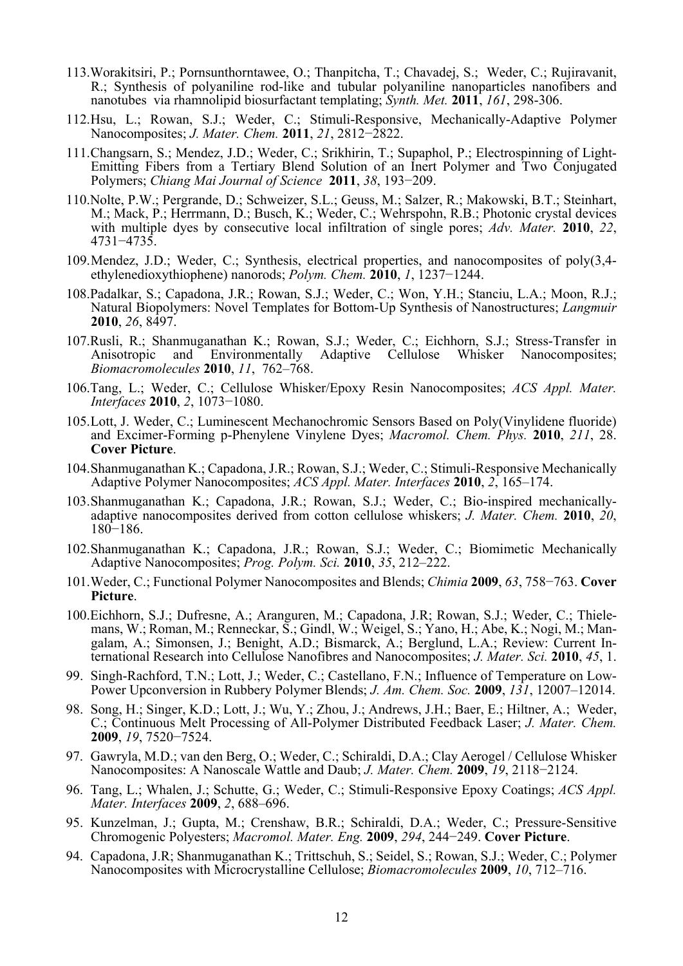- 113.Worakitsiri, P.; Pornsunthorntawee, O.; Thanpitcha, T.; Chavadej, S.; Weder, C.; Rujiravanit, R.; Synthesis of polyaniline rod-like and tubular polyaniline nanoparticles nanofibers and nanotubes via rhamnolipid biosurfactant templating; *Synth. Met.* **2011**, *161*, 298-306.
- 112. Hsu, L.; Rowan, S.J.; Weder, C.; Stimuli-Responsive, Mechanically-Adaptive Polymer Nanocomposites; *J. Mater. Chem.* **2011**, *21*, 2812−2822.
- 111. Changsarn, S.; Mendez, J.D.; Weder, C.; Srikhirin, T.; Supaphol, P.; Electrospinning of Light-Emitting Fibers from a Tertiary Blend Solution of an Inert Polymer and Two Conjugated Polymers; *Chiang Mai Journal of Science* **2011**, *38*, 193−209.
- 110.Nolte, P.W.; Pergrande, D.; Schweizer, S.L.; Geuss, M.; Salzer, R.; Makowski, B.T.; Steinhart, M.; Mack, P.; Herrmann, D.; Busch, K.; Weder, C.; Wehrspohn, R.B.; Photonic crystal devices with multiple dyes by consecutive local infiltration of single pores; *Adv. Mater.* **2010**, *22*, 4731−4735.
- 109. Mendez, J.D.; Weder, C.; Synthesis, electrical properties, and nanocomposites of poly(3,4 ethylenedioxythiophene) nanorods; *Polym. Chem.* **2010**, *1*, 1237−1244.
- 108.Padalkar, S.; Capadona, J.R.; Rowan, S.J.; Weder, C.; Won, Y.H.; Stanciu, L.A.; Moon, R.J.; Natural Biopolymers: Novel Templates for Bottom-Up Synthesis of Nanostructures; *Langmuir*  **2010**, *26*, 8497.
- 107.Rusli, R.; Shanmuganathan K.; Rowan, S.J.; Weder, C.; Eichhorn, S.J.; Stress-Transfer in Anisotropic and Environmentally Adaptive Cellulose Whisker Nanocomposites; *Biomacromolecules* **2010**, *11*, 762–768.
- 106.Tang, L.; Weder, C.; Cellulose Whisker/Epoxy Resin Nanocomposites; *ACS Appl. Mater. Interfaces* **2010**, *2*, 1073−1080.
- 105. Lott, J. Weder, C.; Luminescent Mechanochromic Sensors Based on Poly(Vinylidene fluoride) and Excimer-Forming p-Phenylene Vinylene Dyes; *Macromol. Chem. Phys.* **2010**, *211*, 28. **Cover Picture**.
- 104. Shanmuganathan K.; Capadona, J.R.; Rowan, S.J.; Weder, C.; Stimuli-Responsive Mechanically Adaptive Polymer Nanocomposites; *ACS Appl. Mater. Interfaces* **2010**, *2*, 165–174.
- 103. Shanmuganathan K.; Capadona, J.R.; Rowan, S.J.; Weder, C.; Bio-inspired mechanicallyadaptive nanocomposites derived from cotton cellulose whiskers; *J. Mater. Chem.* **2010**, *<sup>20</sup>*, <sup>180</sup>−186.
- 102. Shanmuganathan K.; Capadona, J.R.; Rowan, S.J.; Weder, C.; Biomimetic Mechanically Adaptive Nanocomposites; *Prog. Polym. Sci.* **2010**, *35*, 212–222.
- 101. Weder, C.; Functional Polymer Nanocomposites and Blends; *Chimia* **2009**, *63*, 758−763. **Cover Picture**.
- 100.Eichhorn, S.J.; Dufresne, A.; Aranguren, M.; Capadona, J.R; Rowan, S.J.; Weder, C.; Thielemans, W.; Roman, M.; Renneckar, S.; Gindl, W.; Weigel, S.; Yano, H.; Abe, K.; Nogi, M.; Mangalam, A.; Simonsen, J.; Benight, A.D.; Bismarck, A.; Berglund, L.A.; Review: Current International Research into Cellulose Nanofibres and Nanocomposites; *J. Mater. Sci.* **2010**, *45*, 1.
- 99. Singh-Rachford, T.N.; Lott, J.; Weder, C.; Castellano, F.N.; Influence of Temperature on Low-Power Upconversion in Rubbery Polymer Blends; *J. Am. Chem. Soc.* **2009**, *131*, 12007–12014.
- 98. Song, H.; Singer, K.D.; Lott, J.; Wu, Y.; Zhou, J.; Andrews, J.H.; Baer, E.; Hiltner, A.; Weder, C.; Continuous Melt Processing of All-Polymer Distributed Feedback Laser; *J. Mater. Chem.*  **2009**, *19*, 7520−7524.
- 97. Gawryla, M.D.; van den Berg, O.; Weder, C.; Schiraldi, D.A.; Clay Aerogel / Cellulose Whisker Nanocomposites: A Nanoscale Wattle and Daub; *J. Mater. Chem.* **2009**, *19*, 2118−2124.
- 96. Tang, L.; Whalen, J.; Schutte, G.; Weder, C.; Stimuli-Responsive Epoxy Coatings; *ACS Appl. Mater. Interfaces* **2009**, *2*, 688–696.
- 95. Kunzelman, J.; Gupta, M.; Crenshaw, B.R.; Schiraldi, D.A.; Weder, C.; Pressure-Sensitive Chromogenic Polyesters; *Macromol. Mater. Eng.* **2009**, *294*, 244−249. **Cover Picture**.
- 94. Capadona, J.R; Shanmuganathan K.; Trittschuh, S.; Seidel, S.; Rowan, S.J.; Weder, C.; Polymer Nanocomposites with Microcrystalline Cellulose; *Biomacromolecules* **2009**, *10*, 712–716.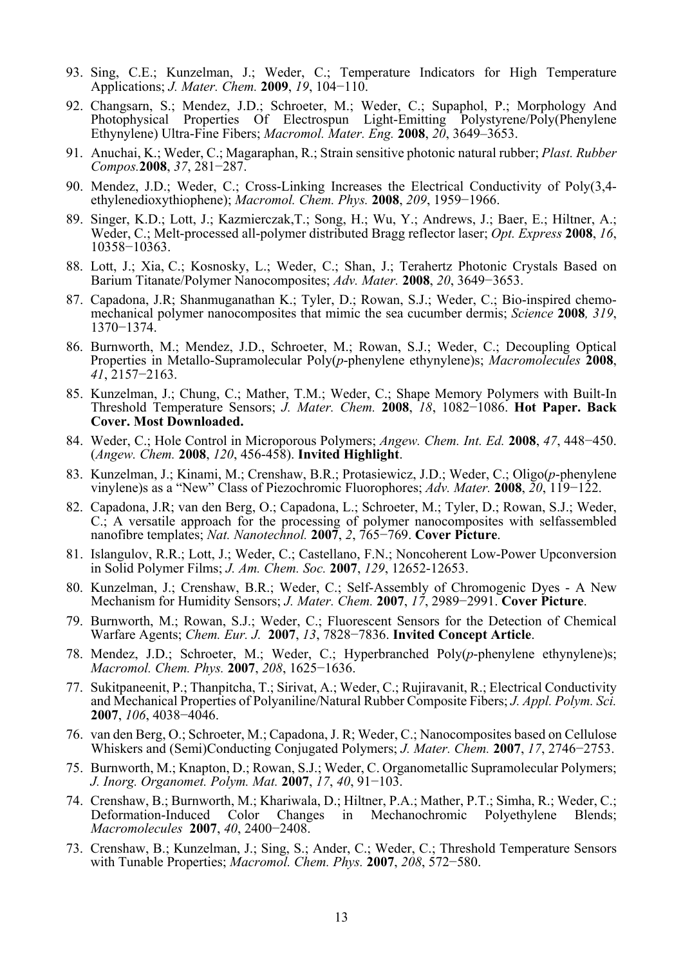- 93. Sing, C.E.; Kunzelman, J.; Weder, C.; Temperature Indicators for High Temperature Applications; *J. Mater. Chem.* **2009**, *19*, 104−110.
- 92. Changsarn, S.; Mendez, J.D.; Schroeter, M.; Weder, C.; Supaphol, P.; Morphology And Photophysical Properties Of Electrospun Light-Emitting Polystyrene/Poly(Phenylene Ethynylene) Ultra-Fine Fibers; *Macromol. Mater. Eng.* **2008**, *20*, 3649–3653.
- 91. Anuchai, K.; Weder, C.; Magaraphan, R.; Strain sensitive photonic natural rubber; *Plast. Rubber Compos.***2008**, *37*, 281−287.
- 90. Mendez, J.D.; Weder, C.; Cross-Linking Increases the Electrical Conductivity of Poly(3,4 ethylenedioxythiophene); *Macromol. Chem. Phys.* **2008**, *209*, 1959−1966.
- 89. Singer, K.D.; Lott, J.; Kazmierczak,T.; Song, H.; Wu, Y.; Andrews, J.; Baer, E.; Hiltner, A.; Weder, C.; Melt-processed all-polymer distributed Bragg reflector laser; *Opt. Express* **2008**, *16*, 10358−10363.
- 88. Lott, J.; Xia, C.; Kosnosky, L.; Weder, C.; Shan, J.; Terahertz Photonic Crystals Based on Barium Titanate/Polymer Nanocomposites; *Adv. Mater.* **2008**, *20*, 3649−3653.
- 87. Capadona, J.R; Shanmuganathan K.; Tyler, D.; Rowan, S.J.; Weder, C.; Bio-inspired chemomechanical polymer nanocomposites that mimic the sea cucumber dermis; *Science* **2008***, 319*, 1370−1374.
- 86. Burnworth, M.; Mendez, J.D., Schroeter, M.; Rowan, S.J.; Weder, C.; Decoupling Optical Properties in Metallo-Supramolecular Poly(*p*-phenylene ethynylene)s; *Macromolecules* **<sup>2008</sup>**, *<sup>41</sup>*, <sup>2157</sup>−2163.
- 85. Kunzelman, J.; Chung, C.; Mather, T.M.; Weder, C.; Shape Memory Polymers with Built-In Threshold Temperature Sensors; *J. Mater. Chem.* **2008**, *18*, 1082−1086. **Hot Paper. Back Cover. Most Downloaded.**
- 84. Weder, C.; Hole Control in Microporous Polymers; *Angew. Chem. Int. Ed.* **2008**, *47*, 448−450. (*Angew. Chem.* **2008**, *120*, 456-458). **Invited Highlight**.
- 83. Kunzelman, J.; Kinami, M.; Crenshaw, B.R.; Protasiewicz, J.D.; Weder, C.; Oligo(*p*-phenylene vinylene)s as a "New" Class of Piezochromic Fluorophores; *Adv. Mater.* **2008**, *20*, 119−122.
- 82. Capadona, J.R; van den Berg, O.; Capadona, L.; Schroeter, M.; Tyler, D.; Rowan, S.J.; Weder, C.; A versatile approach for the processing of polymer nanocomposites with selfassembled nanofibre templates; *Nat. Nanotechnol.* **2007**, *2*, 765−769. **Cover Picture**.
- 81. Islangulov, R.R.; Lott, J.; Weder, C.; Castellano, F.N.; Noncoherent Low-Power Upconversion in Solid Polymer Films; *J. Am. Chem. Soc.* **2007**, *129*, 12652-12653.
- 80. Kunzelman, J.; Crenshaw, B.R.; Weder, C.; Self-Assembly of Chromogenic Dyes A New Mechanism for Humidity Sensors; *J. Mater. Chem.* **2007**, *17*, 2989−2991. **Cover Picture**.
- 79. Burnworth, M.; Rowan, S.J.; Weder, C.; Fluorescent Sensors for the Detection of Chemical Warfare Agents; *Chem. Eur. J.* **2007**, *13*, 7828−7836. **Invited Concept Article**.
- 78. Mendez, J.D.; Schroeter, M.; Weder, C.; Hyperbranched Poly(*p*-phenylene ethynylene)s; *Macromol. Chem. Phys.* **2007**, *208*, 1625−1636.
- 77. Sukitpaneenit, P.; Thanpitcha, T.; Sirivat, A.; Weder, C.; Rujiravanit, R.; Electrical Conductivity and Mechanical Properties of Polyaniline/Natural Rubber Composite Fibers; *J. Appl. Polym. Sci.*  **2007**, *106*, 4038−4046.
- 76. van den Berg, O.; Schroeter, M.; Capadona, J. R; Weder, C.; Nanocomposites based on Cellulose Whiskers and (Semi)Conducting Conjugated Polymers; *J. Mater. Chem.* **2007**, *17*, 2746−2753.
- 75. Burnworth, M.; Knapton, D.; Rowan, S.J.; Weder, C. Organometallic Supramolecular Polymers; *J. Inorg. Organomet. Polym. Mat.* **2007**, *17*, *40*, 91−103.
- 74. Crenshaw, B.; Burnworth, M.; Khariwala, D.; Hiltner, P.A.; Mather, P.T.; Simha, R.; Weder, C.; Deformation-Induced Color Changes in Mechanochromic Polyethylene Blends; *Macromolecules* **2007**, *40*, 2400−2408.
- 73. Crenshaw, B.; Kunzelman, J.; Sing, S.; Ander, C.; Weder, C.; Threshold Temperature Sensors with Tunable Properties; *Macromol. Chem. Phys.* **2007**, *208*, 572−580.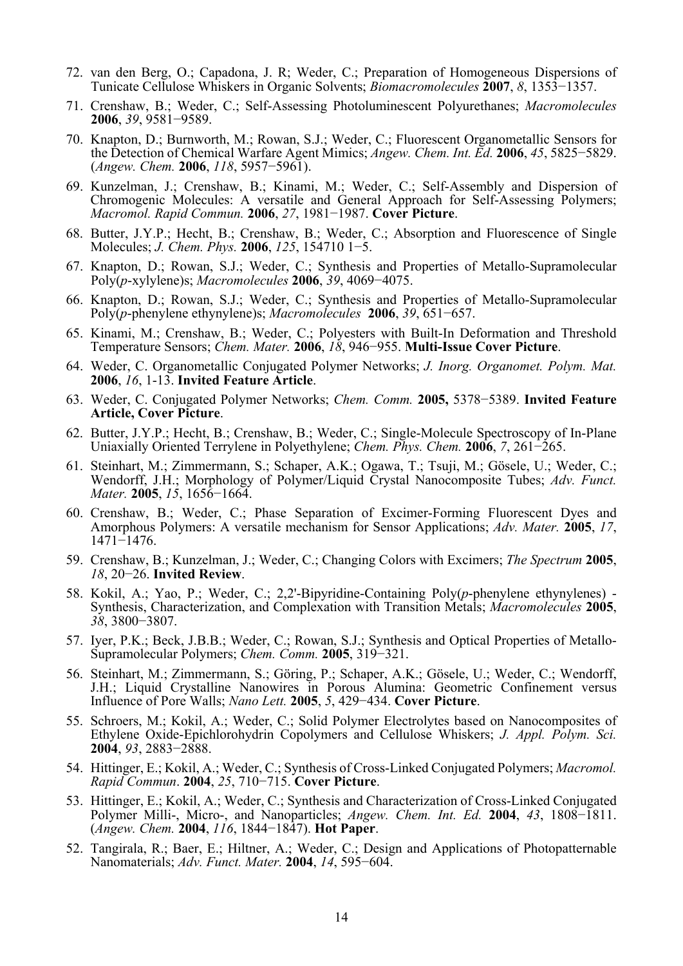- 72. van den Berg, O.; Capadona, J. R; Weder, C.; Preparation of Homogeneous Dispersions of Tunicate Cellulose Whiskers in Organic Solvents; *Biomacromolecules* **2007**, *8*, 1353−1357.
- 71. Crenshaw, B.; Weder, C.; Self-Assessing Photoluminescent Polyurethanes; *Macromolecules*  **2006**, *39*, 9581−9589.
- 70. Knapton, D.; Burnworth, M.; Rowan, S.J.; Weder, C.; Fluorescent Organometallic Sensors for the Detection of Chemical Warfare Agent Mimics; *Angew. Chem. Int. Ed.* **2006**, *45*, 5825−5829. (*Angew. Chem.* **2006**, *118*, 5957−5961).
- 69. Kunzelman, J.; Crenshaw, B.; Kinami, M.; Weder, C.; Self-Assembly and Dispersion of Chromogenic Molecules: A versatile and General Approach for Self-Assessing Polymers; *Macromol. Rapid Commun.* **2006**, *27*, 1981−1987. **Cover Picture**.
- 68. Butter, J.Y.P.; Hecht, B.; Crenshaw, B.; Weder, C.; Absorption and Fluorescence of Single Molecules; *J. Chem. Phys.* **2006**, *125*, 154710 1−5.
- 67. Knapton, D.; Rowan, S.J.; Weder, C.; Synthesis and Properties of Metallo-Supramolecular Poly(*p*-xylylene)s; *Macromolecules* **2006**, *39*, 4069−4075.
- 66. Knapton, D.; Rowan, S.J.; Weder, C.; Synthesis and Properties of Metallo-Supramolecular Poly(*p*-phenylene ethynylene)s; *Macromolecules* **2006**, *39*, 651−657.
- 65. Kinami, M.; Crenshaw, B.; Weder, C.; Polyesters with Built-In Deformation and Threshold Temperature Sensors; *Chem. Mater.* **2006**, *18*, 946−955. **Multi-Issue Cover Picture**.
- 64. Weder, C. Organometallic Conjugated Polymer Networks; *J. Inorg. Organomet. Polym. Mat.* **2006**, *16*, 1-13. **Invited Feature Article**.
- 63. Weder, C. Conjugated Polymer Networks; *Chem. Comm.* **2005,** 5378−5389. **Invited Feature Article, Cover Picture**.
- 62. Butter, J.Y.P.; Hecht, B.; Crenshaw, B.; Weder, C.; Single-Molecule Spectroscopy of In-Plane Uniaxially Oriented Terrylene in Polyethylene; *Chem. Phys. Chem.* **2006**, *7*, 261−265.
- 61. Steinhart, M.; Zimmermann, S.; Schaper, A.K.; Ogawa, T.; Tsuji, M.; Gösele, U.; Weder, C.; Wendorff, J.H.; Morphology of Polymer/Liquid Crystal Nanocomposite Tubes; *Adv. Funct. Mater.* **2005**, *15*, 1656−1664.
- 60. Crenshaw, B.; Weder, C.; Phase Separation of Excimer-Forming Fluorescent Dyes and Amorphous Polymers: A versatile mechanism for Sensor Applications; *Adv. Mater.* **2005**, *17*, 1471−1476.
- 59. Crenshaw, B.; Kunzelman, J.; Weder, C.; Changing Colors with Excimers; *The Spectrum* **2005**, *18*, 20−26. **Invited Review**.
- 58. Kokil, A.; Yao, P.; Weder, C.; 2,2'-Bipyridine-Containing Poly(*p*-phenylene ethynylenes) Synthesis, Characterization, and Complexation with Transition Metals; *Macromolecules* **2005**, *38*, 3800−3807.
- 57. Iyer, P.K.; Beck, J.B.B.; Weder, C.; Rowan, S.J.; Synthesis and Optical Properties of Metallo-Supramolecular Polymers; *Chem. Comm.* **2005**, 319−321.
- 56. Steinhart, M.; Zimmermann, S.; Göring, P.; Schaper, A.K.; Gösele, U.; Weder, C.; Wendorff, J.H.; Liquid Crystalline Nanowires in Porous Alumina: Geometric Confinement versus Influence of Pore Walls; *Nano Lett.* **2005**, *5*, 429−434. **Cover Picture**.
- 55. Schroers, M.; Kokil, A.; Weder, C.; Solid Polymer Electrolytes based on Nanocomposites of Ethylene Oxide-Epichlorohydrin Copolymers and Cellulose Whiskers; *J. Appl. Polym. Sci.* **2004**, *93*, 2883−2888.
- 54. Hittinger, E.; Kokil, A.; Weder, C.; Synthesis of Cross-Linked Conjugated Polymers; *Macromol. Rapid Commun*. **2004**, *25*, 710−715. **Cover Picture**.
- 53. Hittinger, E.; Kokil, A.; Weder, C.; Synthesis and Characterization of Cross-Linked Conjugated Polymer Milli-, Micro-, and Nanoparticles; *Angew. Chem. Int. Ed.* **2004**, *43*, 1808−1811. (*Angew. Chem.* **2004**, *116*, 1844−1847). **Hot Paper**.
- 52. Tangirala, R.; Baer, E.; Hiltner, A.; Weder, C.; Design and Applications of Photopatternable Nanomaterials; *Adv. Funct. Mater.* **2004**, *14*, 595−604.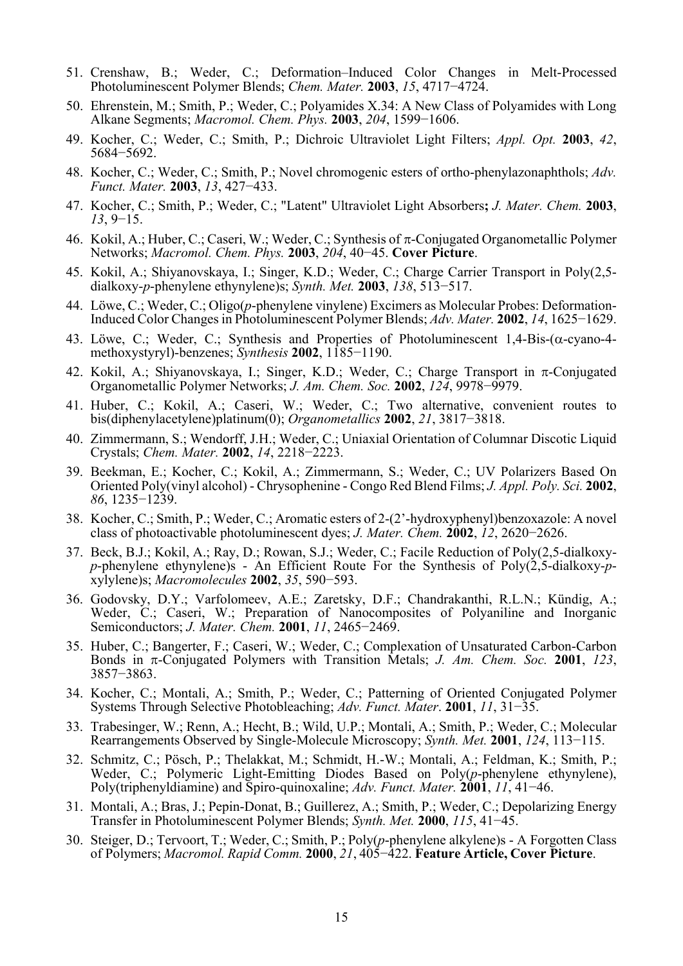- 51. Crenshaw, B.; Weder, C.; Deformation–Induced Color Changes in Melt-Processed Photoluminescent Polymer Blends; *Chem. Mater.* **2003**, *15*, 4717−4724.
- 50. Ehrenstein, M.; Smith, P.; Weder, C.; Polyamides X.34: A New Class of Polyamides with Long Alkane Segments; *Macromol. Chem. Phys.* **2003**, *204*, 1599−1606.
- 49. Kocher, C.; Weder, C.; Smith, P.; Dichroic Ultraviolet Light Filters; *Appl. Opt.* **2003**, *42*, 5684−5692.
- 48. Kocher, C.; Weder, C.; Smith, P.; Novel chromogenic esters of ortho-phenylazonaphthols; *Adv. Funct. Mater.* **2003**, *13*, 427−433.
- 47. Kocher, C.; Smith, P.; Weder, C.; "Latent" Ultraviolet Light Absorbers**;** *J. Mater. Chem.* **<sup>2003</sup>**, *13*, 9−15.
- 46. Kokil, A.; Huber, C.; Caseri, W.; Weder, C.; Synthesis of  $\pi$ -Conjugated Organometallic Polymer Networks; *Macromol. Chem. Phys.* **2003**, *204*, 40−45. **Cover Picture**.
- 45. Kokil, A.; Shiyanovskaya, I.; Singer, K.D.; Weder, C.; Charge Carrier Transport in Poly(2,5 dialkoxy-*p*-phenylene ethynylene)s; *Synth. Met.* **2003**, *138*, 513−517.
- 44. Löwe, C.; Weder, C.; Oligo(*p*-phenylene vinylene) Excimers as Molecular Probes: Deformation-Induced Color Changes in Photoluminescent Polymer Blends; *Adv. Mater.* **2002**, *14*, 1625−1629.
- 43. Löwe, C.; Weder, C.; Synthesis and Properties of Photoluminescent 1,4-Bis-( $\alpha$ -cyano-4methoxystyryl)-benzenes; *Synthesis* **2002**, 1185−1190.
- 42. Kokil, A.; Shiyanovskaya, I.; Singer, K.D.; Weder, C.; Charge Transport in  $\pi$ -Conjugated Organometallic Polymer Networks; *J. Am. Chem. Soc.* **2002**, *124*, 9978−9979.
- 41. Huber, C.; Kokil, A.; Caseri, W.; Weder, C.; Two alternative, convenient routes to bis(diphenylacetylene)platinum(0); *Organometallics* **2002**, *21*, 3817−3818.
- 40. Zimmermann, S.; Wendorff, J.H.; Weder, C.; Uniaxial Orientation of Columnar Discotic Liquid Crystals; *Chem. Mater.* **2002**, *14*, 2218−2223.
- 39. Beekman, E.; Kocher, C.; Kokil, A.; Zimmermann, S.; Weder, C.; UV Polarizers Based On Oriented Poly(vinyl alcohol) - Chrysophenine - Congo Red Blend Films; *J. Appl. Poly. Sci.* **2002**, *86*, 1235−1239.
- 38. Kocher, C.; Smith, P.; Weder, C.; Aromatic esters of 2-(2'-hydroxyphenyl)benzoxazole: A novel class of photoactivable photoluminescent dyes; *J. Mater. Chem.* **2002**, *12*, 2620−2626.
- 37. Beck, B.J.; Kokil, A.; Ray, D.; Rowan, S.J.; Weder, C.; Facile Reduction of Poly(2,5-dialkoxy*p*-phenylene ethynylene)s - An Efficient Route For the Synthesis of Poly(2,5-dialkoxy-*p*xylylene)s; *Macromolecules* **2002**, *35*, 590−593.
- 36. Godovsky, D.Y.; Varfolomeev, A.E.; Zaretsky, D.F.; Chandrakanthi, R.L.N.; Kündig, A.; Weder, C.; Caseri, W.; Preparation of Nanocomposites of Polyaniline and Inorganic Semiconductors; *J. Mater. Chem.* **2001**, *11*, 2465−2469.
- 35. Huber, C.; Bangerter, F.; Caseri, W.; Weder, C.; Complexation of Unsaturated Carbon-Carbon Bonds in -Conjugated Polymers with Transition Metals; *J. Am. Chem. Soc.* **<sup>2001</sup>**, *123*, 3857−3863.
- 34. Kocher, C.; Montali, A.; Smith, P.; Weder, C.; Patterning of Oriented Conjugated Polymer Systems Through Selective Photobleaching; *Adv. Funct. Mater*. **2001**, *11*, 31−35.
- 33. Trabesinger, W.; Renn, A.; Hecht, B.; Wild, U.P.; Montali, A.; Smith, P.; Weder, C.; Molecular Rearrangements Observed by Single-Molecule Microscopy; *Synth. Met.* **2001**, *124*, 113−115.
- 32. Schmitz, C.; Pösch, P.; Thelakkat, M.; Schmidt, H.-W.; Montali, A.; Feldman, K.; Smith, P.; Weder, C.; Polymeric Light-Emitting Diodes Based on Poly(*p*-phenylene ethynylene), Poly(triphenyldiamine) and Spiro-quinoxaline; *Adv. Funct. Mater.* **2001**, *11*, 41−46.
- 31. Montali, A.; Bras, J.; Pepin-Donat, B.; Guillerez, A.; Smith, P.; Weder, C.; Depolarizing Energy Transfer in Photoluminescent Polymer Blends; *Synth. Met.* **2000**, *115*, 41−45.
- 30. Steiger, D.; Tervoort, T.; Weder, C.; Smith, P.; Poly(*p*-phenylene alkylene)s A Forgotten Class of Polymers; *Macromol. Rapid Comm.* **2000**, *21*, 405−422. **Feature Article, Cover Picture**.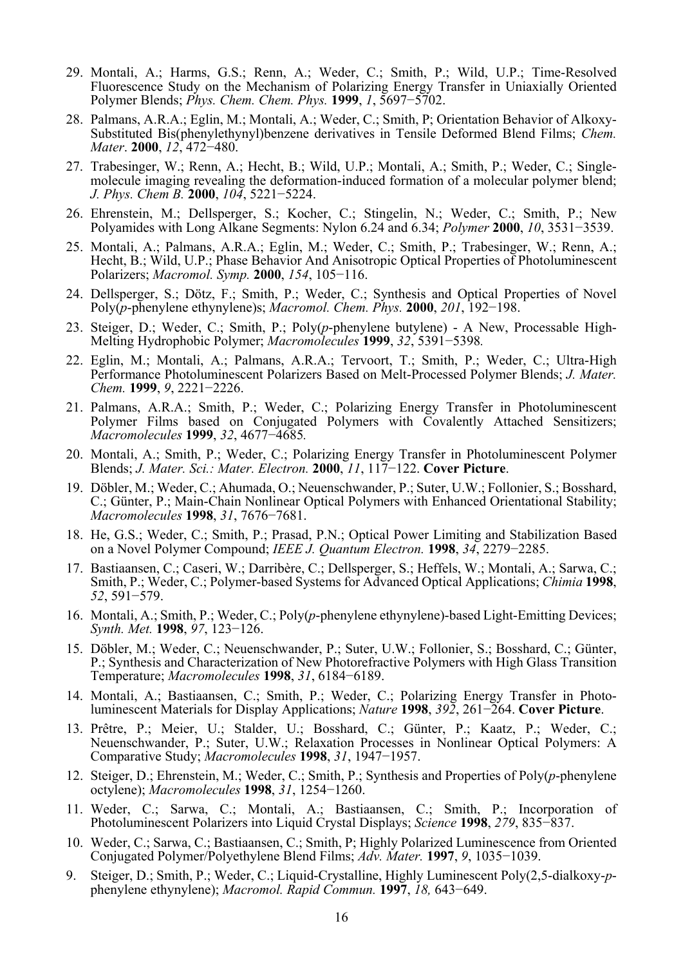- 29. Montali, A.; Harms, G.S.; Renn, A.; Weder, C.; Smith, P.; Wild, U.P.; Time-Resolved Fluorescence Study on the Mechanism of Polarizing Energy Transfer in Uniaxially Oriented Polymer Blends; *Phys. Chem. Chem. Phys.* **1999**, *1*, 5697−5702.
- 28. Palmans, A.R.A.; Eglin, M.; Montali, A.; Weder, C.; Smith, P; Orientation Behavior of Alkoxy-Substituted Bis(phenylethynyl)benzene derivatives in Tensile Deformed Blend Films; *Chem. Mater*. **2000**, *12*, 472−480.
- 27. Trabesinger, W.; Renn, A.; Hecht, B.; Wild, U.P.; Montali, A.; Smith, P.; Weder, C.; Singlemolecule imaging revealing the deformation-induced formation of a molecular polymer blend; *J. Phys. Chem B.* **2000**, *104*, 5221−5224.
- 26. Ehrenstein, M.; Dellsperger, S.; Kocher, C.; Stingelin, N.; Weder, C.; Smith, P.; New Polyamides with Long Alkane Segments: Nylon 6.24 and 6.34; *Polymer* **2000**, *10*, 3531−3539.
- 25. Montali, A.; Palmans, A.R.A.; Eglin, M.; Weder, C.; Smith, P.; Trabesinger, W.; Renn, A.; Hecht, B.; Wild, U.P.; Phase Behavior And Anisotropic Optical Properties of Photoluminescent Polarizers; *Macromol. Symp.* **2000**, *154*, 105−116.
- 24. Dellsperger, S.; Dötz, F.; Smith, P.; Weder, C.; Synthesis and Optical Properties of Novel Poly(*p*-phenylene ethynylene)s; *Macromol. Chem. Phys.* **2000**, *201*, 192−198.
- 23. Steiger, D.; Weder, C.; Smith, P.; Poly(*p*-phenylene butylene) A New, Processable High-Melting Hydrophobic Polymer; *Macromolecules* **1999**, *32*, 5391−5398*.*
- 22. Eglin, M.; Montali, A.; Palmans, A.R.A.; Tervoort, T.; Smith, P.; Weder, C.; Ultra-High Performance Photoluminescent Polarizers Based on Melt-Processed Polymer Blends; *J. Mater. Chem.* **1999**, *9*, 2221−2226.
- 21. Palmans, A.R.A.; Smith, P.; Weder, C.; Polarizing Energy Transfer in Photoluminescent Polymer Films based on Conjugated Polymers with Covalently Attached Sensitizers; *Macromolecules* **1999**, *32*, 4677−4685*.*
- 20. Montali, A.; Smith, P.; Weder, C.; Polarizing Energy Transfer in Photoluminescent Polymer Blends; *J. Mater. Sci.: Mater. Electron.* **2000**, *11*, 117−122. **Cover Picture**.
- 19. Döbler, M.; Weder, C.; Ahumada, O.; Neuenschwander, P.; Suter, U.W.; Follonier, S.; Bosshard, C.; Günter, P.; Main-Chain Nonlinear Optical Polymers with Enhanced Orientational Stability; *Macromolecules* **1998**, *31*, 7676−7681.
- 18. He, G.S.; Weder, C.; Smith, P.; Prasad, P.N.; Optical Power Limiting and Stabilization Based on a Novel Polymer Compound; *IEEE J. Quantum Electron.* **1998**, *34*, 2279−2285.
- 17. Bastiaansen, C.; Caseri, W.; Darribère, C.; Dellsperger, S.; Heffels, W.; Montali, A.; Sarwa, C.; Smith, P.; Weder, C.; Polymer-based Systems for Advanced Optical Applications; *Chimia* **<sup>1998</sup>**, *<sup>52</sup>*, 591−579.
- 16. Montali, A.; Smith, P.; Weder, C.; Poly(*p*-phenylene ethynylene)-based Light-Emitting Devices; *Synth. Met.* **1998**, *97*, 123−126.
- 15. Döbler, M.; Weder, C.; Neuenschwander, P.; Suter, U.W.; Follonier, S.; Bosshard, C.; Günter, P.; Synthesis and Characterization of New Photorefractive Polymers with High Glass Transition Temperature; *Macromolecules* **1998**, *31*, 6184−6189.
- 14. Montali, A.; Bastiaansen, C.; Smith, P.; Weder, C.; Polarizing Energy Transfer in Photoluminescent Materials for Display Applications; *Nature* **1998**, *392*, 261−264. **Cover Picture**.
- 13. Prêtre, P.; Meier, U.; Stalder, U.; Bosshard, C.; Günter, P.; Kaatz, P.; Weder, C.; Neuenschwander, P.; Suter, U.W.; Relaxation Processes in Nonlinear Optical Polymers: A Comparative Study; *Macromolecules* **1998**, *31*, 1947−1957.
- 12. Steiger, D.; Ehrenstein, M.; Weder, C.; Smith, P.; Synthesis and Properties of Poly(*p*-phenylene octylene); *Macromolecules* **1998**, *31*, 1254−1260.
- 11. Weder, C.; Sarwa, C.; Montali, A.; Bastiaansen, C.; Smith, P.; Incorporation of Photoluminescent Polarizers into Liquid Crystal Displays; *Science* **1998**, *279*, 835−837.
- 10. Weder, C.; Sarwa, C.; Bastiaansen, C.; Smith, P; Highly Polarized Luminescence from Oriented Conjugated Polymer/Polyethylene Blend Films; *Adv. Mater.* **1997**, *9*, 1035−1039.
- 9. Steiger, D.; Smith, P.; Weder, C.; Liquid-Crystalline, Highly Luminescent Poly(2,5-dialkoxy-*p* phenylene ethynylene); *Macromol. Rapid Commun.* **<sup>1997</sup>**, *18,* 643−649.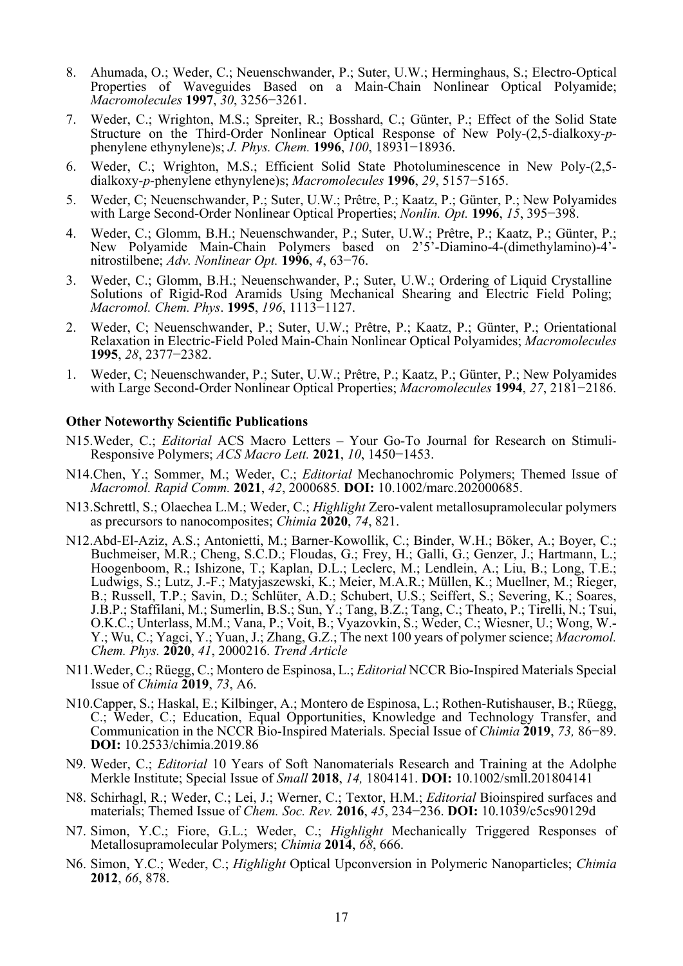- 8. Ahumada, O.; Weder, C.; Neuenschwander, P.; Suter, U.W.; Herminghaus, S.; Electro-Optical Properties of Waveguides Based on a Main-Chain Nonlinear Optical Polyamide; *Macromolecules* **1997**, *30*, 3256−3261.
- 7. Weder, C.; Wrighton, M.S.; Spreiter, R.; Bosshard, C.; Günter, P.; Effect of the Solid State Structure on the Third-Order Nonlinear Optical Response of New Poly-(2,5-dialkoxy-*p*phenylene ethynylene)s; *J. Phys. Chem.* **1996**, *100*, 18931−18936.
- 6. Weder, C.; Wrighton, M.S.; Efficient Solid State Photoluminescence in New Poly-(2,5 dialkoxy-*p*-phenylene ethynylene)s; *Macromolecules* **1996**, *29*, 5157−5165.
- 5. Weder, C; Neuenschwander, P.; Suter, U.W.; Prêtre, P.; Kaatz, P.; Günter, P.; New Polyamides with Large Second-Order Nonlinear Optical Properties; *Nonlin. Opt.* **1996**, *15*, 395−398.
- 4. Weder, C.; Glomm, B.H.; Neuenschwander, P.; Suter, U.W.; Prêtre, P.; Kaatz, P.; Günter, P.; New Polyamide Main-Chain Polymers based on 2'5'-Diamino-4-(dimethylamino)-4' nitrostilbene; *Adv. Nonlinear Opt.* **1996**, *4*, 63−76.
- 3. Weder, C.; Glomm, B.H.; Neuenschwander, P.; Suter, U.W.; Ordering of Liquid Crystalline Solutions of Rigid-Rod Aramids Using Mechanical Shearing and Electric Field Poling; *Macromol. Chem. Phys*. **1995**, *196*, 1113−1127.
- 2. Weder, C; Neuenschwander, P.; Suter, U.W.; Prêtre, P.; Kaatz, P.; Günter, P.; Orientational Relaxation in Electric-Field Poled Main-Chain Nonlinear Optical Polyamides; *Macromolecules* **1995**, *28*, 2377−2382.
- 1. Weder, C; Neuenschwander, P.; Suter, U.W.; Prêtre, P.; Kaatz, P.; Günter, P.; New Polyamides with Large Second-Order Nonlinear Optical Properties; *Macromolecules* **1994**, *27*, 2181−2186.

### **Other Noteworthy Scientific Publications**

- N15.Weder, C.; *Editorial* ACS Macro Letters Your Go-To Journal for Research on Stimuli-Responsive Polymers; *ACS Macro Lett.* **2021**, *10*, 1450−1453.
- N14.Chen, Y.; Sommer, M.; Weder, C.; *Editorial* Mechanochromic Polymers; Themed Issue of *Macromol. Rapid Comm.* **2021**, *42*, 2000685*.* **DOI:** 10.1002/marc.202000685.
- N13.Schrettl, S.; Olaechea L.M.; Weder, C.; *Highlight* Zero-valent metallosupramolecular polymers as precursors to nanocomposites; *Chimia* **2020**, *74*, 821.
- N12.Abd-El-Aziz, A.S.; Antonietti, M.; Barner-Kowollik, C.; Binder, W.H.; Böker, A.; Boyer, C.; Buchmeiser, M.R.; Cheng, S.C.D.; Floudas, G.; Frey, H.; Galli, G.; Genzer, J.; Hartmann, L.; Hoogenboom, R.; Ishizone, T.; Kaplan, D.L.; Leclerc, M.; Lendlein, A.; Liu, B.; Long, T.E.; Ludwigs, S.; Lutz, J.-F.; Matyjaszewski, K.; Meier, M.A.R.; Müllen, K.; Muellner, M.; Rieger, B.; Russell, T.P.; Savin, D.; Schlüter, A.D.; Schubert, U.S.; Seiffert, S.; Severing, K.; Soares, J.B.P.; Staffilani, M.; Sumerlin, B.S.; Sun, Y.; Tang, B.Z.; Tang, C.; Theato, P.; Tirelli, N.; Tsui, O.K.C.; Unterlass, M.M.; Vana, P.; Voit, B.; Vyazovkin, S.; Weder, C.; Wiesner, U.; Wong, W.- Y.; Wu, C.; Yagci, Y.; Yuan, J.; Zhang, G.Z.; The next 100 years of polymer science; *Macromol. Chem. Phys.* **2020**, *41*, 2000216. *Trend Article*
- N11.Weder, C.; Rüegg, C.; Montero de Espinosa, L.; *Editorial* NCCR Bio-Inspired Materials Special Issue of *Chimia* **2019**, *73*, A6.
- N10.Capper, S.; Haskal, E.; Kilbinger, A.; Montero de Espinosa, L.; Rothen-Rutishauser, B.; Rüegg, C.; Weder, C.; Education, Equal Opportunities, Knowledge and Technology Transfer, and Communication in the NCCR Bio-Inspired Materials. Special Issue of *Chimia* **2019**, *73,* 86−89. **DOI:** 10.2533/chimia.2019.86
- N9. Weder, C.; *Editorial* 10 Years of Soft Nanomaterials Research and Training at the Adolphe Merkle Institute; Special Issue of *Small* **2018**, *14,* 1804141. **DOI:** 10.1002/smll.201804141
- N8. Schirhagl, R.; Weder, C.; Lei, J.; Werner, C.; Textor, H.M.; *Editorial* Bioinspired surfaces and materials; Themed Issue of *Chem. Soc. Rev.* **2016**, *45*, 234−236. **DOI:** 10.1039/c5cs90129d
- N7. Simon, Y.C.; Fiore, G.L.; Weder, C.; *Highlight* Mechanically Triggered Responses of Metallosupramolecular Polymers; *Chimia* **2014**, *68*, 666.
- N6. Simon, Y.C.; Weder, C.; *Highlight* Optical Upconversion in Polymeric Nanoparticles; *Chimia* **2012**, *66*, 878.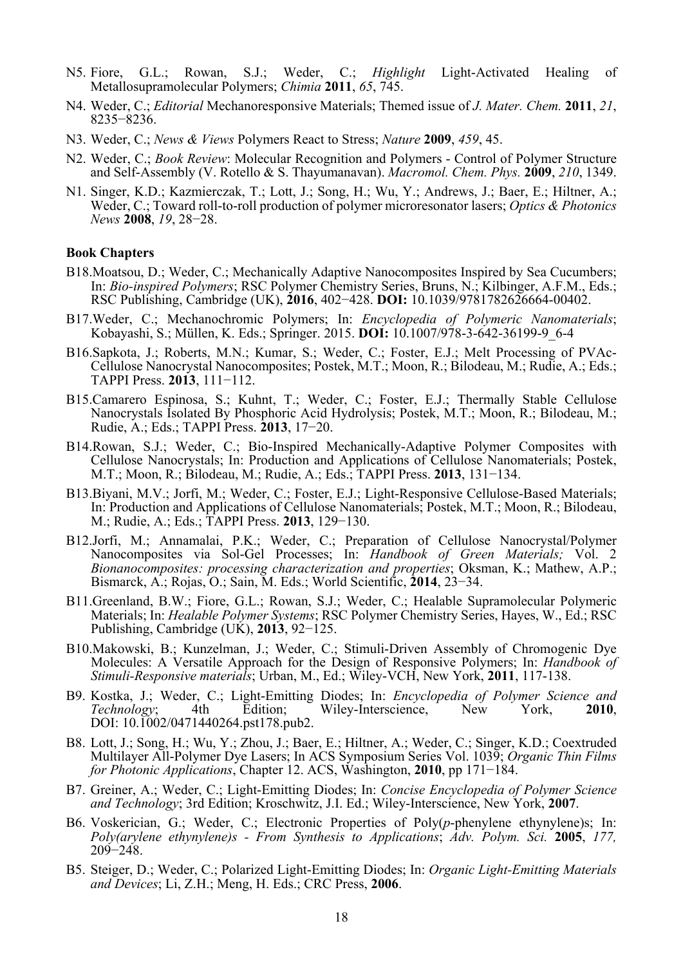- N5. Fiore, G.L.; Rowan, S.J.; Weder, C.; *Highlight* Light-Activated Healing of Metallosupramolecular Polymers; *Chimia* **2011**, *65*, 745.
- N4. Weder, C.; *Editorial* Mechanoresponsive Materials; Themed issue of *J. Mater. Chem.* **2011**, *21*, 8235−8236.
- N3. Weder, C.; *News & Views* Polymers React to Stress; *Nature* **2009**, *459*, 45.
- N2. Weder, C.; *Book Review*: Molecular Recognition and Polymers Control of Polymer Structure and Self-Assembly (V. Rotello & S. Thayumanavan). *Macromol. Chem. Phys.* **2009**, *210*, 1349.
- N1. Singer, K.D.; Kazmierczak, T.; Lott, J.; Song, H.; Wu, Y.; Andrews, J.; Baer, E.; Hiltner, A.; Weder, C.; Toward roll-to-roll production of polymer microresonator lasers; *Optics & Photonics News* **2008**, *19*, 28−28.

#### **Book Chapters**

- B18.Moatsou, D.; Weder, C.; Mechanically Adaptive Nanocomposites Inspired by Sea Cucumbers; In: *Bio-inspired Polymers*; RSC Polymer Chemistry Series, Bruns, N.; Kilbinger, A.F.M., Eds.; RSC Publishing, Cambridge (UK), **2016**, 402−428. **DOI:** 10.1039/9781782626664-00402.
- B17.Weder, C.; Mechanochromic Polymers; In: *Encyclopedia of Polymeric Nanomaterials*; Kobayashi, S.; Müllen, K. Eds.; Springer. 2015. **DOI:** 10.1007/978-3-642-36199-9\_6-4
- B16.Sapkota, J.; Roberts, M.N.; Kumar, S.; Weder, C.; Foster, E.J.; Melt Processing of PVAc-Cellulose Nanocrystal Nanocomposites; Postek, M.T.; Moon, R.; Bilodeau, M.; Rudie, A.; Eds.; TAPPI Press. **2013**, 111−112.
- B15.Camarero Espinosa, S.; Kuhnt, T.; Weder, C.; Foster, E.J.; Thermally Stable Cellulose Nanocrystals Isolated By Phosphoric Acid Hydrolysis; Postek, M.T.; Moon, R.; Bilodeau, M.; Rudie, A.; Eds.; TAPPI Press. **2013**, 17−20.
- B14.Rowan, S.J.; Weder, C.; Bio-Inspired Mechanically-Adaptive Polymer Composites with Cellulose Nanocrystals; In: Production and Applications of Cellulose Nanomaterials; Postek, M.T.; Moon, R.; Bilodeau, M.; Rudie, A.; Eds.; TAPPI Press. **2013**, 131−134.
- B13.Biyani, M.V.; Jorfi, M.; Weder, C.; Foster, E.J.; Light-Responsive Cellulose-Based Materials; In: Production and Applications of Cellulose Nanomaterials; Postek, M.T.; Moon, R.; Bilodeau, M.; Rudie, A.; Eds.; TAPPI Press. **2013**, 129−130.
- B12.Jorfi, M.; Annamalai, P.K.; Weder, C.; Preparation of Cellulose Nanocrystal/Polymer Nanocomposites via Sol-Gel Processes; In: *Handbook of Green Materials;* Vol. 2 *Bionanocomposites: processing characterization and properties*; Oksman, K.; Mathew, A.P.; Bismarck, A.; Rojas, O.; Sain, M. Eds.; World Scientific, **2014**, 23−34.
- B11.Greenland, B.W.; Fiore, G.L.; Rowan, S.J.; Weder, C.; Healable Supramolecular Polymeric Materials; In: *Healable Polymer Systems*; RSC Polymer Chemistry Series, Hayes, W., Ed.; RSC Publishing, Cambridge (UK), **2013**, 92−125.
- B10.Makowski, B.; Kunzelman, J.; Weder, C.; Stimuli-Driven Assembly of Chromogenic Dye Molecules: A Versatile Approach for the Design of Responsive Polymers; In: *Handbook of Stimuli-Responsive materials*; Urban, M., Ed.; Wiley-VCH, New York, **2011**, 117-138.
- B9. Kostka, J.; Weder, C.; Light-Emitting Diodes; In: *Encyclopedia of Polymer Science and Technology*; 4th Edition; Wiley-Interscience, New York, **2010**, DOI: 10.1002/0471440264.pst178.pub2.
- B8. Lott, J.; Song, H.; Wu, Y.; Zhou, J.; Baer, E.; Hiltner, A.; Weder, C.; Singer, K.D.; Coextruded Multilayer All-Polymer Dye Lasers; In ACS Symposium Series Vol. 1039; *Organic Thin Films for Photonic Applications*, Chapter 12. ACS, Washington, **2010**, pp 171−184.
- B7. Greiner, A.; Weder, C.; Light-Emitting Diodes; In: *Concise Encyclopedia of Polymer Science and Technology*; 3rd Edition; Kroschwitz, J.I. Ed.; Wiley-Interscience, New York, **2007**.
- B6. Voskerician, G.; Weder, C.; Electronic Properties of Poly(*p*-phenylene ethynylene)s; In: *Poly(arylene ethynylene)s - From Synthesis to Applications*; *Adv. Polym. Sci.* **2005**, *177,* 209−248.
- B5. Steiger, D.; Weder, C.; Polarized Light-Emitting Diodes; In: *Organic Light-Emitting Materials and Devices*; Li, Z.H.; Meng, H. Eds.; CRC Press, **2006**.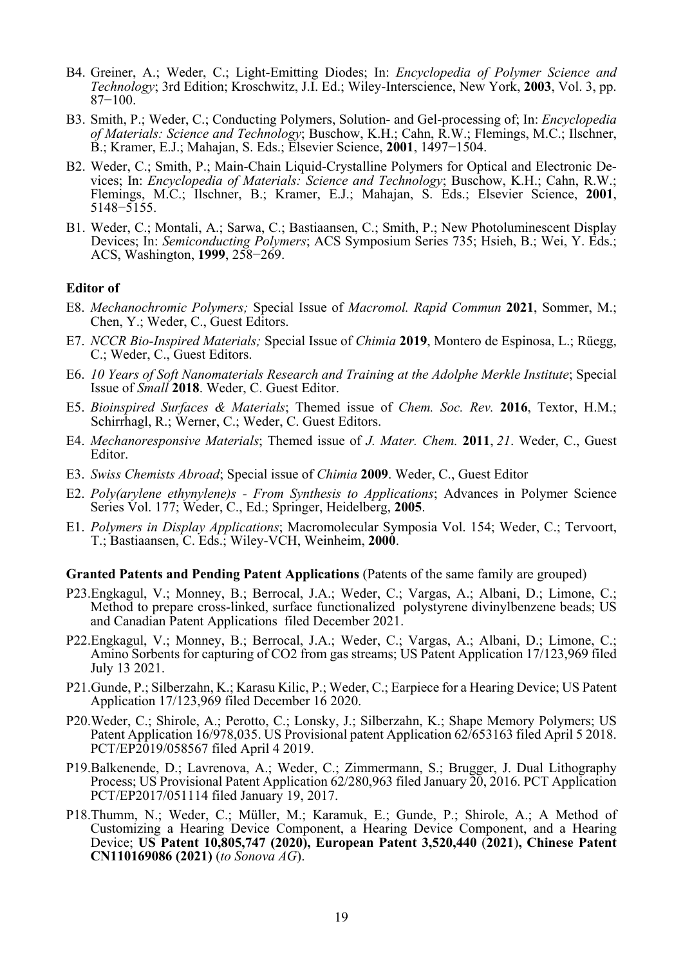- B4. Greiner, A.; Weder, C.; Light-Emitting Diodes; In: *Encyclopedia of Polymer Science and Technology*; 3rd Edition; Kroschwitz, J.I. Ed.; Wiley-Interscience, New York, **2003**, Vol. 3, pp. 87−100.
- B3. Smith, P.; Weder, C.; Conducting Polymers, Solution- and Gel-processing of; In: *Encyclopedia of Materials: Science and Technology*; Buschow, K.H.; Cahn, R.W.; Flemings, M.C.; Ilschner, B.; Kramer, E.J.; Mahajan, S. Eds.; Elsevier Science, **2001**, 1497−1504.
- B2. Weder, C.; Smith, P.; Main-Chain Liquid-Crystalline Polymers for Optical and Electronic Devices; In: *Encyclopedia of Materials: Science and Technology*; Buschow, K.H.; Cahn, R.W.; Flemings, M.C.; Ilschner, B.; Kramer, E.J.; Mahajan, S. Eds.; Elsevier Science, **2001**, 5148−5155.
- B1. Weder, C.; Montali, A.; Sarwa, C.; Bastiaansen, C.; Smith, P.; New Photoluminescent Display Devices; In: *Semiconducting Polymers*; ACS Symposium Series 735; Hsieh, B.; Wei, Y. Eds.; ACS, Washington, **1999**, 258−269.

#### **Editor of**

- E8. *Mechanochromic Polymers;* Special Issue of *Macromol. Rapid Commun* **2021**, Sommer, M.; Chen, Y.; Weder, C., Guest Editors.
- E7. *NCCR Bio-Inspired Materials;* Special Issue of *Chimia* **2019**, Montero de Espinosa, L.; Rüegg, C.; Weder, C., Guest Editors.
- E6. *10 Years of Soft Nanomaterials Research and Training at the Adolphe Merkle Institute*; Special Issue of *Small* **2018**. Weder, C. Guest Editor.
- E5. *Bioinspired Surfaces & Materials*; Themed issue of *Chem. Soc. Rev.* **2016**, Textor, H.M.; Schirrhagl, R.; Werner, C.; Weder, C. Guest Editors.
- E4. *Mechanoresponsive Materials*; Themed issue of *J. Mater. Chem.* **2011**, *21*. Weder, C., Guest Editor.
- E3. *Swiss Chemists Abroad*; Special issue of *Chimia* **2009**. Weder, C., Guest Editor
- E2. *Poly(arylene ethynylene)s From Synthesis to Applications*; Advances in Polymer Science Series Vol. 177; Weder, C., Ed.; Springer, Heidelberg, **2005**.
- E1. *Polymers in Display Applications*; Macromolecular Symposia Vol. 154; Weder, C.; Tervoort, T.; Bastiaansen, C. Eds.; Wiley-VCH, Weinheim, **2000**.

#### **Granted Patents and Pending Patent Applications** (Patents of the same family are grouped)

- P23.Engkagul, V.; Monney, B.; Berrocal, J.A.; Weder, C.; Vargas, A.; Albani, D.; Limone, C.; Method to prepare cross-linked, surface functionalized polystyrene divinylbenzene beads; US and Canadian Patent Applications filed December 2021.
- P22.Engkagul, V.; Monney, B.; Berrocal, J.A.; Weder, C.; Vargas, A.; Albani, D.; Limone, C.; Amino Sorbents for capturing of CO2 from gas streams; US Patent Application 17/123,969 filed July 13 2021.
- P21.Gunde, P.; Silberzahn, K.; Karasu Kilic, P.; Weder, C.; Earpiece for a Hearing Device; US Patent Application 17/123,969 filed December 16 2020.
- P20.Weder, C.; Shirole, A.; Perotto, C.; Lonsky, J.; Silberzahn, K.; Shape Memory Polymers; US Patent Application 16/978,035. US Provisional patent Application 62/653163 filed April 5 2018. PCT/EP2019/058567 filed April 4 2019.
- P19.Balkenende, D.; Lavrenova, A.; Weder, C.; Zimmermann, S.; Brugger, J. Dual Lithography Process; US Provisional Patent Application 62/280,963 filed January 20, 2016. PCT Application PCT/EP2017/051114 filed January 19, 2017.
- P18.Thumm, N.; Weder, C.; Müller, M.; Karamuk, E.; Gunde, P.; Shirole, A.; A Method of Customizing a Hearing Device Component, a Hearing Device Component, and a Hearing Device; **US Patent 10,805,747 (2020), European Patent 3,520,440** (**2021**)**, Chinese Patent CN110169086 (2021)** (*to Sonova AG*).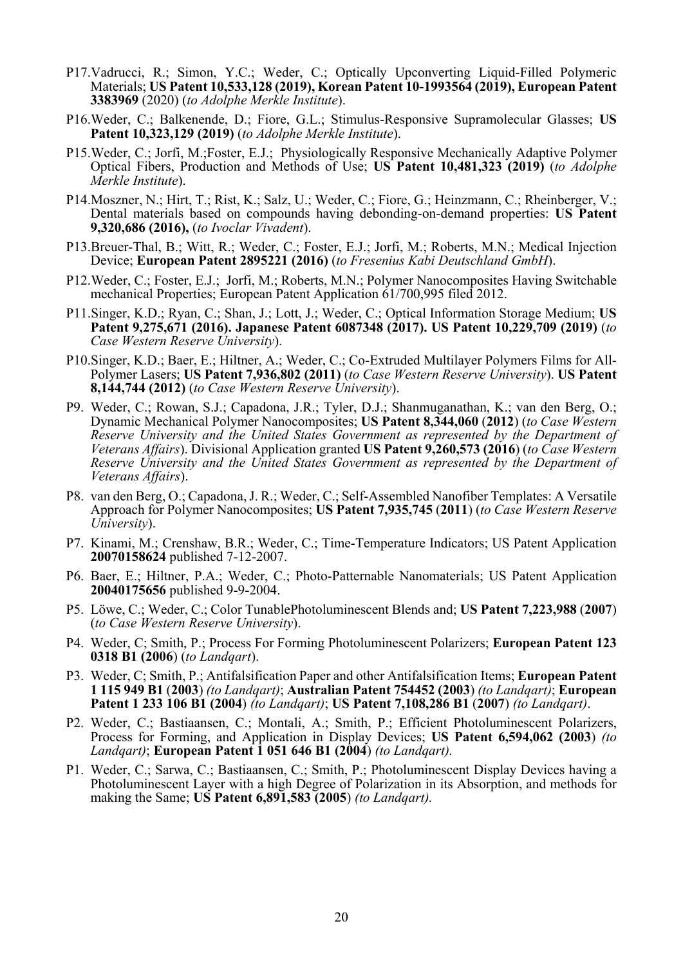- P17.Vadrucci, R.; Simon, Y.C.; Weder, C.; Optically Upconverting Liquid-Filled Polymeric Materials; **US Patent 10,533,128 (2019), Korean Patent 10-1993564 (2019), European Patent 3383969** (2020) (*to Adolphe Merkle Institute*).
- P16.Weder, C.; Balkenende, D.; Fiore, G.L.; Stimulus-Responsive Supramolecular Glasses; **US Patent 10,323,129 (2019)** (*to Adolphe Merkle Institute*).
- P15.Weder, C.; Jorfi, M.;Foster, E.J.; Physiologically Responsive Mechanically Adaptive Polymer Optical Fibers, Production and Methods of Use; **US Patent 10,481,323 (2019)** (*to Adolphe Merkle Institute*).
- P14.Moszner, N.; Hirt, T.; Rist, K.; Salz, U.; Weder, C.; Fiore, G.; Heinzmann, C.; Rheinberger, V.; Dental materials based on compounds having debonding-on-demand properties: **US Patent 9,320,686 (2016),** (*to Ivoclar Vivadent*).
- P13.Breuer-Thal, B.; Witt, R.; Weder, C.; Foster, E.J.; Jorfi, M.; Roberts, M.N.; Medical Injection Device; **European Patent 2895221 (2016)** (*to Fresenius Kabi Deutschland GmbH*).
- P12.Weder, C.; Foster, E.J.; Jorfi, M.; Roberts, M.N.; Polymer Nanocomposites Having Switchable mechanical Properties; European Patent Application 61/700,995 filed 2012.
- P11.Singer, K.D.; Ryan, C.; Shan, J.; Lott, J.; Weder, C.; Optical Information Storage Medium; **US Patent 9,275,671 (2016). Japanese Patent 6087348 (2017). US Patent 10,229,709 (2019)** (*to Case Western Reserve University*).
- P10.Singer, K.D.; Baer, E.; Hiltner, A.; Weder, C.; Co-Extruded Multilayer Polymers Films for All-Polymer Lasers; **US Patent 7,936,802 (2011)** (*to Case Western Reserve University*). **US Patent 8,144,744 (2012)** (*to Case Western Reserve University*).
- P9. Weder, C.; Rowan, S.J.; Capadona, J.R.; Tyler, D.J.; Shanmuganathan, K.; van den Berg, O.; Dynamic Mechanical Polymer Nanocomposites; **US Patent 8,344,060** (**2012**) (*to Case Western Reserve University and the United States Government as represented by the Department of Veterans Affairs*). Divisional Application granted **US Patent 9,260,573 (2016**) (*to Case Western Reserve University and the United States Government as represented by the Department of Veterans Affairs*).
- P8. van den Berg, O.; Capadona, J. R.; Weder, C.; Self-Assembled Nanofiber Templates: A Versatile Approach for Polymer Nanocomposites; **US Patent 7,935,745** (**2011**) (*to Case Western Reserve University*).
- P7. Kinami, M.; Crenshaw, B.R.; Weder, C.; Time-Temperature Indicators; US Patent Application **20070158624** published 7-12-2007.
- P6. Baer, E.; Hiltner, P.A.; Weder, C.; Photo-Patternable Nanomaterials; US Patent Application **20040175656** published 9-9-2004.
- P5. Löwe, C.; Weder, C.; Color TunablePhotoluminescent Blends and; **US Patent 7,223,988** (**2007**) (*to Case Western Reserve University*).
- P4. Weder, C; Smith, P.; Process For Forming Photoluminescent Polarizers; **European Patent 123 0318 B1 (2006**) (*to Landqart*).
- P3. Weder, C; Smith, P.; Antifalsification Paper and other Antifalsification Items; **European Patent 1 115 949 B1** (**2003**) *(to Landqart)*; **Australian Patent 754452 (2003**) *(to Landqart)*; **European Patent 1 233 106 B1 (2004**) *(to Landqart)*; **US Patent 7,108,286 B1** (**2007**) *(to Landqart)*.
- P2. Weder, C.; Bastiaansen, C.; Montali, A.; Smith, P.; Efficient Photoluminescent Polarizers, Process for Forming, and Application in Display Devices; **US Patent 6,594,062 (2003**) *(to Landqart)*; **European Patent 1 051 646 B1 (2004**) *(to Landqart).*
- P1. Weder, C.; Sarwa, C.; Bastiaansen, C.; Smith, P.; Photoluminescent Display Devices having a Photoluminescent Layer with a high Degree of Polarization in its Absorption, and methods for making the Same; **US Patent 6,891,583 (2005**) *(to Landqart).*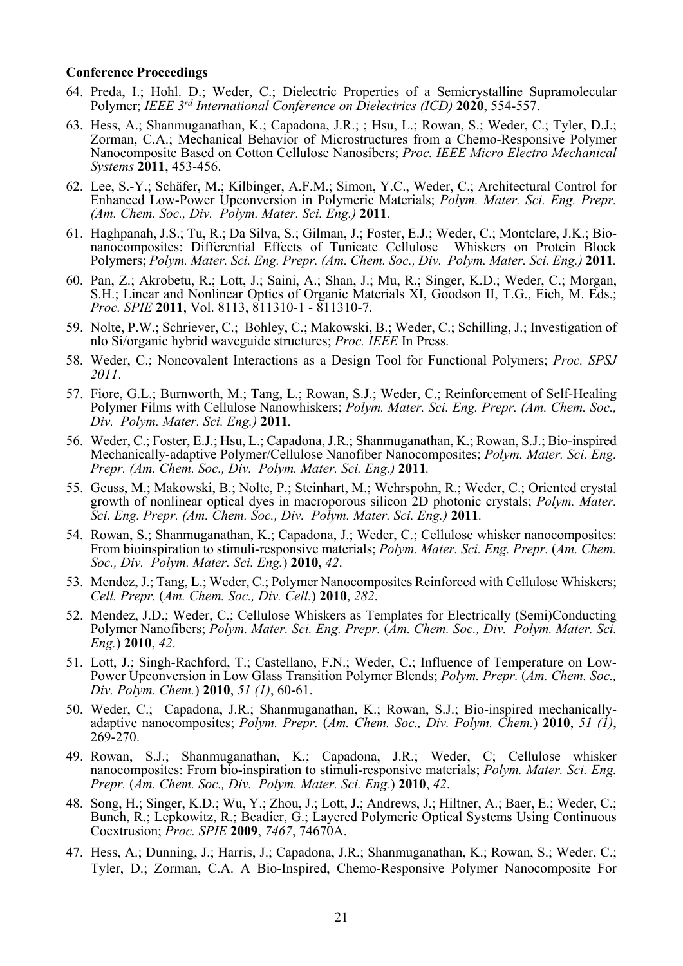#### **Conference Proceedings**

- 64. Preda, I.; Hohl. D.; Weder, C.; Dielectric Properties of a Semicrystalline Supramolecular Polymer; *IEEE 3rd International Conference on Dielectrics (ICD)* **2020**, 554-557.
- 63. Hess, A.; Shanmuganathan, K.; Capadona, J.R.; ; Hsu, L.; Rowan, S.; Weder, C.; Tyler, D.J.; Zorman, C.A.; Mechanical Behavior of Microstructures from a Chemo-Responsive Polymer Nanocomposite Based on Cotton Cellulose Nanosibers; *Proc. IEEE Micro Electro Mechanical Systems* **2011**, 453-456.
- 62. Lee, S.-Y.; Schäfer, M.; Kilbinger, A.F.M.; Simon, Y.C., Weder, C.; Architectural Control for Enhanced Low-Power Upconversion in Polymeric Materials; *Polym. Mater. Sci. Eng. Prepr. (Am. Chem. Soc., Div. Polym. Mater. Sci. Eng.)* **2011***.*
- 61. Haghpanah, J.S.; Tu, R.; Da Silva, S.; Gilman, J.; Foster, E.J.; Weder, C.; Montclare, J.K.; Bionanocomposites: Differential Effects of Tunicate Cellulose Whiskers on Protein Block Polymers; *Polym. Mater. Sci. Eng. Prepr. (Am. Chem. Soc., Div. Polym. Mater. Sci. Eng.)* **2011***.*
- 60. Pan, Z.; Akrobetu, R.; Lott, J.; Saini, A.; Shan, J.; Mu, R.; Singer, K.D.; Weder, C.; Morgan, S.H.; Linear and Nonlinear Optics of Organic Materials XI, Goodson II, T.G., Eich, M. Eds.; *Proc. SPIE* **2011**, Vol. 8113, 811310-1 - 811310-7.
- 59. Nolte, P.W.; Schriever, C.; Bohley, C.; Makowski, B.; Weder, C.; Schilling, J.; Investigation of nlo Si/organic hybrid waveguide structures; *Proc. IEEE* In Press.
- 58. Weder, C.; Noncovalent Interactions as a Design Tool for Functional Polymers; *Proc. SPSJ 2011*.
- 57. Fiore, G.L.; Burnworth, M.; Tang, L.; Rowan, S.J.; Weder, C.; Reinforcement of Self-Healing Polymer Films with Cellulose Nanowhiskers; *Polym. Mater. Sci. Eng. Prepr. (Am. Chem. Soc., Div. Polym. Mater. Sci. Eng.)* **2011***.*
- 56. Weder, C.; Foster, E.J.; Hsu, L.; Capadona, J.R.; Shanmuganathan, K.; Rowan, S.J.; Bio-inspired Mechanically-adaptive Polymer/Cellulose Nanofiber Nanocomposites; *Polym. Mater. Sci. Eng. Prepr. (Am. Chem. Soc., Div. Polym. Mater. Sci. Eng.)* **2011***.*
- 55. Geuss, M.; Makowski, B.; Nolte, P.; Steinhart, M.; Wehrspohn, R.; Weder, C.; Oriented crystal growth of nonlinear optical dyes in macroporous silicon 2D photonic crystals; *Polym. Mater. Sci. Eng. Prepr. (Am. Chem. Soc., Div. Polym. Mater. Sci. Eng.)* **2011***.*
- 54. Rowan, S.; Shanmuganathan, K.; Capadona, J.; Weder, C.; Cellulose whisker nanocomposites: From bioinspiration to stimuli-responsive materials; *Polym. Mater. Sci. Eng. Prepr.* (*Am. Chem. Soc., Div. Polym. Mater. Sci. Eng.*) **2010**, *42*.
- 53. Mendez, J.; Tang, L.; Weder, C.; Polymer Nanocomposites Reinforced with Cellulose Whiskers; *Cell. Prepr.* (*Am. Chem. Soc., Div. Cell.*) **2010**, *282*.
- 52. Mendez, J.D.; Weder, C.; Cellulose Whiskers as Templates for Electrically (Semi)Conducting Polymer Nanofibers; *Polym. Mater. Sci. Eng. Prepr.* (*Am. Chem. Soc., Div. Polym. Mater. Sci. Eng.*) **2010**, *42*.
- 51. Lott, J.; Singh-Rachford, T.; Castellano, F.N.; Weder, C.; Influence of Temperature on Low-Power Upconversion in Low Glass Transition Polymer Blends; *Polym. Prepr.* (*Am. Chem. Soc., Div. Polym. Chem.*) **2010**, *51 (1)*, 60-61.
- 50. Weder, C.; Capadona, J.R.; Shanmuganathan, K.; Rowan, S.J.; Bio-inspired mechanicallyadaptive nanocomposites; *Polym. Prepr.* (*Am. Chem. Soc., Div. Polym. Chem.*) **2010**, *51 (1)*, 269-270.
- 49. Rowan, S.J.; Shanmuganathan, K.; Capadona, J.R.; Weder, C; Cellulose whisker nanocomposites: From bio-inspiration to stimuli-responsive materials; *Polym. Mater. Sci. Eng. Prepr.* (*Am. Chem. Soc., Div. Polym. Mater. Sci. Eng.*) **2010**, *42*.
- 48. Song, H.; Singer, K.D.; Wu, Y.; Zhou, J.; Lott, J.; Andrews, J.; Hiltner, A.; Baer, E.; Weder, C.; Bunch, R.; Lepkowitz, R.; Beadier, G.; Layered Polymeric Optical Systems Using Continuous Coextrusion; *Proc. SPIE* **2009**, *7467*, 74670A.
- 47. Hess, A.; Dunning, J.; Harris, J.; Capadona, J.R.; Shanmuganathan, K.; Rowan, S.; Weder, C.; Tyler, D.; Zorman, C.A. A Bio-Inspired, Chemo-Responsive Polymer Nanocomposite For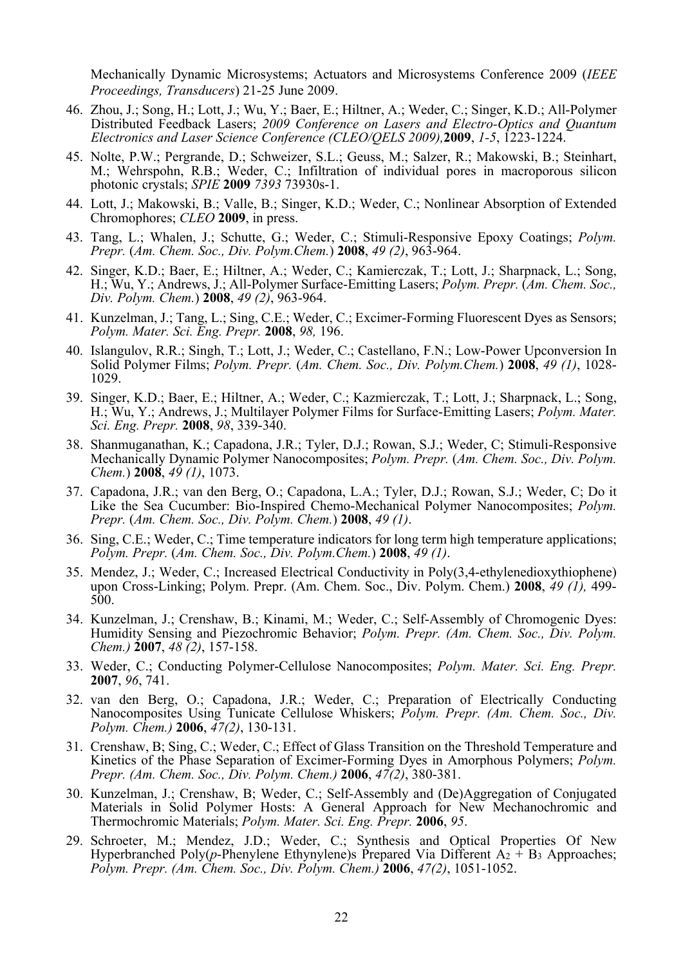Mechanically Dynamic Microsystems; Actuators and Microsystems Conference 2009 (*IEEE Proceedings, Transducers*) 21-25 June 2009.

- 46. Zhou, J.; Song, H.; Lott, J.; Wu, Y.; Baer, E.; Hiltner, A.; Weder, C.; Singer, K.D.; All-Polymer Distributed Feedback Lasers; *2009 Conference on Lasers and Electro-Optics and Quantum Electronics and Laser Science Conference (CLEO/QELS 2009),***2009**, *1-5*, 1223-1224.
- 45. Nolte, P.W.; Pergrande, D.; Schweizer, S.L.; Geuss, M.; Salzer, R.; Makowski, B.; Steinhart, M.; Wehrspohn, R.B.; Weder, C.; Infiltration of individual pores in macroporous silicon photonic crystals; *SPIE* **2009** *7393* 73930s-1.
- 44. Lott, J.; Makowski, B.; Valle, B.; Singer, K.D.; Weder, C.; Nonlinear Absorption of Extended Chromophores; *CLEO* **2009**, in press.
- 43. Tang, L.; Whalen, J.; Schutte, G.; Weder, C.; Stimuli-Responsive Epoxy Coatings; *Polym. Prepr.* (*Am. Chem. Soc., Div. Polym.Chem.*) **2008**, *49 (2)*, 963-964.
- 42. Singer, K.D.; Baer, E.; Hiltner, A.; Weder, C.; Kamierczak, T.; Lott, J.; Sharpnack, L.; Song, H.; Wu, Y.; Andrews, J.; All-Polymer Surface-Emitting Lasers; *Polym. Prepr.* (*Am. Chem. Soc., Div. Polym. Chem.*) **2008**, *49 (2)*, 963-964.
- 41. Kunzelman, J.; Tang, L.; Sing, C.E.; Weder, C.; Excimer-Forming Fluorescent Dyes as Sensors; *Polym. Mater. Sci. Eng. Prepr.* **2008**, *98,* 196.
- 40. Islangulov, R.R.; Singh, T.; Lott, J.; Weder, C.; Castellano, F.N.; Low-Power Upconversion In Solid Polymer Films; *Polym. Prepr.* (*Am. Chem. Soc., Div. Polym.Chem.*) **2008**, *49 (1)*, 1028- 1029.
- 39. Singer, K.D.; Baer, E.; Hiltner, A.; Weder, C.; Kazmierczak, T.; Lott, J.; Sharpnack, L.; Song, H.; Wu, Y.; Andrews, J.; Multilayer Polymer Films for Surface-Emitting Lasers; *Polym. Mater. Sci. Eng. Prepr.* **2008**, *98*, 339-340.
- 38. Shanmuganathan, K.; Capadona, J.R.; Tyler, D.J.; Rowan, S.J.; Weder, C; Stimuli-Responsive Mechanically Dynamic Polymer Nanocomposites; *Polym. Prepr.* (*Am. Chem. Soc., Div. Polym. Chem.*) **2008**, *49 (1)*, 1073.
- 37. Capadona, J.R.; van den Berg, O.; Capadona, L.A.; Tyler, D.J.; Rowan, S.J.; Weder, C; Do it Like the Sea Cucumber: Bio-Inspired Chemo-Mechanical Polymer Nanocomposites; *Polym. Prepr.* (*Am. Chem. Soc., Div. Polym. Chem.*) **2008**, *49 (1)*.
- 36. Sing, C.E.; Weder, C.; Time temperature indicators for long term high temperature applications; *Polym. Prepr.* (*Am. Chem. Soc., Div. Polym.Chem.*) **2008**, *49 (1)*.
- 35. Mendez, J.; Weder, C.; Increased Electrical Conductivity in Poly(3,4-ethylenedioxythiophene) upon Cross-Linking; Polym. Prepr. (Am. Chem. Soc., Div. Polym. Chem.) **2008**, *49 (1),* 499- 500.
- 34. Kunzelman, J.; Crenshaw, B.; Kinami, M.; Weder, C.; Self-Assembly of Chromogenic Dyes: Humidity Sensing and Piezochromic Behavior; *Polym. Prepr. (Am. Chem. Soc., Div. Polym. Chem.)* **2007**, *48 (2)*, 157-158.
- 33. Weder, C.; Conducting Polymer-Cellulose Nanocomposites; *Polym. Mater. Sci. Eng. Prepr.* **2007**, *96*, 741.
- 32. van den Berg, O.; Capadona, J.R.; Weder, C.; Preparation of Electrically Conducting Nanocomposites Using Tunicate Cellulose Whiskers; *Polym. Prepr. (Am. Chem. Soc., Div. Polym. Chem.)* **2006**, *47(2)*, 130-131.
- 31. Crenshaw, B; Sing, C.; Weder, C.; Effect of Glass Transition on the Threshold Temperature and Kinetics of the Phase Separation of Excimer-Forming Dyes in Amorphous Polymers; *Polym. Prepr. (Am. Chem. Soc., Div. Polym. Chem.)* **2006**, *47(2)*, 380-381.
- 30. Kunzelman, J.; Crenshaw, B; Weder, C.; Self-Assembly and (De)Aggregation of Conjugated Materials in Solid Polymer Hosts: A General Approach for New Mechanochromic and Thermochromic Materials; *Polym. Mater. Sci. Eng. Prepr.* **2006**, *95*.
- 29. Schroeter, M.; Mendez, J.D.; Weder, C.; Synthesis and Optical Properties Of New Hyperbranched Poly(*p*-Phenylene Ethynylene)s Prepared Via Different  $A_2 + B_3$  Approaches; *Polym. Prepr. (Am. Chem. Soc., Div. Polym. Chem.)* **2006**, *47(2)*, 1051-1052.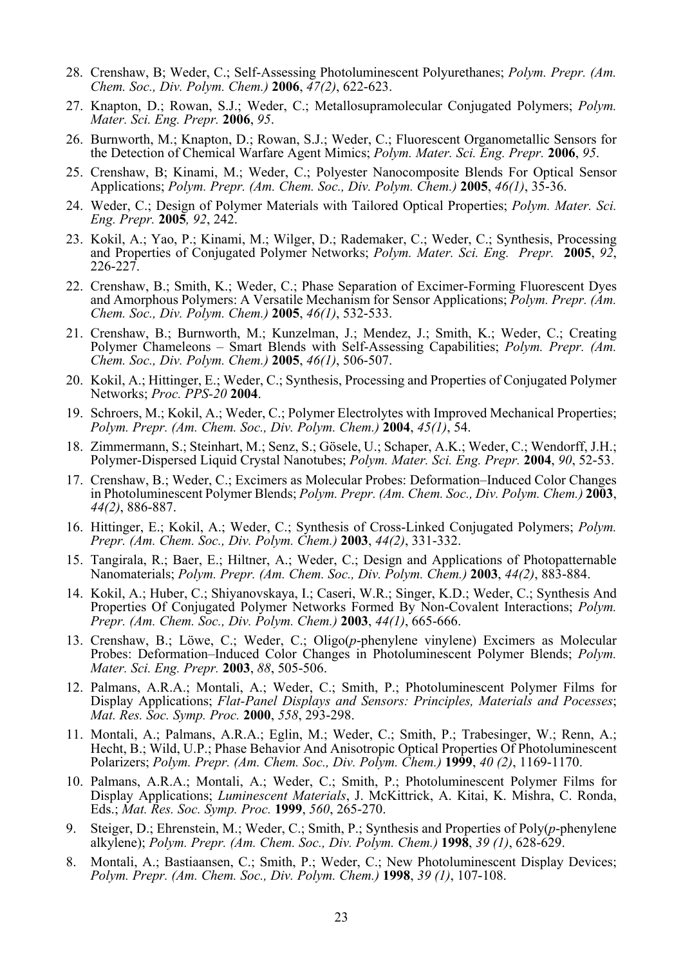- 28. Crenshaw, B; Weder, C.; Self-Assessing Photoluminescent Polyurethanes; *Polym. Prepr. (Am. Chem. Soc., Div. Polym. Chem.)* **2006**, *47(2)*, 622-623.
- 27. Knapton, D.; Rowan, S.J.; Weder, C.; Metallosupramolecular Conjugated Polymers; *Polym. Mater. Sci. Eng. Prepr.* **2006**, *95*.
- 26. Burnworth, M.; Knapton, D.; Rowan, S.J.; Weder, C.; Fluorescent Organometallic Sensors for the Detection of Chemical Warfare Agent Mimics; *Polym. Mater. Sci. Eng. Prepr.* **2006**, *95*.
- 25. Crenshaw, B; Kinami, M.; Weder, C.; Polyester Nanocomposite Blends For Optical Sensor Applications; *Polym. Prepr. (Am. Chem. Soc., Div. Polym. Chem.)* **2005**, *46(1)*, 35-36.
- 24. Weder, C.; Design of Polymer Materials with Tailored Optical Properties; *Polym. Mater. Sci. Eng. Prepr.* **2005***, 92*, 242.
- 23. Kokil, A.; Yao, P.; Kinami, M.; Wilger, D.; Rademaker, C.; Weder, C.; Synthesis, Processing and Properties of Conjugated Polymer Networks; *Polym. Mater. Sci. Eng. Prepr.* **2005**, *92*, 226-227.
- 22. Crenshaw, B.; Smith, K.; Weder, C.; Phase Separation of Excimer-Forming Fluorescent Dyes and Amorphous Polymers: A Versatile Mechanism for Sensor Applications; *Polym. Prepr. (Am. Chem. Soc., Div. Polym. Chem.)* **2005**, *46(1)*, 532-533.
- 21. Crenshaw, B.; Burnworth, M.; Kunzelman, J.; Mendez, J.; Smith, K.; Weder, C.; Creating Polymer Chameleons – Smart Blends with Self-Assessing Capabilities; *Polym. Prepr. (Am. Chem. Soc., Div. Polym. Chem.)* **2005**, *46(1)*, 506-507.
- 20. Kokil, A.; Hittinger, E.; Weder, C.; Synthesis, Processing and Properties of Conjugated Polymer Networks; *Proc. PPS-20* **2004**.
- 19. Schroers, M.; Kokil, A.; Weder, C.; Polymer Electrolytes with Improved Mechanical Properties; *Polym. Prepr. (Am. Chem. Soc., Div. Polym. Chem.)* **2004**, *45(1)*, 54.
- 18. Zimmermann, S.; Steinhart, M.; Senz, S.; Gösele, U.; Schaper, A.K.; Weder, C.; Wendorff, J.H.; Polymer-Dispersed Liquid Crystal Nanotubes; *Polym. Mater. Sci. Eng. Prepr.* **2004**, *90*, 52-53.
- 17. Crenshaw, B.; Weder, C.; Excimers as Molecular Probes: Deformation–Induced Color Changes in Photoluminescent Polymer Blends; *Polym. Prepr. (Am. Chem. Soc., Div. Polym. Chem.)* **2003**, *44(2)*, 886-887.
- 16. Hittinger, E.; Kokil, A.; Weder, C.; Synthesis of Cross-Linked Conjugated Polymers; *Polym. Prepr. (Am. Chem. Soc., Div. Polym. Chem.)* **2003**, *44(2)*, 331-332.
- 15. Tangirala, R.; Baer, E.; Hiltner, A.; Weder, C.; Design and Applications of Photopatternable Nanomaterials; *Polym. Prepr. (Am. Chem. Soc., Div. Polym. Chem.)* **2003**, *44(2)*, 883-884.
- 14. Kokil, A.; Huber, C.; Shiyanovskaya, I.; Caseri, W.R.; Singer, K.D.; Weder, C.; Synthesis And Properties Of Conjugated Polymer Networks Formed By Non-Covalent Interactions; *Polym. Prepr. (Am. Chem. Soc., Div. Polym. Chem.)* **2003**, *44(1)*, 665-666.
- 13. Crenshaw, B.; Löwe, C.; Weder, C.; Oligo(*p*-phenylene vinylene) Excimers as Molecular Probes: Deformation–Induced Color Changes in Photoluminescent Polymer Blends; *Polym. Mater. Sci. Eng. Prepr.* **2003**, *88*, 505-506.
- 12. Palmans, A.R.A.; Montali, A.; Weder, C.; Smith, P.; Photoluminescent Polymer Films for Display Applications; *Flat-Panel Displays and Sensors: Principles, Materials and Pocesses*; *Mat. Res. Soc. Symp. Proc.* **2000**, *558*, 293-298.
- 11. Montali, A.; Palmans, A.R.A.; Eglin, M.; Weder, C.; Smith, P.; Trabesinger, W.; Renn, A.; Hecht, B.; Wild, U.P.; Phase Behavior And Anisotropic Optical Properties Of Photoluminescent Polarizers; *Polym. Prepr. (Am. Chem. Soc., Div. Polym. Chem.)* **1999**, *40 (2)*, 1169-1170.
- 10. Palmans, A.R.A.; Montali, A.; Weder, C.; Smith, P.; Photoluminescent Polymer Films for Display Applications; *Luminescent Materials*, J. McKittrick, A. Kitai, K. Mishra, C. Ronda, Eds.; *Mat. Res. Soc. Symp. Proc.* **1999**, *560*, 265-270.
- 9. Steiger, D.; Ehrenstein, M.; Weder, C.; Smith, P.; Synthesis and Properties of Poly(*p*-phenylene alkylene); *Polym. Prepr. (Am. Chem. Soc., Div. Polym. Chem.)* **1998**, *39 (1)*, 628-629.
- 8. Montali, A.; Bastiaansen, C.; Smith, P.; Weder, C.; New Photoluminescent Display Devices; *Polym. Prepr. (Am. Chem. Soc., Div. Polym. Chem.)* **1998**, *39 (1)*, 107-108.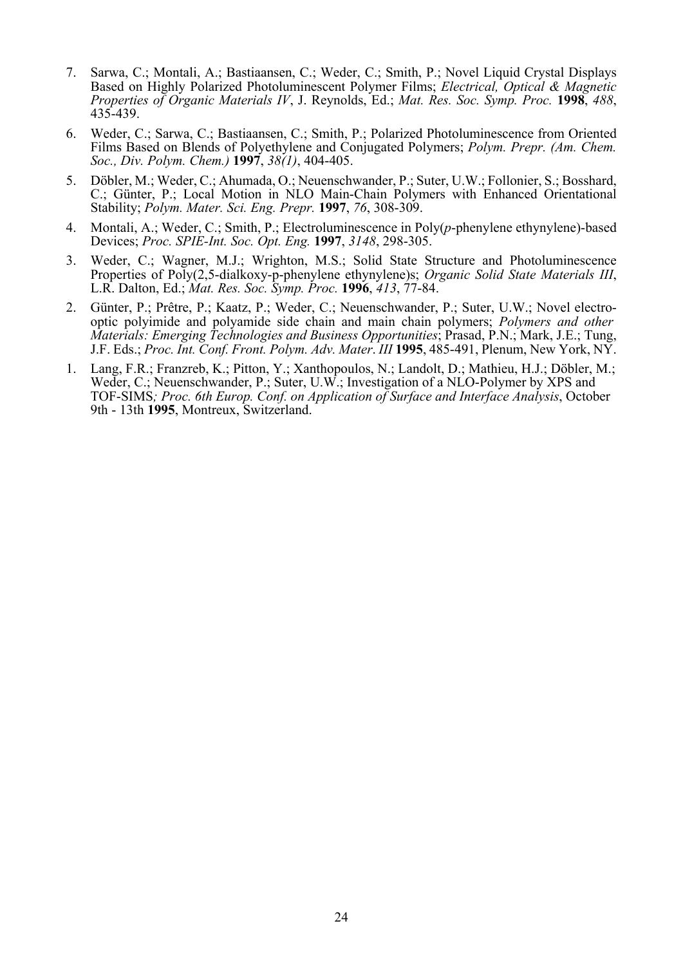- 7. Sarwa, C.; Montali, A.; Bastiaansen, C.; Weder, C.; Smith, P.; Novel Liquid Crystal Displays Based on Highly Polarized Photoluminescent Polymer Films; *Electrical, Optical & Magnetic Properties of Organic Materials IV*, J. Reynolds, Ed.; *Mat. Res. Soc. Symp. Proc.* **1998**, *488*, 435-439.
- 6. Weder, C.; Sarwa, C.; Bastiaansen, C.; Smith, P.; Polarized Photoluminescence from Oriented Films Based on Blends of Polyethylene and Conjugated Polymers; *Polym. Prepr. (Am. Chem. Soc., Div. Polym. Chem.)* **1997**, *38(1)*, 404-405.
- 5. Döbler, M.; Weder, C.; Ahumada, O.; Neuenschwander, P.; Suter, U.W.; Follonier, S.; Bosshard, C.; Günter, P.; Local Motion in NLO Main-Chain Polymers with Enhanced Orientational Stability; *Polym. Mater. Sci. Eng. Prepr.* **1997**, *76*, 308-309.
- 4. Montali, A.; Weder, C.; Smith, P.; Electroluminescence in Poly(*p*-phenylene ethynylene)-based Devices; *Proc. SPIE-Int. Soc. Opt. Eng.* **1997**, *3148*, 298-305.
- 3. Weder, C.; Wagner, M.J.; Wrighton, M.S.; Solid State Structure and Photoluminescence Properties of Poly(2,5-dialkoxy-p-phenylene ethynylene)s; *Organic Solid State Materials III*, L.R. Dalton, Ed.; *Mat. Res. Soc. Symp. Proc.* **1996**, *413*, 77-84.
- 2. Günter, P.; Prêtre, P.; Kaatz, P.; Weder, C.; Neuenschwander, P.; Suter, U.W.; Novel electrooptic polyimide and polyamide side chain and main chain polymers; *Polymers and other Materials: Emerging Technologies and Business Opportunities*; Prasad, P.N.; Mark, J.E.; Tung, J.F. Eds.; *Proc. Int. Conf. Front. Polym. Adv. Mater*. *III* **1995**, 485-491, Plenum, New York, NY.
- 1. Lang, F.R.; Franzreb, K.; Pitton, Y.; Xanthopoulos, N.; Landolt, D.; Mathieu, H.J.; Döbler, M.; Weder, C.; Neuenschwander, P.; Suter, U.W.; Investigation of a NLO-Polymer by XPS and TOF-SIMS*; Proc. 6th Europ. Conf. on Application of Surface and Interface Analysis*, October 9th - 13th **1995**, Montreux, Switzerland.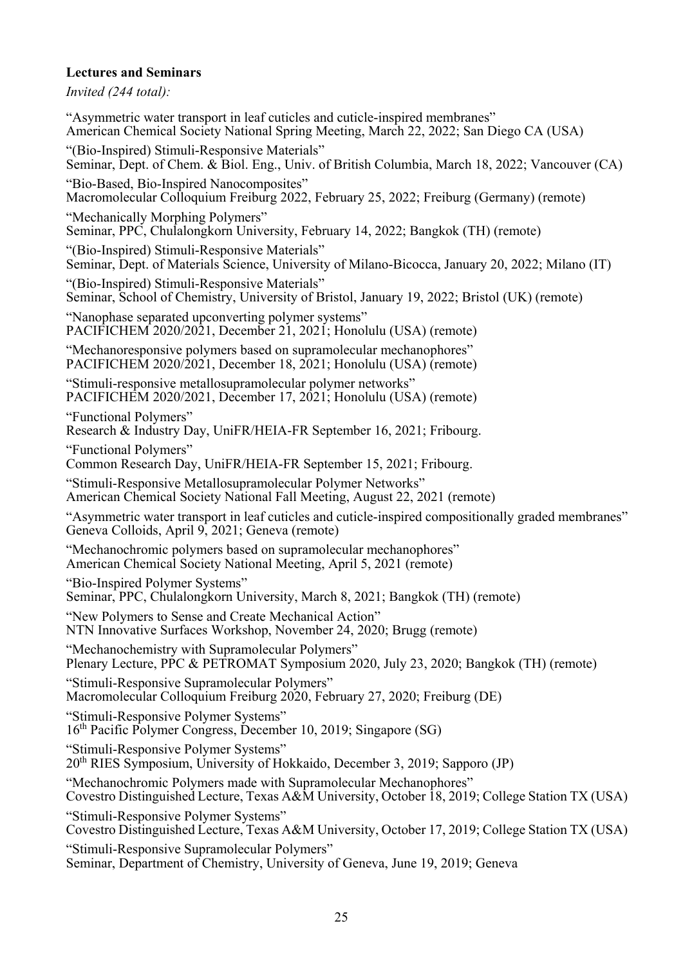# **Lectures and Seminars**

*Invited (244 total):* 

"Asymmetric water transport in leaf cuticles and cuticle-inspired membranes" American Chemical Society National Spring Meeting, March 22, 2022; San Diego CA (USA) "(Bio-Inspired) Stimuli-Responsive Materials" Seminar, Dept. of Chem. & Biol. Eng., Univ. of British Columbia, March 18, 2022; Vancouver (CA) "Bio-Based, Bio-Inspired Nanocomposites" Macromolecular Colloquium Freiburg 2022, February 25, 2022; Freiburg (Germany) (remote) "Mechanically Morphing Polymers" Seminar, PPC, Chulalongkorn University, February 14, 2022; Bangkok (TH) (remote) "(Bio-Inspired) Stimuli-Responsive Materials" Seminar, Dept. of Materials Science, University of Milano-Bicocca, January 20, 2022; Milano (IT) "(Bio-Inspired) Stimuli-Responsive Materials" Seminar, School of Chemistry, University of Bristol, January 19, 2022; Bristol (UK) (remote) "Nanophase separated upconverting polymer systems" PACIFICHEM 2020/2021, December 21, 2021; Honolulu (USA) (remote) "Mechanoresponsive polymers based on supramolecular mechanophores" PACIFICHEM 2020/2021, December 18, 2021; Honolulu (USA) (remote) "Stimuli-responsive metallosupramolecular polymer networks" PACIFICHEM 2020/2021, December 17, 2021; Honolulu (USA) (remote) "Functional Polymers" Research & Industry Day, UniFR/HEIA-FR September 16, 2021; Fribourg. "Functional Polymers" Common Research Day, UniFR/HEIA-FR September 15, 2021; Fribourg. "Stimuli-Responsive Metallosupramolecular Polymer Networks" American Chemical Society National Fall Meeting, August 22, 2021 (remote) "Asymmetric water transport in leaf cuticles and cuticle-inspired compositionally graded membranes" Geneva Colloids, April 9, 2021; Geneva (remote) "Mechanochromic polymers based on supramolecular mechanophores" American Chemical Society National Meeting, April 5, 2021 (remote) "Bio-Inspired Polymer Systems" Seminar, PPC, Chulalongkorn University, March 8, 2021; Bangkok (TH) (remote) "New Polymers to Sense and Create Mechanical Action" NTN Innovative Surfaces Workshop, November 24, 2020; Brugg (remote) "Mechanochemistry with Supramolecular Polymers" Plenary Lecture, PPC & PETROMAT Symposium 2020, July 23, 2020; Bangkok (TH) (remote) "Stimuli-Responsive Supramolecular Polymers" Macromolecular Colloquium Freiburg 2020, February 27, 2020; Freiburg (DE) "Stimuli-Responsive Polymer Systems" 16th Pacific Polymer Congress, December 10, 2019; Singapore (SG) "Stimuli-Responsive Polymer Systems" 20th RIES Symposium, University of Hokkaido, December 3, 2019; Sapporo (JP) "Mechanochromic Polymers made with Supramolecular Mechanophores" Covestro Distinguished Lecture, Texas A&M University, October 18, 2019; College Station TX (USA) "Stimuli-Responsive Polymer Systems" Covestro Distinguished Lecture, Texas A&M University, October 17, 2019; College Station TX (USA) "Stimuli-Responsive Supramolecular Polymers" Seminar, Department of Chemistry, University of Geneva, June 19, 2019; Geneva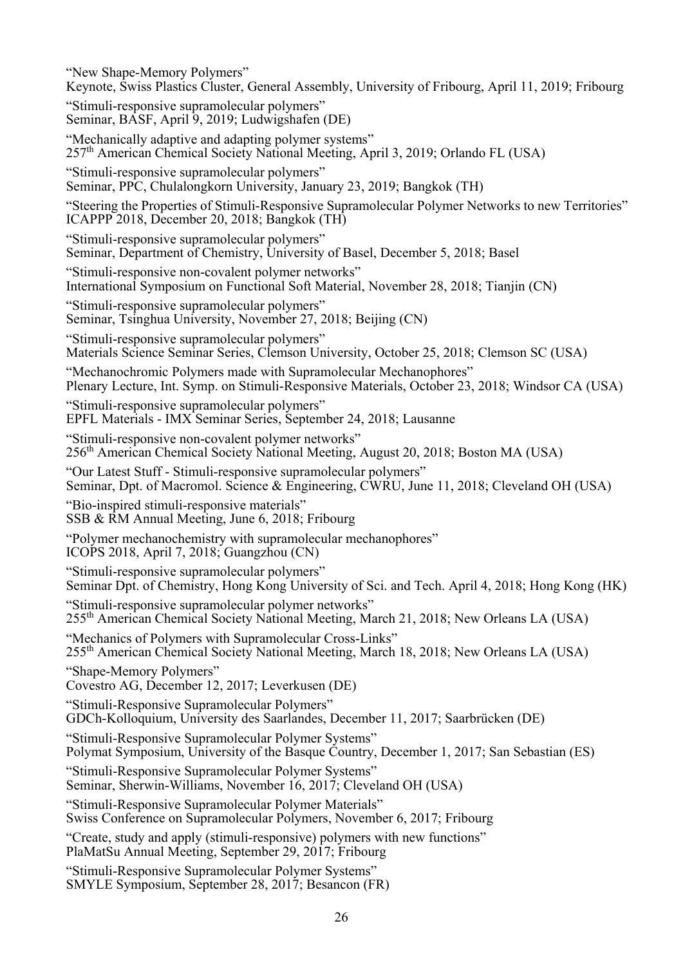"New Shape-Memory Polymers" Keynote, Swiss Plastics Cluster, General Assembly, University of Fribourg, April 11, 2019; Fribourg "Stimuli-responsive supramolecular polymers" Seminar, BASF, April 9, 2019; Ludwigshafen (DE) "Mechanically adaptive and adapting polymer systems" 257th American Chemical Society National Meeting, April 3, 2019; Orlando FL (USA) "Stimuli-responsive supramolecular polymers" Seminar, PPC, Chulalongkorn University, January 23, 2019; Bangkok (TH) "Steering the Properties of Stimuli-Responsive Supramolecular Polymer Networks to new Territories" ICAPPP 2018, December 20, 2018; Bangkok (TH) "Stimuli-responsive supramolecular polymers" Seminar, Department of Chemistry, University of Basel, December 5, 2018; Basel "Stimuli-responsive non-covalent polymer networks" International Symposium on Functional Soft Material, November 28, 2018; Tianjin (CN) "Stimuli-responsive supramolecular polymers" Seminar, Tsinghua University, November 27, 2018; Beijing (CN) "Stimuli-responsive supramolecular polymers" Materials Science Seminar Series, Clemson University, October 25, 2018; Clemson SC (USA) "Mechanochromic Polymers made with Supramolecular Mechanophores" Plenary Lecture, Int. Symp. on Stimuli-Responsive Materials, October 23, 2018; Windsor CA (USA) "Stimuli-responsive supramolecular polymers" EPFL Materials - IMX Seminar Series, September 24, 2018; Lausanne "Stimuli-responsive non-covalent polymer networks" 256th American Chemical Society National Meeting, August 20, 2018; Boston MA (USA) "Our Latest Stuff - Stimuli-responsive supramolecular polymers" Seminar, Dpt. of Macromol. Science & Engineering, CWRU, June 11, 2018; Cleveland OH (USA) "Bio-inspired stimuli-responsive materials" SSB & RM Annual Meeting, June 6, 2018; Fribourg "Polymer mechanochemistry with supramolecular mechanophores" ICOPS 2018, April 7, 2018; Guangzhou (CN) "Stimuli-responsive supramolecular polymers" Seminar Dpt. of Chemistry, Hong Kong University of Sci. and Tech. April 4, 2018; Hong Kong (HK) "Stimuli-responsive supramolecular polymer networks" 255th American Chemical Society National Meeting, March 21, 2018; New Orleans LA (USA) "Mechanics of Polymers with Supramolecular Cross-Links" 255th American Chemical Society National Meeting, March 18, 2018; New Orleans LA (USA) "Shape-Memory Polymers" Covestro AG, December 12, 2017; Leverkusen (DE) "Stimuli-Responsive Supramolecular Polymers" GDCh-Kolloquium, University des Saarlandes, December 11, 2017; Saarbrücken (DE) "Stimuli-Responsive Supramolecular Polymer Systems" Polymat Symposium, University of the Basque Country, December 1, 2017; San Sebastian (ES) "Stimuli-Responsive Supramolecular Polymer Systems" Seminar, Sherwin-Williams, November 16, 2017; Cleveland OH (USA) "Stimuli-Responsive Supramolecular Polymer Materials" Swiss Conference on Supramolecular Polymers, November 6, 2017; Fribourg "Create, study and apply (stimuli-responsive) polymers with new functions" PlaMatSu Annual Meeting, September 29, 2017; Fribourg "Stimuli-Responsive Supramolecular Polymer Systems" SMYLE Symposium, September 28, 2017; Besancon (FR)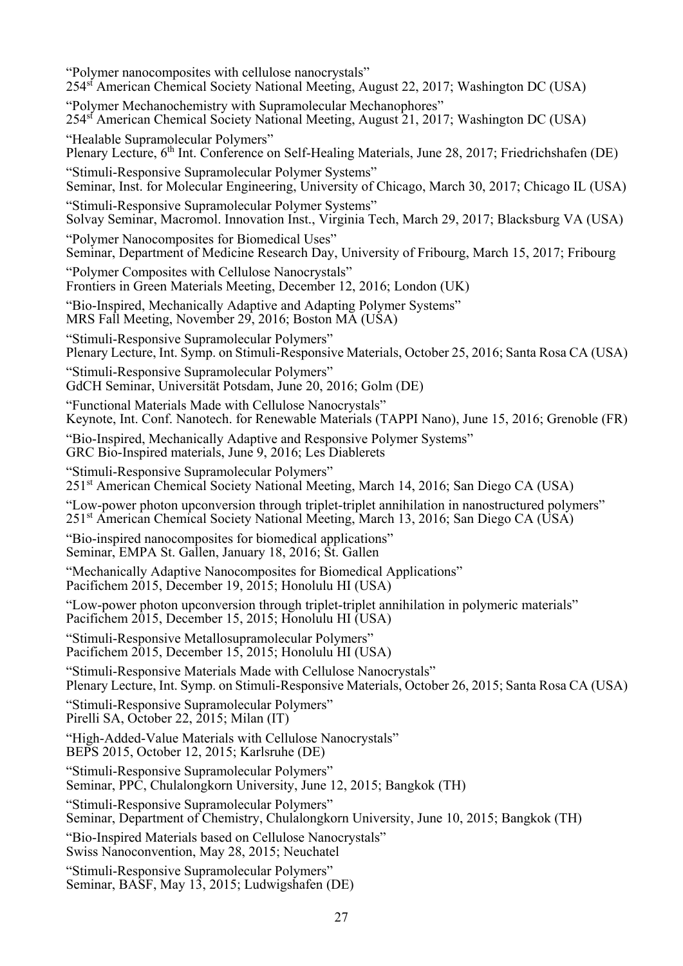"Polymer nanocomposites with cellulose nanocrystals" 254st American Chemical Society National Meeting, August 22, 2017; Washington DC (USA) "Polymer Mechanochemistry with Supramolecular Mechanophores" 254st American Chemical Society National Meeting, August 21, 2017; Washington DC (USA) "Healable Supramolecular Polymers" Plenary Lecture, 6<sup>th</sup> Int. Conference on Self-Healing Materials, June 28, 2017; Friedrichshafen (DE) "Stimuli-Responsive Supramolecular Polymer Systems" Seminar, Inst. for Molecular Engineering, University of Chicago, March 30, 2017; Chicago IL (USA) "Stimuli-Responsive Supramolecular Polymer Systems" Solvay Seminar, Macromol. Innovation Inst., Virginia Tech, March 29, 2017; Blacksburg VA (USA) "Polymer Nanocomposites for Biomedical Uses" Seminar, Department of Medicine Research Day, University of Fribourg, March 15, 2017; Fribourg "Polymer Composites with Cellulose Nanocrystals" Frontiers in Green Materials Meeting, December 12, 2016; London (UK) "Bio-Inspired, Mechanically Adaptive and Adapting Polymer Systems" MRS Fall Meeting, November 29, 2016; Boston MA (USA) "Stimuli-Responsive Supramolecular Polymers" Plenary Lecture, Int. Symp. on Stimuli-Responsive Materials, October 25, 2016; Santa Rosa CA (USA) "Stimuli-Responsive Supramolecular Polymers" GdCH Seminar, Universität Potsdam, June 20, 2016; Golm (DE) "Functional Materials Made with Cellulose Nanocrystals" Keynote, Int. Conf. Nanotech. for Renewable Materials (TAPPI Nano), June 15, 2016; Grenoble (FR) "Bio-Inspired, Mechanically Adaptive and Responsive Polymer Systems" GRC Bio-Inspired materials, June 9, 2016; Les Diablerets "Stimuli-Responsive Supramolecular Polymers" 251st American Chemical Society National Meeting, March 14, 2016; San Diego CA (USA) "Low-power photon upconversion through triplet-triplet annihilation in nanostructured polymers" 251st American Chemical Society National Meeting, March 13, 2016; San Diego CA (USA) "Bio-inspired nanocomposites for biomedical applications" Seminar, EMPA St. Gallen, January 18, 2016; St. Gallen "Mechanically Adaptive Nanocomposites for Biomedical Applications" Pacifichem 2015, December 19, 2015; Honolulu HI (USA) "Low-power photon upconversion through triplet-triplet annihilation in polymeric materials" Pacifichem 2015, December 15, 2015; Honolulu HI (USA) "Stimuli-Responsive Metallosupramolecular Polymers" Pacifichem 2015, December 15, 2015; Honolulu HI (USA) "Stimuli-Responsive Materials Made with Cellulose Nanocrystals" Plenary Lecture, Int. Symp. on Stimuli-Responsive Materials, October 26, 2015; Santa Rosa CA (USA) "Stimuli-Responsive Supramolecular Polymers" Pirelli SA, October 22, 2015; Milan (IT) "High-Added-Value Materials with Cellulose Nanocrystals" BEPS 2015, October 12, 2015; Karlsruhe (DE) "Stimuli-Responsive Supramolecular Polymers" Seminar, PPC, Chulalongkorn University, June 12, 2015; Bangkok (TH) "Stimuli-Responsive Supramolecular Polymers" Seminar, Department of Chemistry, Chulalongkorn University, June 10, 2015; Bangkok (TH) "Bio-Inspired Materials based on Cellulose Nanocrystals" Swiss Nanoconvention, May 28, 2015; Neuchatel "Stimuli-Responsive Supramolecular Polymers"

Seminar, BASF, May 13, 2015; Ludwigshafen (DE)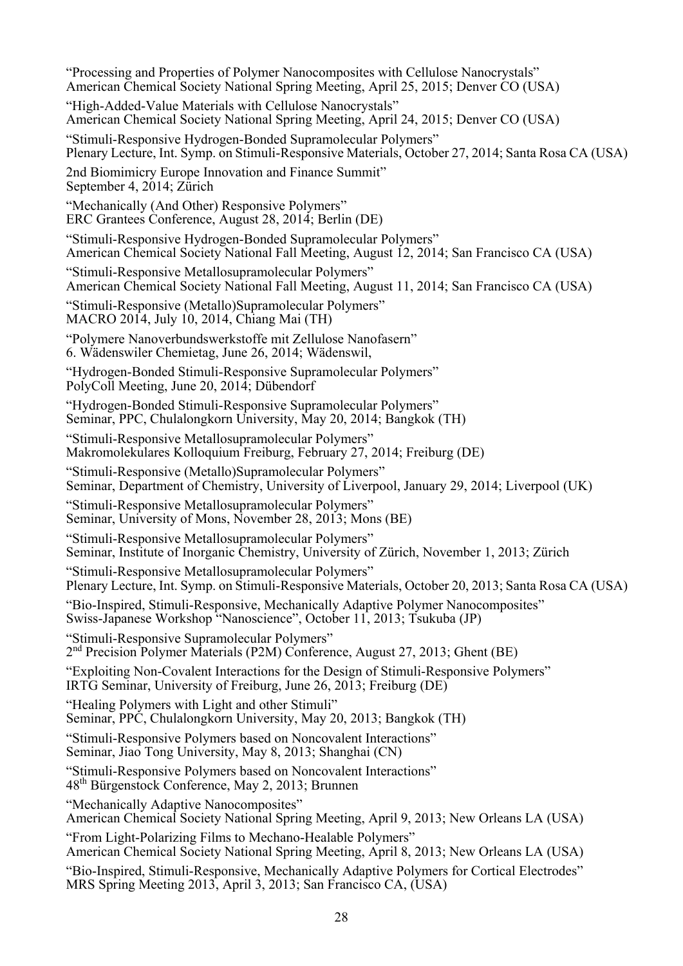"Processing and Properties of Polymer Nanocomposites with Cellulose Nanocrystals" American Chemical Society National Spring Meeting, April 25, 2015; Denver CO (USA) "High-Added-Value Materials with Cellulose Nanocrystals" American Chemical Society National Spring Meeting, April 24, 2015; Denver CO (USA) "Stimuli-Responsive Hydrogen-Bonded Supramolecular Polymers" Plenary Lecture, Int. Symp. on Stimuli-Responsive Materials, October 27, 2014; Santa Rosa CA (USA) 2nd Biomimicry Europe Innovation and Finance Summit" September 4, 2014; Zürich "Mechanically (And Other) Responsive Polymers" ERC Grantees Conference, August 28, 2014; Berlin (DE) "Stimuli-Responsive Hydrogen-Bonded Supramolecular Polymers" American Chemical Society National Fall Meeting, August 12, 2014; San Francisco CA (USA) "Stimuli-Responsive Metallosupramolecular Polymers" American Chemical Society National Fall Meeting, August 11, 2014; San Francisco CA (USA) "Stimuli-Responsive (Metallo)Supramolecular Polymers" MACRO 2014, July 10, 2014, Chiang Mai (TH) "Polymere Nanoverbundswerkstoffe mit Zellulose Nanofasern" 6. Wädenswiler Chemietag, June 26, 2014; Wädenswil, "Hydrogen-Bonded Stimuli-Responsive Supramolecular Polymers" PolyColl Meeting, June 20, 2014; Dübendorf "Hydrogen-Bonded Stimuli-Responsive Supramolecular Polymers" Seminar, PPC, Chulalongkorn University, May 20, 2014; Bangkok (TH) "Stimuli-Responsive Metallosupramolecular Polymers" Makromolekulares Kolloquium Freiburg, February 27, 2014; Freiburg (DE) "Stimuli-Responsive (Metallo)Supramolecular Polymers" Seminar, Department of Chemistry, University of Liverpool, January 29, 2014; Liverpool (UK) "Stimuli-Responsive Metallosupramolecular Polymers" Seminar, University of Mons, November 28, 2013; Mons (BE) "Stimuli-Responsive Metallosupramolecular Polymers" Seminar, Institute of Inorganic Chemistry, University of Zürich, November 1, 2013; Zürich "Stimuli-Responsive Metallosupramolecular Polymers" Plenary Lecture, Int. Symp. on Stimuli-Responsive Materials, October 20, 2013; Santa Rosa CA (USA) "Bio-Inspired, Stimuli-Responsive, Mechanically Adaptive Polymer Nanocomposites" Swiss-Japanese Workshop "Nanoscience", October 11, 2013; Tsukuba (JP) "Stimuli-Responsive Supramolecular Polymers" 2nd Precision Polymer Materials (P2M) Conference, August 27, 2013; Ghent (BE) "Exploiting Non-Covalent Interactions for the Design of Stimuli-Responsive Polymers" IRTG Seminar, University of Freiburg, June 26, 2013; Freiburg (DE) "Healing Polymers with Light and other Stimuli" Seminar, PPC, Chulalongkorn University, May 20, 2013; Bangkok (TH) "Stimuli-Responsive Polymers based on Noncovalent Interactions" Seminar, Jiao Tong University, May 8, 2013; Shanghai (CN) "Stimuli-Responsive Polymers based on Noncovalent Interactions" 48th Bürgenstock Conference, May 2, 2013; Brunnen "Mechanically Adaptive Nanocomposites" American Chemical Society National Spring Meeting, April 9, 2013; New Orleans LA (USA) "From Light-Polarizing Films to Mechano-Healable Polymers" American Chemical Society National Spring Meeting, April 8, 2013; New Orleans LA (USA) "Bio-Inspired, Stimuli-Responsive, Mechanically Adaptive Polymers for Cortical Electrodes" MRS Spring Meeting 2013, April 3, 2013; San Francisco CA, (USA)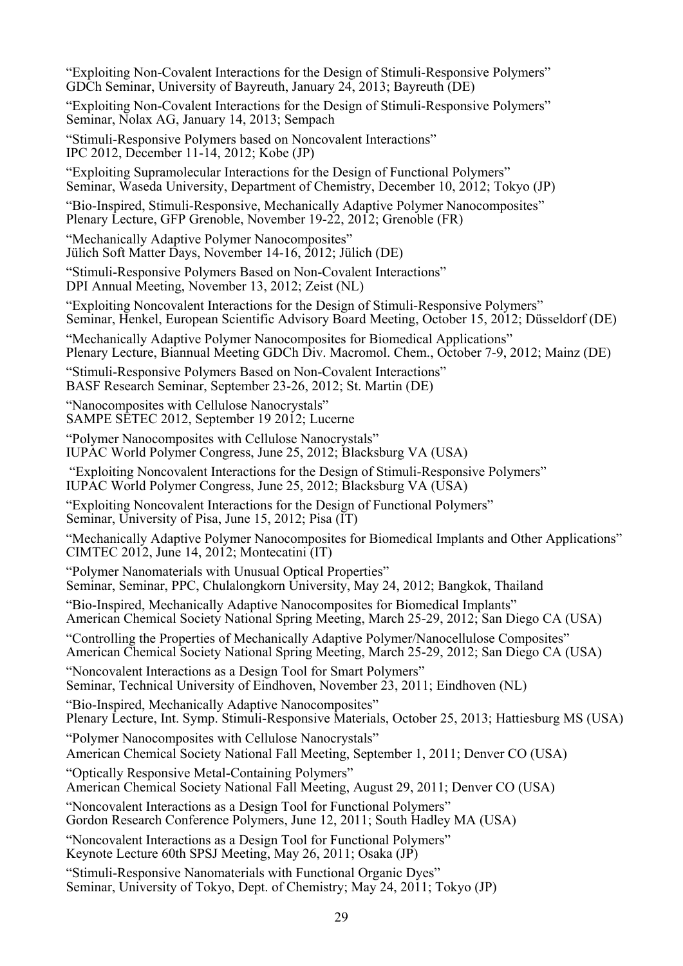"Exploiting Non-Covalent Interactions for the Design of Stimuli-Responsive Polymers" GDCh Seminar, University of Bayreuth, January 24, 2013; Bayreuth (DE)

"Exploiting Non-Covalent Interactions for the Design of Stimuli-Responsive Polymers" Seminar, Nolax AG, January 14, 2013; Sempach

"Stimuli-Responsive Polymers based on Noncovalent Interactions" IPC 2012, December 11-14, 2012; Kobe (JP)

"Exploiting Supramolecular Interactions for the Design of Functional Polymers" Seminar, Waseda University, Department of Chemistry, December 10, 2012; Tokyo (JP)

"Bio-Inspired, Stimuli-Responsive, Mechanically Adaptive Polymer Nanocomposites" Plenary Lecture, GFP Grenoble, November 19-22, 2012; Grenoble (FR)

"Mechanically Adaptive Polymer Nanocomposites" Jülich Soft Matter Days, November 14-16, 2012; Jülich (DE)

"Stimuli-Responsive Polymers Based on Non-Covalent Interactions" DPI Annual Meeting, November 13, 2012; Zeist (NL)

"Exploiting Noncovalent Interactions for the Design of Stimuli-Responsive Polymers" Seminar, Henkel, European Scientific Advisory Board Meeting, October 15, 2012; Düsseldorf (DE)

"Mechanically Adaptive Polymer Nanocomposites for Biomedical Applications" Plenary Lecture, Biannual Meeting GDCh Div. Macromol. Chem., October 7-9, 2012; Mainz (DE)

"Stimuli-Responsive Polymers Based on Non-Covalent Interactions" BASF Research Seminar, September 23-26, 2012; St. Martin (DE)

"Nanocomposites with Cellulose Nanocrystals" SAMPE SETEC 2012, September 19 2012; Lucerne

"Polymer Nanocomposites with Cellulose Nanocrystals"

IUPAC World Polymer Congress, June 25, 2012; Blacksburg VA (USA)

 "Exploiting Noncovalent Interactions for the Design of Stimuli-Responsive Polymers" IUPAC World Polymer Congress, June 25, 2012; Blacksburg VA (USA)

"Exploiting Noncovalent Interactions for the Design of Functional Polymers" Seminar, University of Pisa, June 15, 2012; Pisa (IT)

"Mechanically Adaptive Polymer Nanocomposites for Biomedical Implants and Other Applications" CIMTEC 2012, June 14, 2012; Montecatini (IT)

"Polymer Nanomaterials with Unusual Optical Properties"

Seminar, Seminar, PPC, Chulalongkorn University, May 24, 2012; Bangkok, Thailand

"Bio-Inspired, Mechanically Adaptive Nanocomposites for Biomedical Implants" American Chemical Society National Spring Meeting, March 25-29, 2012; San Diego CA (USA)

"Controlling the Properties of Mechanically Adaptive Polymer/Nanocellulose Composites" American Chemical Society National Spring Meeting, March 25-29, 2012; San Diego CA (USA)

"Noncovalent Interactions as a Design Tool for Smart Polymers" Seminar, Technical University of Eindhoven, November 23, 2011; Eindhoven (NL)

"Bio-Inspired, Mechanically Adaptive Nanocomposites" Plenary Lecture, Int. Symp. Stimuli-Responsive Materials, October 25, 2013; Hattiesburg MS (USA)

"Polymer Nanocomposites with Cellulose Nanocrystals"

American Chemical Society National Fall Meeting, September 1, 2011; Denver CO (USA)

"Optically Responsive Metal-Containing Polymers"

American Chemical Society National Fall Meeting, August 29, 2011; Denver CO (USA)

"Noncovalent Interactions as a Design Tool for Functional Polymers" Gordon Research Conference Polymers, June 12, 2011; South Hadley MA (USA)

"Noncovalent Interactions as a Design Tool for Functional Polymers" Keynote Lecture 60th SPSJ Meeting, May 26, 2011; Osaka (JP)

"Stimuli-Responsive Nanomaterials with Functional Organic Dyes" Seminar, University of Tokyo, Dept. of Chemistry; May 24, 2011; Tokyo (JP)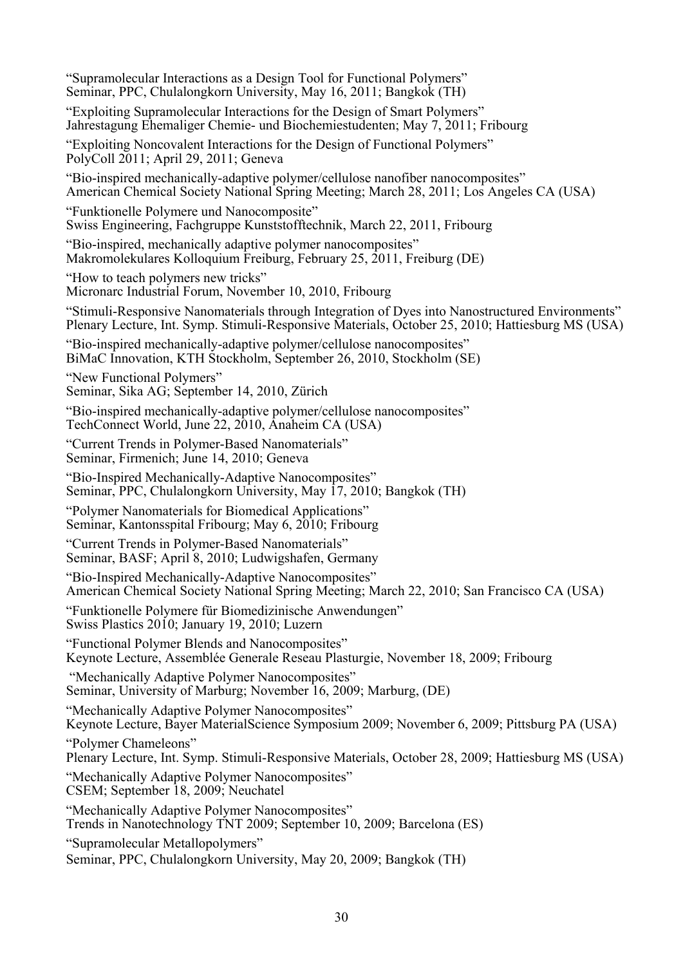| "Supramolecular Interactions as a Design Tool for Functional Polymers"<br>Seminar, PPC, Chulalongkorn University, May 16, 2011; Bangkok (TH)                                                        |
|-----------------------------------------------------------------------------------------------------------------------------------------------------------------------------------------------------|
| "Exploiting Supramolecular Interactions for the Design of Smart Polymers"<br>Jahrestagung Ehemaliger Chemie- und Biochemiestudenten; May 7, 2011; Fribourg                                          |
| "Exploiting Noncovalent Interactions for the Design of Functional Polymers"<br>PolyColl 2011; April 29, 2011; Geneva                                                                                |
| "Bio-inspired mechanically-adaptive polymer/cellulose nanofiber nanocomposites"<br>American Chemical Society National Spring Meeting; March 28, 2011; Los Angeles CA (USA)                          |
| "Funktionelle Polymere und Nanocomposite"<br>Swiss Engineering, Fachgruppe Kunststofftechnik, March 22, 2011, Fribourg                                                                              |
| "Bio-inspired, mechanically adaptive polymer nanocomposites"<br>Makromolekulares Kolloquium Freiburg, February 25, 2011, Freiburg (DE)                                                              |
| "How to teach polymers new tricks"<br>Micronarc Industrial Forum, November 10, 2010, Fribourg                                                                                                       |
| "Stimuli-Responsive Nanomaterials through Integration of Dyes into Nanostructured Environments"<br>Plenary Lecture, Int. Symp. Stimuli-Responsive Materials, October 25, 2010; Hattiesburg MS (USA) |
| "Bio-inspired mechanically-adaptive polymer/cellulose nanocomposites"<br>BiMaC Innovation, KTH Stockholm, September 26, 2010, Stockholm (SE)                                                        |
| "New Functional Polymers"<br>Seminar, Sika AG; September 14, 2010, Zürich                                                                                                                           |
| "Bio-inspired mechanically-adaptive polymer/cellulose nanocomposites"<br>TechConnect World, June 22, 2010, Anaheim CA (USA)                                                                         |
| "Current Trends in Polymer-Based Nanomaterials"<br>Seminar, Firmenich; June 14, 2010; Geneva                                                                                                        |
| "Bio-Inspired Mechanically-Adaptive Nanocomposites"<br>Seminar, PPC, Chulalongkorn University, May 17, 2010; Bangkok (TH)                                                                           |
| "Polymer Nanomaterials for Biomedical Applications"<br>Seminar, Kantonsspital Fribourg; May 6, 2010; Fribourg                                                                                       |
| "Current Trends in Polymer-Based Nanomaterials"<br>Seminar, BASF; April 8, 2010; Ludwigshafen, Germany                                                                                              |
| "Bio-Inspired Mechanically-Adaptive Nanocomposites"<br>American Chemical Society National Spring Meeting; March 22, 2010; San Francisco CA (USA)                                                    |
| "Funktionelle Polymere für Biomedizinische Anwendungen"<br>Swiss Plastics 2010; January 19, 2010; Luzern                                                                                            |
| "Functional Polymer Blends and Nanocomposites"<br>Keynote Lecture, Assemblée Generale Reseau Plasturgie, November 18, 2009; Fribourg                                                                |
| "Mechanically Adaptive Polymer Nanocomposites"<br>Seminar, University of Marburg; November 16, 2009; Marburg, (DE)                                                                                  |
| "Mechanically Adaptive Polymer Nanocomposites"<br>Keynote Lecture, Bayer MaterialScience Symposium 2009; November 6, 2009; Pittsburg PA (USA)                                                       |
| "Polymer Chameleons"<br>Plenary Lecture, Int. Symp. Stimuli-Responsive Materials, October 28, 2009; Hattiesburg MS (USA)                                                                            |
| "Mechanically Adaptive Polymer Nanocomposites"<br>CSEM; September 18, 2009; Neuchatel                                                                                                               |
| "Mechanically Adaptive Polymer Nanocomposites"<br>Trends in Nanotechnology TNT 2009; September 10, 2009; Barcelona (ES)                                                                             |
| "Supramolecular Metallopolymers"<br>Seminar, PPC, Chulalongkorn University, May 20, 2009; Bangkok (TH)                                                                                              |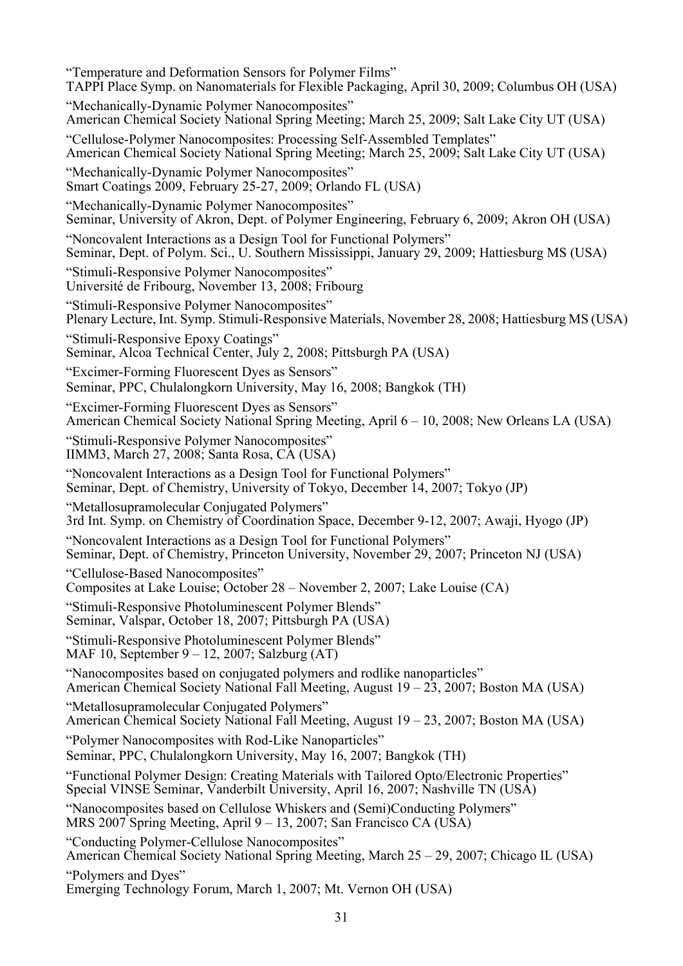"Temperature and Deformation Sensors for Polymer Films" TAPPI Place Symp. on Nanomaterials for Flexible Packaging, April 30, 2009; Columbus OH (USA) "Mechanically-Dynamic Polymer Nanocomposites" American Chemical Society National Spring Meeting; March 25, 2009; Salt Lake City UT (USA) "Cellulose-Polymer Nanocomposites: Processing Self-Assembled Templates" American Chemical Society National Spring Meeting; March 25, 2009; Salt Lake City UT (USA) "Mechanically-Dynamic Polymer Nanocomposites" Smart Coatings 2009, February 25-27, 2009; Orlando FL (USA) "Mechanically-Dynamic Polymer Nanocomposites" Seminar, University of Akron, Dept. of Polymer Engineering, February 6, 2009; Akron OH (USA) "Noncovalent Interactions as a Design Tool for Functional Polymers" Seminar, Dept. of Polym. Sci., U. Southern Mississippi, January 29, 2009; Hattiesburg MS (USA) "Stimuli-Responsive Polymer Nanocomposites" Université de Fribourg, November 13, 2008; Fribourg "Stimuli-Responsive Polymer Nanocomposites" Plenary Lecture, Int. Symp. Stimuli-Responsive Materials, November 28, 2008; Hattiesburg MS (USA) "Stimuli-Responsive Epoxy Coatings" Seminar, Alcoa Technical Center, July 2, 2008; Pittsburgh PA (USA) "Excimer-Forming Fluorescent Dyes as Sensors" Seminar, PPC, Chulalongkorn University, May 16, 2008; Bangkok (TH) "Excimer-Forming Fluorescent Dyes as Sensors" American Chemical Society National Spring Meeting, April 6 – 10, 2008; New Orleans LA (USA) "Stimuli-Responsive Polymer Nanocomposites" IIMM3, March 27, 2008; Santa Rosa, CA (USA) "Noncovalent Interactions as a Design Tool for Functional Polymers" Seminar, Dept. of Chemistry, University of Tokyo, December 14, 2007; Tokyo (JP) "Metallosupramolecular Conjugated Polymers" 3rd Int. Symp. on Chemistry of Coordination Space, December 9-12, 2007; Awaji, Hyogo (JP) "Noncovalent Interactions as a Design Tool for Functional Polymers" Seminar, Dept. of Chemistry, Princeton University, November 29, 2007; Princeton NJ (USA) "Cellulose-Based Nanocomposites" Composites at Lake Louise; October 28 – November 2, 2007; Lake Louise (CA) "Stimuli-Responsive Photoluminescent Polymer Blends" Seminar, Valspar, October 18, 2007; Pittsburgh PA (USA) "Stimuli-Responsive Photoluminescent Polymer Blends" MAF 10, September 9 – 12, 2007; Salzburg (AT) "Nanocomposites based on conjugated polymers and rodlike nanoparticles" American Chemical Society National Fall Meeting, August 19 – 23, 2007; Boston MA (USA) "Metallosupramolecular Conjugated Polymers" American Chemical Society National Fall Meeting, August 19 – 23, 2007; Boston MA (USA) "Polymer Nanocomposites with Rod-Like Nanoparticles" Seminar, PPC, Chulalongkorn University, May 16, 2007; Bangkok (TH) "Functional Polymer Design: Creating Materials with Tailored Opto/Electronic Properties" Special VINSE Seminar, Vanderbilt University, April 16, 2007; Nashville TN (USA) "Nanocomposites based on Cellulose Whiskers and (Semi)Conducting Polymers" MRS 2007 Spring Meeting, April 9 – 13, 2007; San Francisco CA (USA) "Conducting Polymer-Cellulose Nanocomposites" American Chemical Society National Spring Meeting, March 25 – 29, 2007; Chicago IL (USA) "Polymers and Dyes" Emerging Technology Forum, March 1, 2007; Mt. Vernon OH (USA)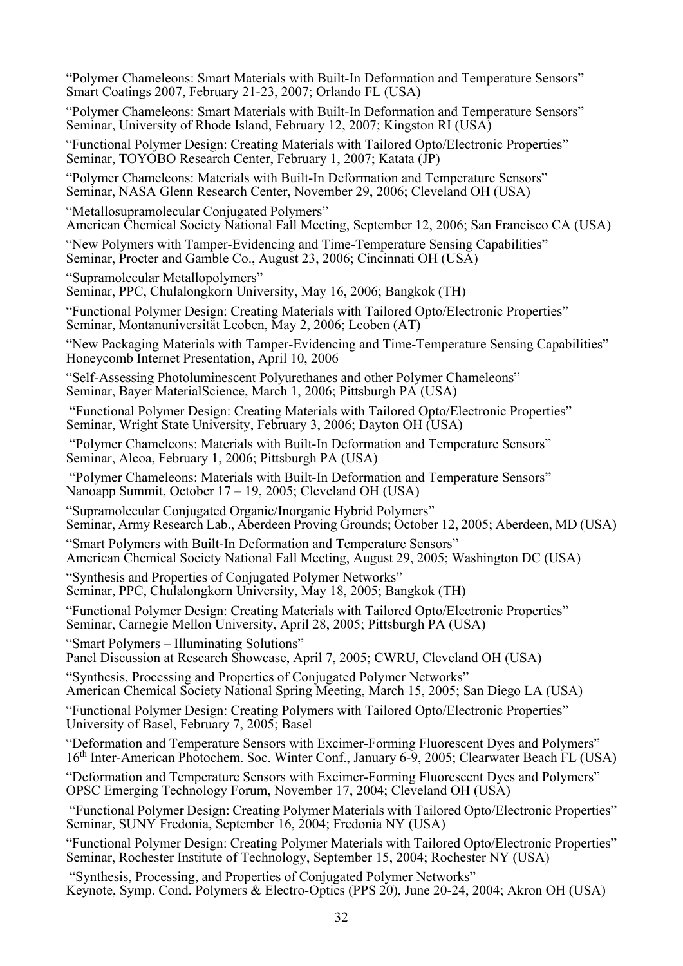"Polymer Chameleons: Smart Materials with Built-In Deformation and Temperature Sensors" Smart Coatings 2007, February 21-23, 2007; Orlando FL (USA)

"Polymer Chameleons: Smart Materials with Built-In Deformation and Temperature Sensors" Seminar, University of Rhode Island, February 12, 2007; Kingston RI (USA)

"Functional Polymer Design: Creating Materials with Tailored Opto/Electronic Properties" Seminar, TOYOBO Research Center, February 1, 2007; Katata (JP)

"Polymer Chameleons: Materials with Built-In Deformation and Temperature Sensors" Seminar, NASA Glenn Research Center, November 29, 2006; Cleveland OH (USA)

"Metallosupramolecular Conjugated Polymers" American Chemical Society National Fall Meeting, September 12, 2006; San Francisco CA (USA)

"New Polymers with Tamper-Evidencing and Time-Temperature Sensing Capabilities" Seminar, Procter and Gamble Co., August 23, 2006; Cincinnati OH (USA)

"Supramolecular Metallopolymers"

Seminar, PPC, Chulalongkorn University, May 16, 2006; Bangkok (TH)

"Functional Polymer Design: Creating Materials with Tailored Opto/Electronic Properties" Seminar, Montanuniversität Leoben, May 2, 2006; Leoben (AT)

"New Packaging Materials with Tamper-Evidencing and Time-Temperature Sensing Capabilities" Honeycomb Internet Presentation, April 10, 2006

"Self-Assessing Photoluminescent Polyurethanes and other Polymer Chameleons" Seminar, Bayer MaterialScience, March 1, 2006; Pittsburgh PA (USA)

 "Functional Polymer Design: Creating Materials with Tailored Opto/Electronic Properties" Seminar, Wright State University, February 3, 2006; Dayton OH (USA)

 "Polymer Chameleons: Materials with Built-In Deformation and Temperature Sensors" Seminar, Alcoa, February 1, 2006; Pittsburgh PA (USA)

 "Polymer Chameleons: Materials with Built-In Deformation and Temperature Sensors" Nanoapp Summit, October 17 – 19, 2005; Cleveland OH (USA)

"Supramolecular Conjugated Organic/Inorganic Hybrid Polymers" Seminar, Army Research Lab., Aberdeen Proving Grounds; October 12, 2005; Aberdeen, MD (USA)

"Smart Polymers with Built-In Deformation and Temperature Sensors" American Chemical Society National Fall Meeting, August 29, 2005; Washington DC (USA)

"Synthesis and Properties of Conjugated Polymer Networks" Seminar, PPC, Chulalongkorn University, May 18, 2005; Bangkok (TH)

"Functional Polymer Design: Creating Materials with Tailored Opto/Electronic Properties" Seminar, Carnegie Mellon University, April 28, 2005; Pittsburgh PA (USA)

"Smart Polymers – Illuminating Solutions" Panel Discussion at Research Showcase, April 7, 2005; CWRU, Cleveland OH (USA)

"Synthesis, Processing and Properties of Conjugated Polymer Networks" American Chemical Society National Spring Meeting, March 15, 2005; San Diego LA (USA)

"Functional Polymer Design: Creating Polymers with Tailored Opto/Electronic Properties" University of Basel, February 7, 2005; Basel

"Deformation and Temperature Sensors with Excimer-Forming Fluorescent Dyes and Polymers" 16<sup>th</sup> Inter-American Photochem. Soc. Winter Conf., January 6-9, 2005; Clearwater Beach FL (USA)

"Deformation and Temperature Sensors with Excimer-Forming Fluorescent Dyes and Polymers" OPSC Emerging Technology Forum, November 17, 2004; Cleveland OH (USA)

 "Functional Polymer Design: Creating Polymer Materials with Tailored Opto/Electronic Properties" Seminar, SUNY Fredonia, September 16, 2004; Fredonia NY (USA)

"Functional Polymer Design: Creating Polymer Materials with Tailored Opto/Electronic Properties" Seminar, Rochester Institute of Technology, September 15, 2004; Rochester NY (USA)

 "Synthesis, Processing, and Properties of Conjugated Polymer Networks" Keynote, Symp. Cond. Polymers & Electro-Optics (PPS 20), June 20-24, 2004; Akron OH (USA)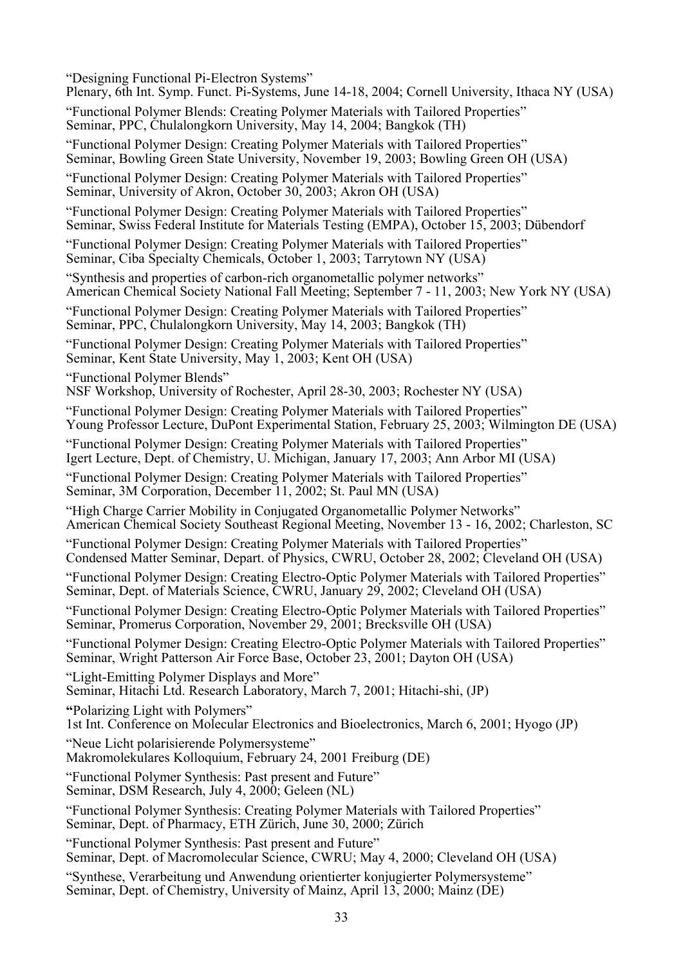"Designing Functional Pi-Electron Systems" Plenary, 6th Int. Symp. Funct. Pi-Systems, June 14-18, 2004; Cornell University, Ithaca NY (USA) "Functional Polymer Blends: Creating Polymer Materials with Tailored Properties" Seminar, PPC, Chulalongkorn University, May 14, 2004; Bangkok (TH) "Functional Polymer Design: Creating Polymer Materials with Tailored Properties" Seminar, Bowling Green State University, November 19, 2003; Bowling Green OH (USA) "Functional Polymer Design: Creating Polymer Materials with Tailored Properties" Seminar, University of Akron, October 30, 2003; Akron OH (USA) "Functional Polymer Design: Creating Polymer Materials with Tailored Properties" Seminar, Swiss Federal Institute for Materials Testing (EMPA), October 15, 2003; Dübendorf "Functional Polymer Design: Creating Polymer Materials with Tailored Properties" Seminar, Ciba Specialty Chemicals, October 1, 2003; Tarrytown NY (USA) "Synthesis and properties of carbon-rich organometallic polymer networks" American Chemical Society National Fall Meeting; September 7 - 11, 2003; New York NY (USA) "Functional Polymer Design: Creating Polymer Materials with Tailored Properties" Seminar, PPC, Chulalongkorn University, May 14, 2003; Bangkok (TH) "Functional Polymer Design: Creating Polymer Materials with Tailored Properties" Seminar, Kent State University, May 1, 2003; Kent OH (USA) "Functional Polymer Blends" NSF Workshop, University of Rochester, April 28-30, 2003; Rochester NY (USA) "Functional Polymer Design: Creating Polymer Materials with Tailored Properties" Young Professor Lecture, DuPont Experimental Station, February 25, 2003; Wilmington DE (USA) "Functional Polymer Design: Creating Polymer Materials with Tailored Properties" Igert Lecture, Dept. of Chemistry, U. Michigan, January 17, 2003; Ann Arbor MI (USA) "Functional Polymer Design: Creating Polymer Materials with Tailored Properties" Seminar, 3M Corporation, December 11, 2002; St. Paul MN (USA) "High Charge Carrier Mobility in Conjugated Organometallic Polymer Networks" American Chemical Society Southeast Regional Meeting, November 13 - 16, 2002; Charleston, SC "Functional Polymer Design: Creating Polymer Materials with Tailored Properties" Condensed Matter Seminar, Depart. of Physics, CWRU, October 28, 2002; Cleveland OH (USA) "Functional Polymer Design: Creating Electro-Optic Polymer Materials with Tailored Properties" Seminar, Dept. of Materials Science, CWRU, January 29, 2002; Cleveland OH (USA) "Functional Polymer Design: Creating Electro-Optic Polymer Materials with Tailored Properties" Seminar, Promerus Corporation, November 29, 2001; Brecksville OH (USA) "Functional Polymer Design: Creating Electro-Optic Polymer Materials with Tailored Properties" Seminar, Wright Patterson Air Force Base, October 23, 2001; Dayton OH (USA) "Light-Emitting Polymer Displays and More" Seminar, Hitachi Ltd. Research Laboratory, March 7, 2001; Hitachi-shi, (JP) **"**Polarizing Light with Polymers" 1st Int. Conference on Molecular Electronics and Bioelectronics, March 6, 2001; Hyogo (JP) "Neue Licht polarisierende Polymersysteme" Makromolekulares Kolloquium, February 24, 2001 Freiburg (DE) "Functional Polymer Synthesis: Past present and Future" Seminar, DSM Research, July 4, 2000; Geleen (NL) "Functional Polymer Synthesis: Creating Polymer Materials with Tailored Properties" Seminar, Dept. of Pharmacy, ETH Zürich, June 30, 2000; Zürich "Functional Polymer Synthesis: Past present and Future" Seminar, Dept. of Macromolecular Science, CWRU; May 4, 2000; Cleveland OH (USA) "Synthese, Verarbeitung und Anwendung orientierter konjugierter Polymersysteme" Seminar, Dept. of Chemistry, University of Mainz, April 13, 2000; Mainz (DE)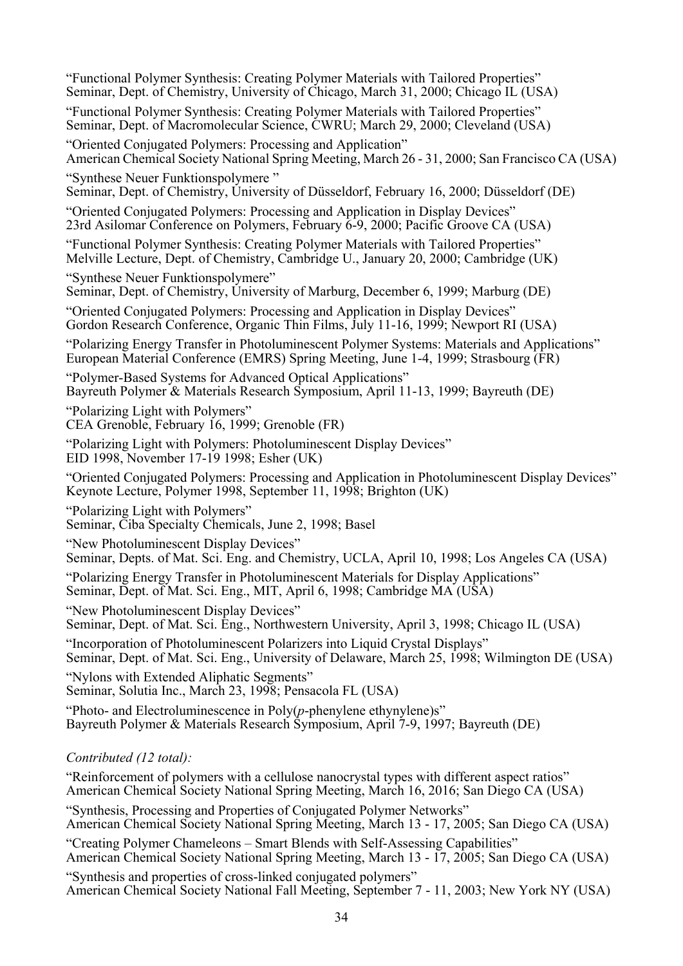| "Functional Polymer Synthesis: Creating Polymer Materials with Tailored Properties"<br>Seminar, Dept. of Chemistry, University of Chicago, March 31, 2000; Chicago IL (USA)          |
|--------------------------------------------------------------------------------------------------------------------------------------------------------------------------------------|
| "Functional Polymer Synthesis: Creating Polymer Materials with Tailored Properties"<br>Seminar, Dept. of Macromolecular Science, CWRU; March 29, 2000; Cleveland (USA)               |
| "Oriented Conjugated Polymers: Processing and Application"<br>American Chemical Society National Spring Meeting, March 26 - 31, 2000; San Francisco CA (USA)                         |
| "Synthese Neuer Funktionspolymere"<br>Seminar, Dept. of Chemistry, University of Düsseldorf, February 16, 2000; Düsseldorf (DE)                                                      |
| "Oriented Conjugated Polymers: Processing and Application in Display Devices"<br>23rd Asilomar Conference on Polymers, February 6-9, 2000; Pacific Groove CA (USA)                   |
| "Functional Polymer Synthesis: Creating Polymer Materials with Tailored Properties"<br>Melville Lecture, Dept. of Chemistry, Cambridge U., January 20, 2000; Cambridge (UK)          |
| "Synthese Neuer Funktionspolymere"<br>Seminar, Dept. of Chemistry, University of Marburg, December 6, 1999; Marburg (DE)                                                             |
| "Oriented Conjugated Polymers: Processing and Application in Display Devices"<br>Gordon Research Conference, Organic Thin Films, July 11-16, 1999; Newport RI (USA)                  |
| "Polarizing Energy Transfer in Photoluminescent Polymer Systems: Materials and Applications"<br>European Material Conference (EMRS) Spring Meeting, June 1-4, 1999; Strasbourg (FR)  |
| "Polymer-Based Systems for Advanced Optical Applications"<br>Bayreuth Polymer & Materials Research Symposium, April 11-13, 1999; Bayreuth (DE)                                       |
| "Polarizing Light with Polymers"<br>CEA Grenoble, February 16, 1999; Grenoble (FR)                                                                                                   |
| "Polarizing Light with Polymers: Photoluminescent Display Devices"<br>EID 1998, November 17-19 1998; Esher (UK)                                                                      |
| "Oriented Conjugated Polymers: Processing and Application in Photoluminescent Display Devices"<br>Keynote Lecture, Polymer 1998, September 11, 1998; Brighton (UK)                   |
| "Polarizing Light with Polymers"<br>Seminar, Ciba Specialty Chemicals, June 2, 1998; Basel                                                                                           |
| "New Photoluminescent Display Devices"<br>Seminar, Depts. of Mat. Sci. Eng. and Chemistry, UCLA, April 10, 1998; Los Angeles CA (USA)                                                |
| "Polarizing Energy Transfer in Photoluminescent Materials for Display Applications"<br>Seminar, Dept. of Mat. Sci. Eng., MIT, April 6, 1998; Cambridge MA (USA)                      |
| "New Photoluminescent Display Devices"<br>Seminar, Dept. of Mat. Sci. Eng., Northwestern University, April 3, 1998; Chicago IL (USA)                                                 |
| "Incorporation of Photoluminescent Polarizers into Liquid Crystal Displays"<br>Seminar, Dept. of Mat. Sci. Eng., University of Delaware, March 25, 1998; Wilmington DE (USA)         |
| "Nylons with Extended Aliphatic Segments"<br>Seminar, Solutia Inc., March 23, 1998; Pensacola FL (USA)                                                                               |
| "Photo- and Electroluminescence in $Poly(p$ -phenylene ethynylene)s"<br>Bayreuth Polymer & Materials Research Symposium, April 7-9, 1997; Bayreuth (DE)                              |
| Contributed (12 total):                                                                                                                                                              |
| "Reinforcement of polymers with a cellulose nanocrystal types with different aspect ratios"<br>American Chemical Society National Spring Meeting, March 16, 2016; San Diego CA (USA) |
| "Synthesis, Processing and Properties of Conjugated Polymer Networks"<br>American Chemical Society National Spring Meeting, March 13 - 17, 2005; San Diego CA (USA)                  |
| "Creating Polymer Chameleons – Smart Blends with Self-Assessing Capabilities"                                                                                                        |

American Chemical Society National Spring Meeting, March 13 - 17, 2005; San Diego CA (USA)

"Synthesis and properties of cross-linked conjugated polymers" American Chemical Society National Fall Meeting, September 7 - 11, 2003; New York NY (USA)